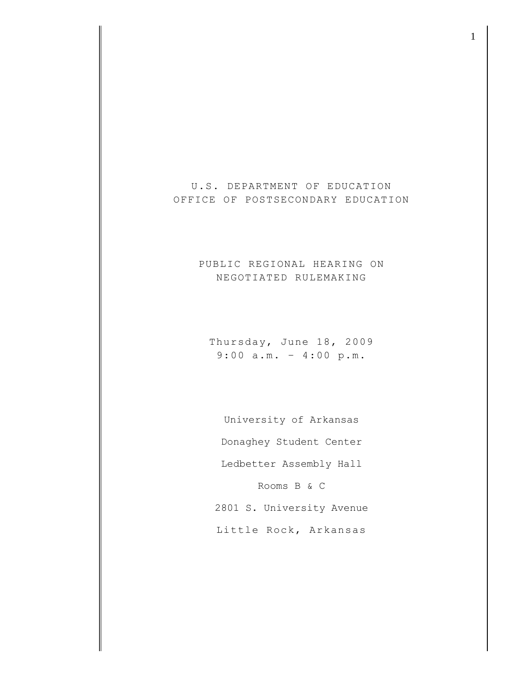U.S. DEPARTMENT OF EDUCATION OFFICE OF POSTSECONDARY EDUCATION

## PUBLIC REGIONAL HEARING ON NEGOTIATED RULEMAKING

Thursday, June 18, 2009 9:00 a.m. – 4:00 p.m.

University of Arkansas Donaghey Student Center Ledbetter Assembly Hall Rooms B & C 2801 S. University Avenue

Little Rock, Arkansas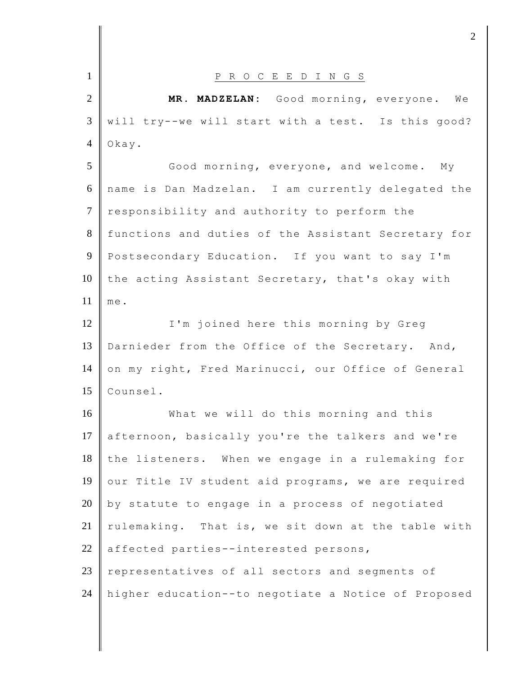| $\mathbf{1}$   | P R O C E E D I N G S                               |
|----------------|-----------------------------------------------------|
| $\overline{2}$ | MR. MADZELAN: Good morning, everyone. We            |
| 3              | will try--we will start with a test. Is this good?  |
| $\overline{4}$ | Okay.                                               |
| 5              | Good morning, everyone, and welcome. My             |
| 6              | name is Dan Madzelan. I am currently delegated the  |
| $\tau$         | responsibility and authority to perform the         |
| 8              | functions and duties of the Assistant Secretary for |
| 9              | Postsecondary Education. If you want to say I'm     |
| 10             | the acting Assistant Secretary, that's okay with    |
| 11             | me.                                                 |
| 12             | I'm joined here this morning by Greg                |
| 13             | Darnieder from the Office of the Secretary. And,    |
| 14             | on my right, Fred Marinucci, our Office of General  |
| 15             | Counsel.                                            |
| 16             | What we will do this morning and this               |
| 17             | afternoon, basically you're the talkers and we're   |
| 18             | the listeners. When we engage in a rulemaking for   |
| 19             | our Title IV student aid programs, we are required  |
| 20             | by statute to engage in a process of negotiated     |
| 21             | rulemaking. That is, we sit down at the table with  |
| 22             | affected parties--interested persons,               |
| 23             | representatives of all sectors and segments of      |
| 24             | higher education--to negotiate a Notice of Proposed |
|                |                                                     |

 $\frac{1}{2}$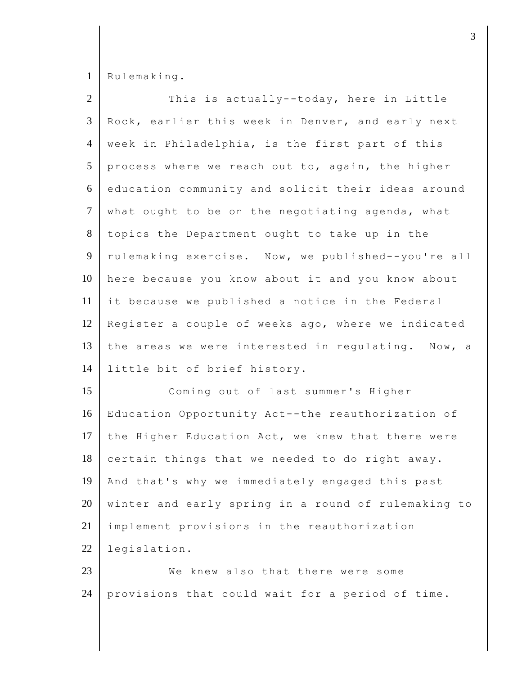1 Rulemaking.

| $\overline{2}$  | This is actually--today, here in Little             |
|-----------------|-----------------------------------------------------|
| $\mathfrak{Z}$  | Rock, earlier this week in Denver, and early next   |
| 4               | week in Philadelphia, is the first part of this     |
| 5               | process where we reach out to, again, the higher    |
| 6               | education community and solicit their ideas around  |
| $7\phantom{.0}$ | what ought to be on the negotiating agenda, what    |
| 8               | topics the Department ought to take up in the       |
| 9               | rulemaking exercise. Now, we published--you're all  |
| 10              | here because you know about it and you know about   |
| 11              | it because we published a notice in the Federal     |
| 12              | Register a couple of weeks ago, where we indicated  |
| 13              | the areas we were interested in regulating. Now, a  |
| 14              | little bit of brief history.                        |
| 15              | Coming out of last summer's Higher                  |
| 16              | Education Opportunity Act--the reauthorization of   |
| 17              | the Higher Education Act, we knew that there were   |
| 18              | certain things that we needed to do right away.     |
| 19              | And that's why we immediately engaged this past     |
| 20              | winter and early spring in a round of rulemaking to |
| 21              | implement provisions in the reauthorization         |
| $22\,$          | legislation.                                        |
| 23              | We knew also that there were some                   |
| 24              | provisions that could wait for a period of time.    |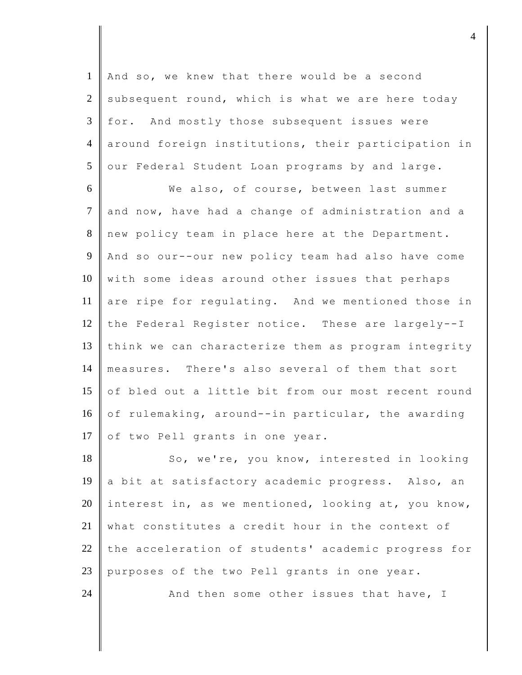1 | And so, we knew that there would be a second 2 subsequent round, which is what we are here today 3 for. And mostly those subsequent issues were 4 around foreign institutions, their participation in 5 our Federal Student Loan programs by and large.

6 We also, of course, between last summer 7 and now, have had a change of administration and a 8 new policy team in place here at the Department. 9 And so our--our new policy team had also have come 10 with some ideas around other issues that perhaps 11 are ripe for regulating. And we mentioned those in 12 the Federal Register notice. These are largely--I 13 think we can characterize them as program integrity 14 measures. There's also several of them that sort 15  $\parallel$  of bled out a little bit from our most recent round 16 of rulemaking, around--in particular, the awarding 17 of two Pell grants in one year.

18 So, we're, you know, interested in looking 19 a bit at satisfactory academic progress. Also, an 20 interest in, as we mentioned, looking at, you know, 21 what constitutes a credit hour in the context of 22 the acceleration of students' academic progress for 23 purposes of the two Pell grants in one year. 24  $\parallel$  And then some other issues that have, I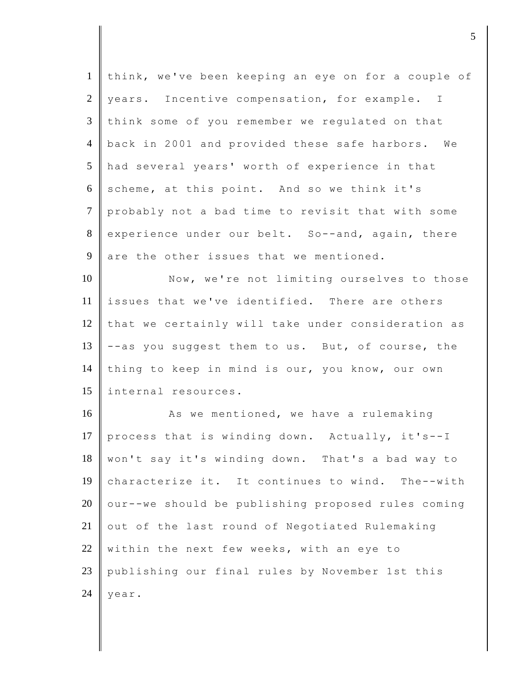| think, we've been keeping an eye on for a couple of |
|-----------------------------------------------------|
| years. Incentive compensation, for example. I       |
| think some of you remember we regulated on that     |
| back in 2001 and provided these safe harbors. We    |
| had several years' worth of experience in that      |
| scheme, at this point. And so we think it's         |
| probably not a bad time to revisit that with some   |
| experience under our belt. So--and, again, there    |
| are the other issues that we mentioned.             |
| Now, we're not limiting ourselves to those          |
| issues that we've identified. There are others      |
| that we certainly will take under consideration as  |
| --as you suggest them to us. But, of course, the    |
| thing to keep in mind is our, you know, our own     |
| internal resources.                                 |
| As we mentioned, we have a rulemaking               |
| process that is winding down. Actually, it's--I     |
| won't say it's winding down. That's a bad way to    |
| characterize it. It continues to wind. The--with    |
| our--we should be publishing proposed rules coming  |
| out of the last round of Negotiated Rulemaking      |
| within the next few weeks, with an eye to           |
| publishing our final rules by November 1st this     |
| year.                                               |
|                                                     |

djecture to the contract of  $\sim$  5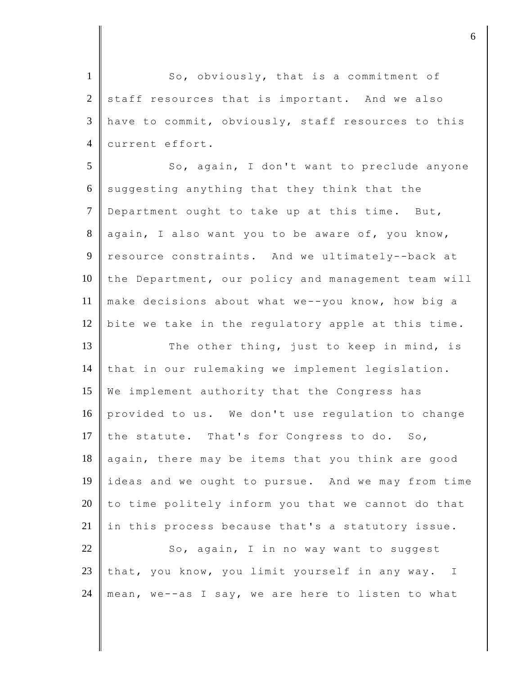1 So, obviously, that is a commitment of  $2$  staff resources that is important. And we also  $3$  have to commit, obviously, staff resources to this 4 current effort.

5 So, again, I don't want to preclude anyone 6 suggesting anything that they think that the 7 Department ought to take up at this time. But,  $8$  again, I also want you to be aware of, you know, 9 resource constraints. And we ultimately--back at  $10$  the Department, our policy and management team will 11 make decisions about what we--you know, how big a 12 bite we take in the regulatory apple at this time.

13 The other thing, just to keep in mind, is 14 that in our rulemaking we implement legislation. 15 We implement authority that the Congress has 16 provided to us. We don't use regulation to change 17 the statute. That's for Congress to do. So, 18 again, there may be items that you think are good 19 ideas and we ought to pursue. And we may from time  $20$  to time politely inform you that we cannot do that  $21$  in this process because that's a statutory issue.

 $22$   $\parallel$  So, again, I in no way want to suggest 23 that, you know, you limit yourself in any way. I 24 || mean, we--as I say, we are here to listen to what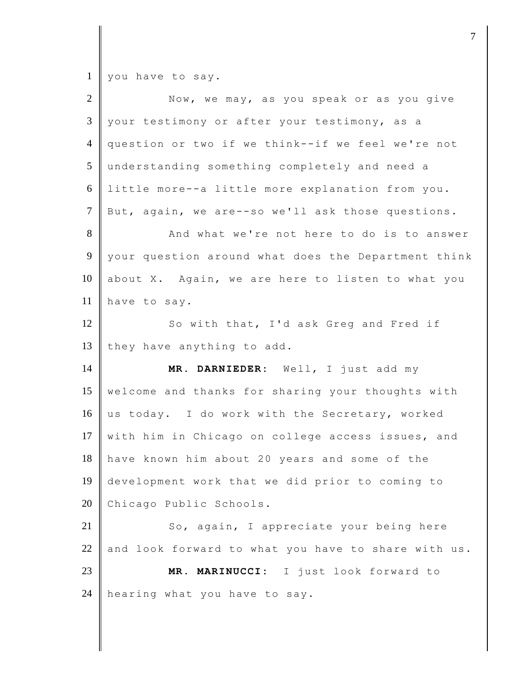$1 \parallel$  you have to say.

| $\overline{2}$       | Now, we may, as you speak or as you give            |
|----------------------|-----------------------------------------------------|
| 3                    | your testimony or after your testimony, as a        |
| $\overline{4}$       | question or two if we think--if we feel we're not   |
| 5                    | understanding something completely and need a       |
| 6                    | little more--a little more explanation from you.    |
| $\overline{7}$       | But, again, we are--so we'll ask those questions.   |
| $8\,$                | And what we're not here to do is to answer          |
| 9                    | your question around what does the Department think |
| 10                   | about X. Again, we are here to listen to what you   |
| 11                   | have to say.                                        |
| 12                   | So with that, I'd ask Greg and Fred if              |
| 13                   | they have anything to add.                          |
|                      |                                                     |
|                      | MR. DARNIEDER: Well, I just add my                  |
|                      | welcome and thanks for sharing your thoughts with   |
| 14<br>15<br>16       | us today. I do work with the Secretary, worked      |
|                      | with him in Chicago on college access issues, and   |
|                      | have known him about 20 years and some of the       |
|                      | development work that we did prior to coming to     |
| 17<br>18<br>19<br>20 | Chicago Public Schools.                             |
| 21                   | So, again, I appreciate your being here             |
| 22                   | and look forward to what you have to share with us. |
| 23                   | MARINUCCI: I just look forward to<br>MR .           |
| 24                   | hearing what you have to say.                       |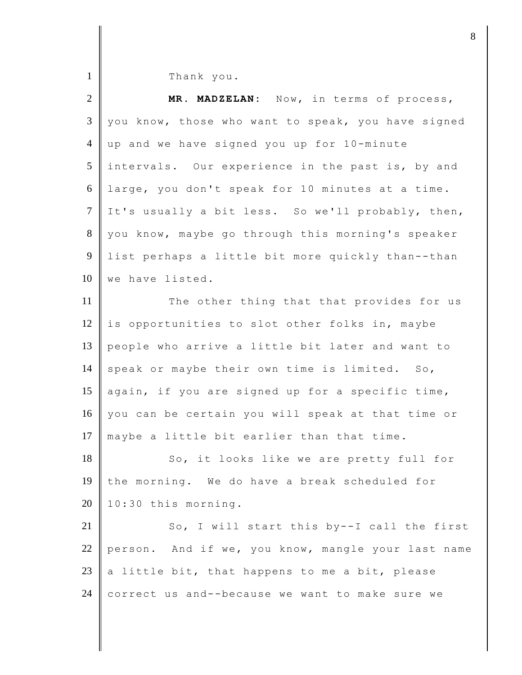1 Thank you.

| $\overline{2}$  | MR. MADZELAN: Now, in terms of process,            |
|-----------------|----------------------------------------------------|
| $\mathfrak{Z}$  | you know, those who want to speak, you have signed |
| $\overline{4}$  | up and we have signed you up for 10-minute         |
| $5\overline{)}$ | intervals. Our experience in the past is, by and   |
| 6               | large, you don't speak for 10 minutes at a time.   |
| $\tau$          | It's usually a bit less. So we'll probably, then,  |
| 8               | you know, maybe go through this morning's speaker  |
| 9               | list perhaps a little bit more quickly than--than  |
| 10              | we have listed.                                    |
| 11              | The other thing that that provides for us          |
| 12              | is opportunities to slot other folks in, maybe     |
| 13              | people who arrive a little bit later and want to   |
| 14              | speak or maybe their own time is limited. So,      |
| 15              | again, if you are signed up for a specific time,   |
| 16              | you can be certain you will speak at that time or  |
| 17              | maybe a little bit earlier than that time.         |
| 18              | So, it looks like we are pretty full for           |
| 19              | the morning. We do have a break scheduled for      |
| 20              | 10:30 this morning.                                |
| 21              | So, I will start this by--I call the first         |
| 22              | person. And if we, you know, mangle your last name |
| 23              | a little bit, that happens to me a bit, please     |
| 24              | correct us and--because we want to make sure we    |

djecter and the set of  $\mathbf{8}$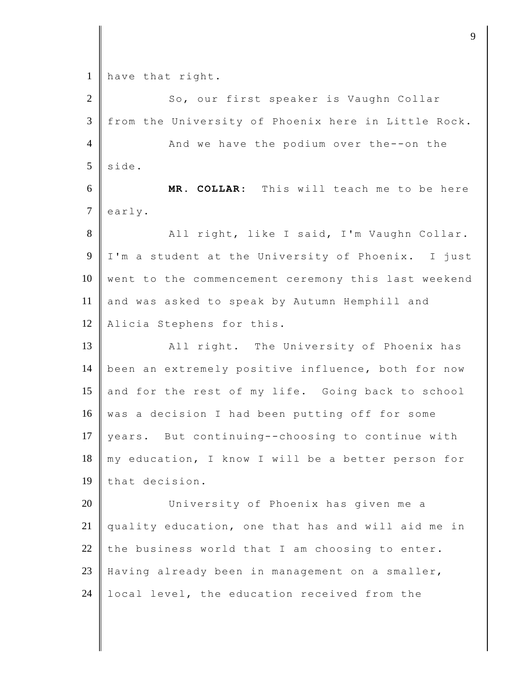1 have that right.

| $\overline{2}$ | So, our first speaker is Vaughn Collar              |
|----------------|-----------------------------------------------------|
| 3              | from the University of Phoenix here in Little Rock. |
| $\overline{4}$ | And we have the podium over the--on the             |
| 5              | side.                                               |
| 6              | MR. COLLAR: This will teach me to be here           |
| $\overline{7}$ | early.                                              |
| $8\,$          | All right, like I said, I'm Vaughn Collar.          |
| 9              | I'm a student at the University of Phoenix. I just  |
| 10             | went to the commencement ceremony this last weekend |
| 11             | and was asked to speak by Autumn Hemphill and       |
| 12             | Alicia Stephens for this.                           |
| 13             | All right. The University of Phoenix has            |
| 14             | been an extremely positive influence, both for now  |
| 15             | and for the rest of my life. Going back to school   |
| 16             | was a decision I had been putting off for some      |
| 17             | years. But continuing--choosing to continue with    |
| 18             | my education, I know I will be a better person for  |
| 19             | that decision.                                      |
| 20             | University of Phoenix has given me a                |
| 21             | quality education, one that has and will aid me in  |
| 22             | the business world that I am choosing to enter.     |
| 23             | Having already been in management on a smaller,     |
| 24             | local level, the education received from the        |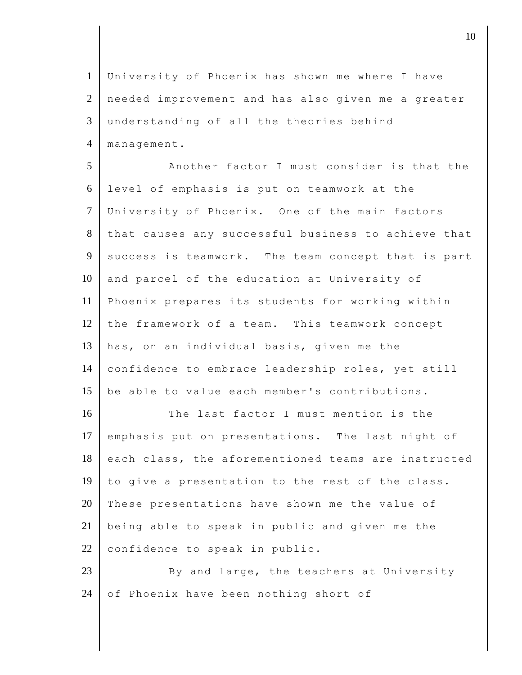University of Phoenix has shown me where I have needed improvement and has also given me a greater understanding of all the theories behind 4 | management.

5 Another factor I must consider is that the 6 level of emphasis is put on teamwork at the 7 University of Phoenix. One of the main factors 8 that causes any successful business to achieve that  $9$  success is teamwork. The team concept that is part 10 and parcel of the education at University of 11 Phoenix prepares its students for working within 12  $\parallel$  the framework of a team. This teamwork concept 13 has, on an individual basis, given me the 14 confidence to embrace leadership roles, yet still 15 be able to value each member's contributions.

16 The last factor I must mention is the 17 emphasis put on presentations. The last night of 18 each class, the aforementioned teams are instructed 19 to give a presentation to the rest of the class. 20 These presentations have shown me the value of 21 being able to speak in public and given me the 22 confidence to speak in public.

23 By and large, the teachers at University 24 of Phoenix have been nothing short of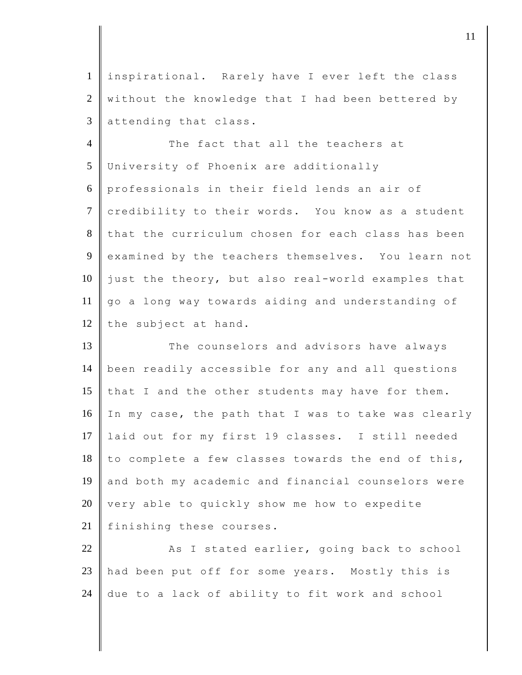1 inspirational. Rarely have I ever left the class  $2 \parallel$  without the knowledge that I had been bettered by  $3$  attending that class.

4 The fact that all the teachers at 5 University of Phoenix are additionally 6 professionals in their field lends an air of 7 credibility to their words. You know as a student 8 that the curriculum chosen for each class has been 9 examined by the teachers themselves. You learn not 10 just the theory, but also real-world examples that 11 go a long way towards aiding and understanding of 12 the subject at hand.

13 The counselors and advisors have always 14 been readily accessible for any and all questions 15 that I and the other students may have for them. 16 In my case, the path that I was to take was clearly 17 laid out for my first 19 classes. I still needed  $18$  to complete a few classes towards the end of this, 19 and both my academic and financial counselors were 20 very able to quickly show me how to expedite 21 finishing these courses.

22 As I stated earlier, going back to school 23 had been put off for some years. Mostly this is 24 due to a lack of ability to fit work and school

djecamental in the contract of  $\mathbf{11}$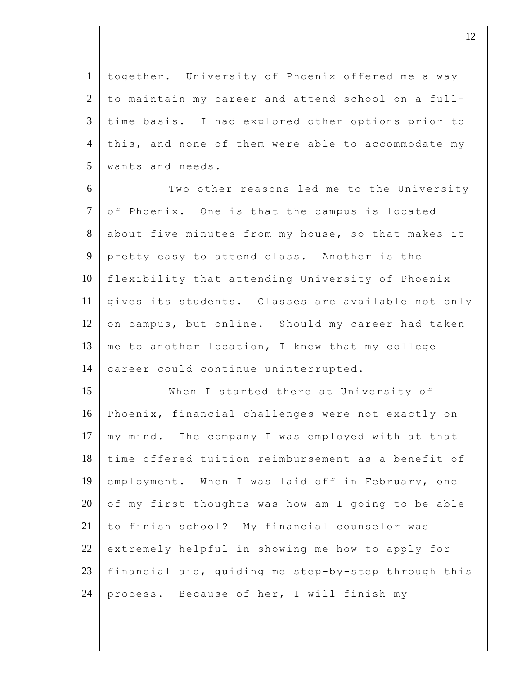1 together. University of Phoenix offered me a way  $2 \parallel$  to maintain my career and attend school on a full-3 time basis. I had explored other options prior to 4 this, and none of them were able to accommodate my 5 wants and needs.

6 Two other reasons led me to the University 7 of Phoenix. One is that the campus is located 8 about five minutes from my house, so that makes it 9 pretty easy to attend class. Another is the 10 flexibility that attending University of Phoenix 11 gives its students. Classes are available not only 12 on campus, but online. Should my career had taken 13  $\parallel$  me to another location, I knew that my college 14 career could continue uninterrupted.

15 When I started there at University of 16 Phoenix, financial challenges were not exactly on 17  $\parallel$  my mind. The company I was employed with at that 18 time offered tuition reimbursement as a benefit of 19 employment. When I was laid off in February, one 20  $\,$  of my first thoughts was how am I going to be able 21 to finish school? My financial counselor was  $22$  extremely helpful in showing me how to apply for 23 financial aid, guiding me step-by-step through this 24 process. Because of her, I will finish my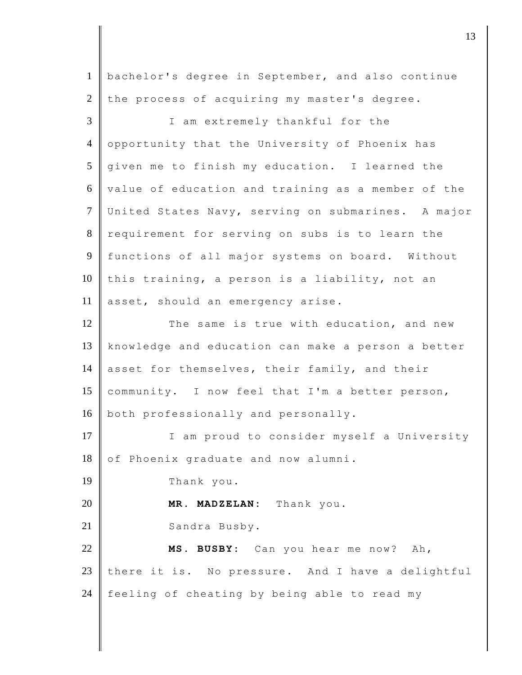1 bachelor's degree in September, and also continue  $2$  the process of acquiring my master's degree. 3 I am extremely thankful for the 4 opportunity that the University of Phoenix has 5 given me to finish my education. I learned the 6 value of education and training as a member of the 7 United States Navy, serving on submarines. A major 8 requirement for serving on subs is to learn the 9 functions of all major systems on board. Without 10 this training, a person is a liability, not an 11 asset, should an emergency arise. 12 The same is true with education, and new 13 knowledge and education can make a person a better 14 asset for themselves, their family, and their 15 community. I now feel that I'm a better person, 16 both professionally and personally. 17 I am proud to consider myself a University 18 of Phoenix graduate and now alumni. 19 Thank you. 20 **MR. MADZELAN:** Thank you. 21 Sandra Busby. 22 **MS. BUSBY:** Can you hear me now? Ah, 23 there it is. No pressure. And I have a delightful 24  $\parallel$  feeling of cheating by being able to read my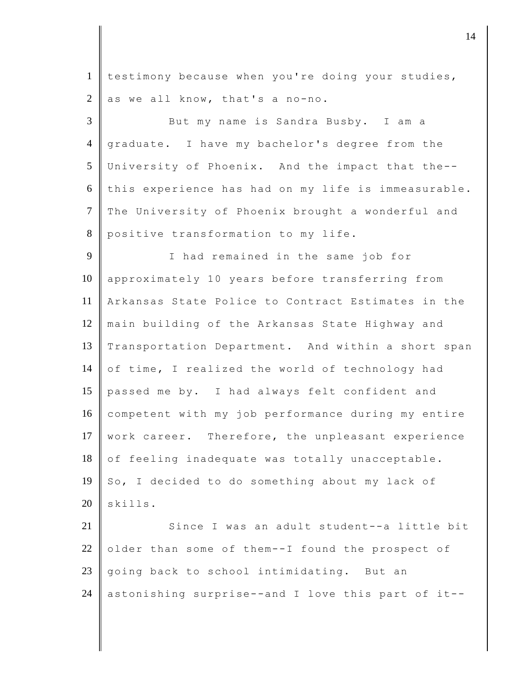1 testimony because when you're doing your studies, 2 as we all know, that's a no-no.

3 But my name is Sandra Busby. I am a 4 graduate. I have my bachelor's degree from the 5 University of Phoenix. And the impact that the--  $6$  this experience has had on my life is immeasurable. 7 The University of Phoenix brought a wonderful and 8 positive transformation to my life.

9 I had remained in the same job for 10 approximately 10 years before transferring from 11 Arkansas State Police to Contract Estimates in the 12 main building of the Arkansas State Highway and 13 Transportation Department. And within a short span 14  $\parallel$  of time, I realized the world of technology had 15 passed me by. I had always felt confident and 16 competent with my job performance during my entire 17 | work career. Therefore, the unpleasant experience 18 of feeling inadequate was totally unacceptable. 19  $\parallel$  So, I decided to do something about my lack of  $20$  skills.

21 Since I was an adult student--a little bit 22 older than some of them--I found the prospect of 23  $\parallel$  going back to school intimidating. But an 24 astonishing surprise--and I love this part of it--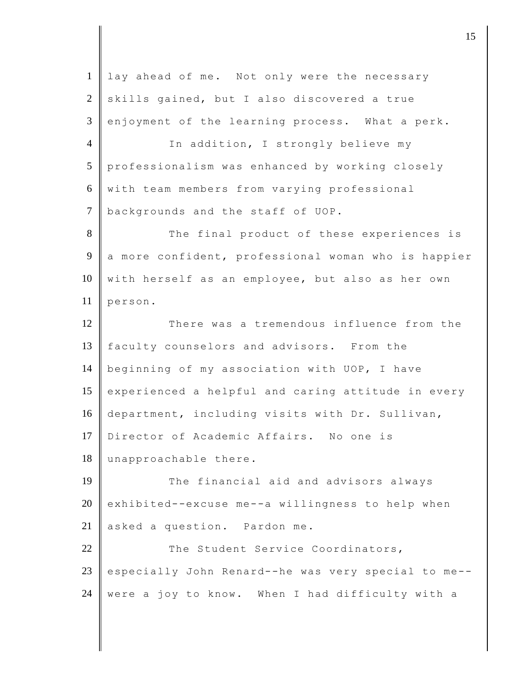| $\mathbf{1}$   | lay ahead of me. Not only were the necessary        |
|----------------|-----------------------------------------------------|
| $\overline{2}$ | skills gained, but I also discovered a true         |
| 3              | enjoyment of the learning process. What a perk.     |
| $\overline{4}$ | In addition, I strongly believe my                  |
| 5              | professionalism was enhanced by working closely     |
| 6              | with team members from varying professional         |
| $\tau$         | backgrounds and the staff of UOP.                   |
| $8\,$          | The final product of these experiences is           |
| 9              | a more confident, professional woman who is happier |
| 10             | with herself as an employee, but also as her own    |
| 11             | person.                                             |
| 12             | There was a tremendous influence from the           |
| 13             | faculty counselors and advisors. From the           |
| 14             | beginning of my association with UOP, I have        |
| 15             | experienced a helpful and caring attitude in every  |
| 16             | department, including visits with Dr. Sullivan,     |
| 17             | Director of Academic Affairs. No one is             |
| 18             | unapproachable there.                               |
| 19             | The financial aid and advisors always               |
| 20             | exhibited--excuse me--a willingness to help when    |
| 21             | asked a question. Pardon me.                        |
| 22             | The Student Service Coordinators,                   |
| 23             | especially John Renard--he was very special to me-- |
| 24             | were a joy to know. When I had difficulty with a    |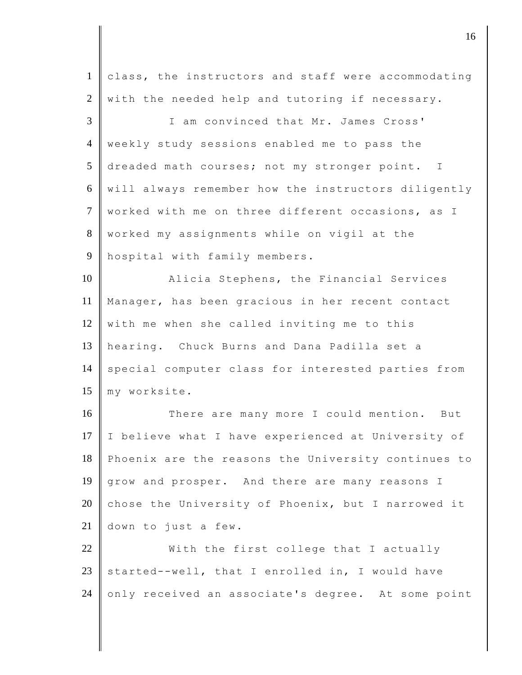| $\mathbf{1}$   | class, the instructors and staff were accommodating |
|----------------|-----------------------------------------------------|
| $\overline{2}$ | with the needed help and tutoring if necessary.     |
| 3              | I am convinced that Mr. James Cross'                |
| $\overline{4}$ | weekly study sessions enabled me to pass the        |
| 5              | dreaded math courses; not my stronger point. I      |
| 6              | will always remember how the instructors diligently |
| $\tau$         | worked with me on three different occasions, as I   |
| $8\,$          | worked my assignments while on vigil at the         |
| $\overline{9}$ | hospital with family members.                       |
| 10             | Alicia Stephens, the Financial Services             |
| 11             | Manager, has been gracious in her recent contact    |
| 12             | with me when she called inviting me to this         |
| 13             | hearing. Chuck Burns and Dana Padilla set a         |
| 14             | special computer class for interested parties from  |
| 15             | my worksite.                                        |
| 16             | There are many more I could mention. But            |
| 17             | I believe what I have experienced at University of  |
| 18             | Phoenix are the reasons the University continues to |
| 19             | grow and prosper. And there are many reasons I      |
| 20             | chose the University of Phoenix, but I narrowed it  |
| 21             | down to just a few.                                 |
| 22             | With the first college that I actually              |
| 23             | started--well, that I enrolled in, I would have     |
| 24             | only received an associate's degree. At some point  |
|                |                                                     |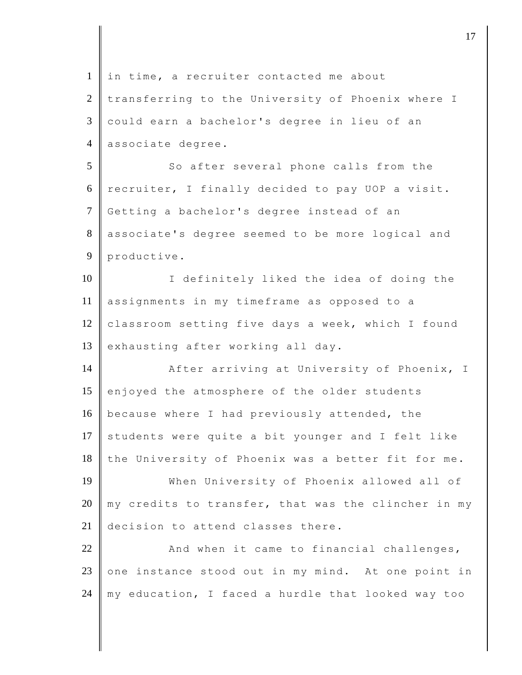| $\mathbf{1}$   | in time, a recruiter contacted me about             |
|----------------|-----------------------------------------------------|
| 2              | transferring to the University of Phoenix where I   |
| 3              | could earn a bachelor's degree in lieu of an        |
| $\overline{4}$ | associate degree.                                   |
| 5              | So after several phone calls from the               |
| 6              | recruiter, I finally decided to pay UOP a visit.    |
| $\tau$         | Getting a bachelor's degree instead of an           |
| 8              | associate's degree seemed to be more logical and    |
| 9              | productive.                                         |
| 10             | I definitely liked the idea of doing the            |
| 11             | assignments in my timeframe as opposed to a         |
| 12             | classroom setting five days a week, which I found   |
| 13             | exhausting after working all day.                   |
| 14             | After arriving at University of Phoenix, I          |
| 15             | enjoyed the atmosphere of the older students        |
| 16             | because where I had previously attended, the        |
| 17             | students were quite a bit younger and I felt like   |
| 18             | the University of Phoenix was a better fit for me.  |
| 19             | When University of Phoenix allowed all of           |
| 20             | my credits to transfer, that was the clincher in my |
| 21             | decision to attend classes there.                   |
| 22             | And when it came to financial challenges,           |
| 23             | one instance stood out in my mind. At one point in  |
| 24             | my education, I faced a hurdle that looked way too  |
|                |                                                     |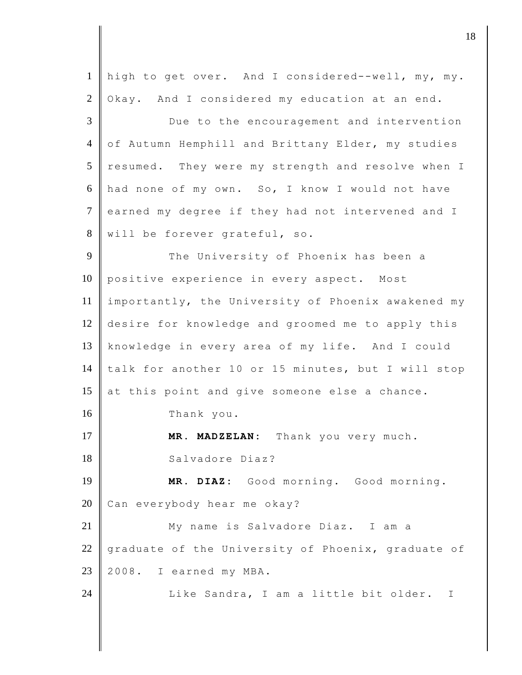| $\mathbf{1}$   | high to get over. And I considered--well, my, my.  |
|----------------|----------------------------------------------------|
| $\overline{2}$ | Okay. And I considered my education at an end.     |
| 3              | Due to the encouragement and intervention          |
| $\overline{4}$ | of Autumn Hemphill and Brittany Elder, my studies  |
| 5              | resumed. They were my strength and resolve when I  |
| 6              | had none of my own. So, I know I would not have    |
| $\overline{7}$ | earned my degree if they had not intervened and I  |
| 8              | will be forever grateful, so.                      |
| 9              | The University of Phoenix has been a               |
| 10             | positive experience in every aspect. Most          |
| 11             | importantly, the University of Phoenix awakened my |
| 12             | desire for knowledge and groomed me to apply this  |
| 13             | knowledge in every area of my life. And I could    |
| 14             | talk for another 10 or 15 minutes, but I will stop |
| 15             | at this point and give someone else a chance.      |
| 16             | Thank you.                                         |
| 17             | MR. MADZELAN: Thank you very much.                 |
| 18             | Salvadore Diaz?                                    |
| 19             | MR. DIAZ: Good morning. Good morning.              |
| 20             | Can everybody hear me okay?                        |
| 21             | My name is Salvadore Diaz. I am a                  |
| 22             | graduate of the University of Phoenix, graduate of |
| 23             | 2008.<br>I earned my MBA.                          |
| 24             | Like Sandra, I am a little bit older. I            |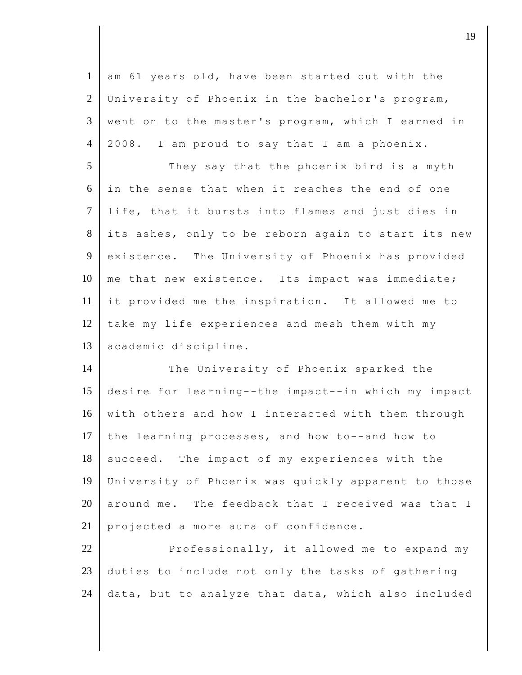| $\mathbf{1}$   | am 61 years old, have been started out with the     |
|----------------|-----------------------------------------------------|
| $\overline{2}$ | University of Phoenix in the bachelor's program,    |
| 3              | went on to the master's program, which I earned in  |
| $\overline{4}$ | 2008. I am proud to say that I am a phoenix.        |
| 5              | They say that the phoenix bird is a myth            |
| 6              | in the sense that when it reaches the end of one    |
| $\overline{7}$ | life, that it bursts into flames and just dies in   |
| $8\,$          | its ashes, only to be reborn again to start its new |
| 9              | existence. The University of Phoenix has provided   |
| 10             | me that new existence. Its impact was immediate;    |
| 11             | it provided me the inspiration. It allowed me to    |
| 12             | take my life experiences and mesh them with my      |
|                |                                                     |
| 13             | academic discipline.                                |
| 14             | The University of Phoenix sparked the               |
| 15             | desire for learning--the impact--in which my impact |
| 16             | with others and how I interacted with them through  |
| 17             | the learning processes, and how to--and how to      |
| 18             | succeed. The impact of my experiences with the      |
| 19             | University of Phoenix was quickly apparent to those |
| 20             | around me. The feedback that I received was that I  |
| 21             | projected a more aura of confidence.                |
| 22             | Professionally, it allowed me to expand my          |
| $23\,$         | duties to include not only the tasks of gathering   |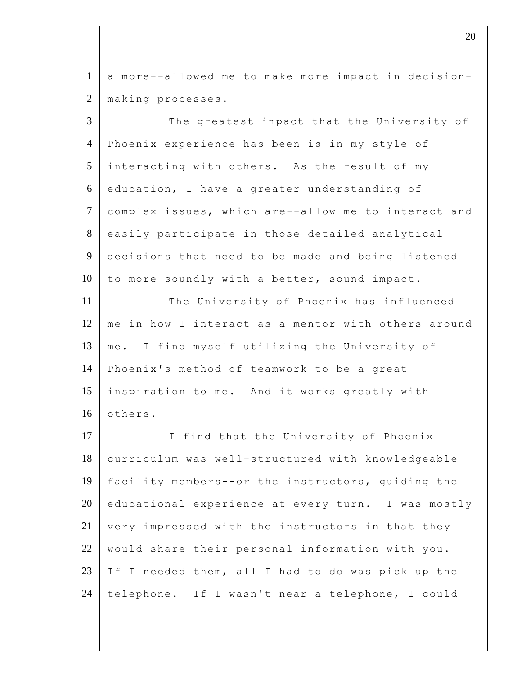1 a more--allowed me to make more impact in decision-2 | making processes.

3 The greatest impact that the University of 4 Phoenix experience has been is in my style of 5 interacting with others. As the result of my  $6 \parallel$  education, I have a greater understanding of 7 complex issues, which are--allow me to interact and 8 easily participate in those detailed analytical 9 decisions that need to be made and being listened 10  $\parallel$  to more soundly with a better, sound impact. 11 The University of Phoenix has influenced 12 me in how I interact as a mentor with others around 13 me. I find myself utilizing the University of 14 Phoenix's method of teamwork to be a great 15 inspiration to me. And it works greatly with  $16$  others. 17 | I find that the University of Phoenix 18 curriculum was well-structured with knowledgeable 19 facility members--or the instructors, guiding the 20 educational experience at every turn. I was mostly 21 very impressed with the instructors in that they 22 | would share their personal information with you. 23 If I needed them, all I had to do was pick up the 24 telephone. If I wasn't near a telephone, I could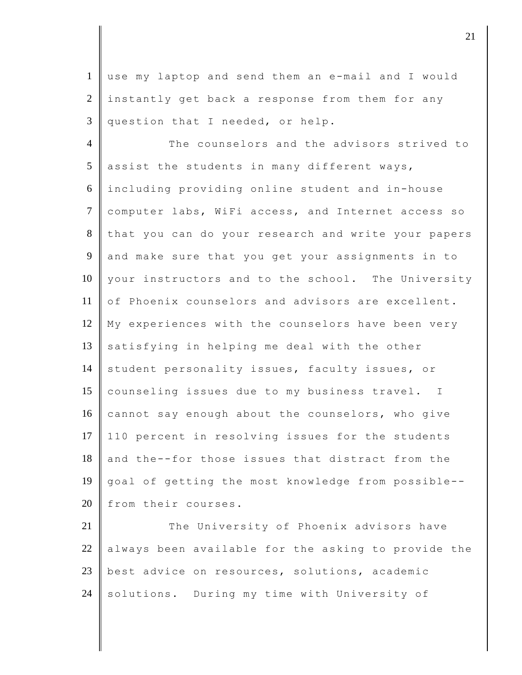1 use my laptop and send them an e-mail and I would  $2$  instantly get back a response from them for any  $3$  question that I needed, or help.

4 The counselors and the advisors strived to  $5$  assist the students in many different ways, 6 including providing online student and in-house 7 computer labs, WiFi access, and Internet access so 8 that you can do your research and write your papers 9 and make sure that you get your assignments in to 10 your instructors and to the school. The University 11 of Phoenix counselors and advisors are excellent. 12 My experiences with the counselors have been very 13 satisfying in helping me deal with the other 14 student personality issues, faculty issues, or 15 counseling issues due to my business travel. I  $16$  cannot say enough about the counselors, who give 17 110 percent in resolving issues for the students  $18$  and the--for those issues that distract from the 19 goal of getting the most knowledge from possible-- 20 from their courses.

21 The University of Phoenix advisors have  $22$  always been available for the asking to provide the 23 best advice on resources, solutions, academic 24 solutions. During my time with University of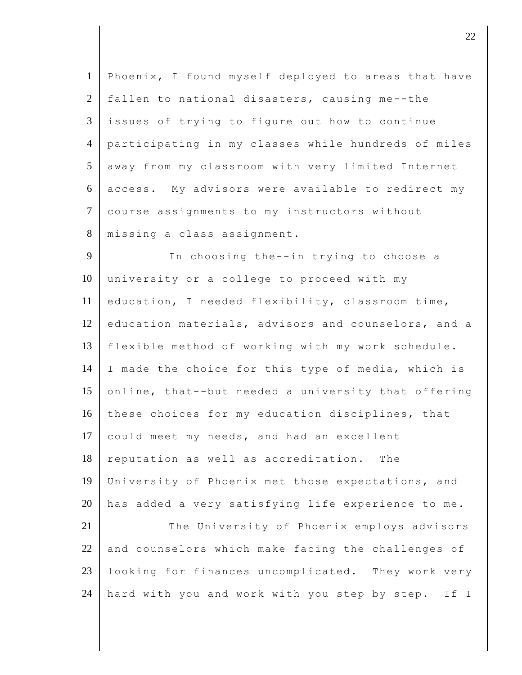| $\mathbf{1}$   | Phoenix, I found myself deployed to areas that have   |
|----------------|-------------------------------------------------------|
| 2              | fallen to national disasters, causing me--the         |
| $\mathfrak{Z}$ | issues of trying to figure out how to continue        |
| $\overline{4}$ | participating in my classes while hundreds of miles   |
| 5              | away from my classroom with very limited Internet     |
| 6              | access. My advisors were available to redirect my     |
| $\overline{7}$ | course assignments to my instructors without          |
| 8              | missing a class assignment.                           |
| 9              | In choosing the--in trying to choose a                |
| 10             | university or a college to proceed with my            |
| 11             | education, I needed flexibility, classroom time,      |
| 12             | education materials, advisors and counselors, and a   |
| 13             | flexible method of working with my work schedule.     |
| 14             | I made the choice for this type of media, which is    |
| 15             | online, that--but needed a university that offering   |
| 16             | these choices for my education disciplines, that      |
| 17             | could meet my needs, and had an excellent             |
| 18             | reputation as well as accreditation.<br>The           |
| 19             | University of Phoenix met those expectations, and     |
| 20             | has added a very satisfying life experience to me.    |
| 21             | The University of Phoenix employs advisors            |
| 22             | and counselors which make facing the challenges of    |
| 23             | looking for finances uncomplicated. They work very    |
| 24             | hard with you and work with you step by step.<br>If I |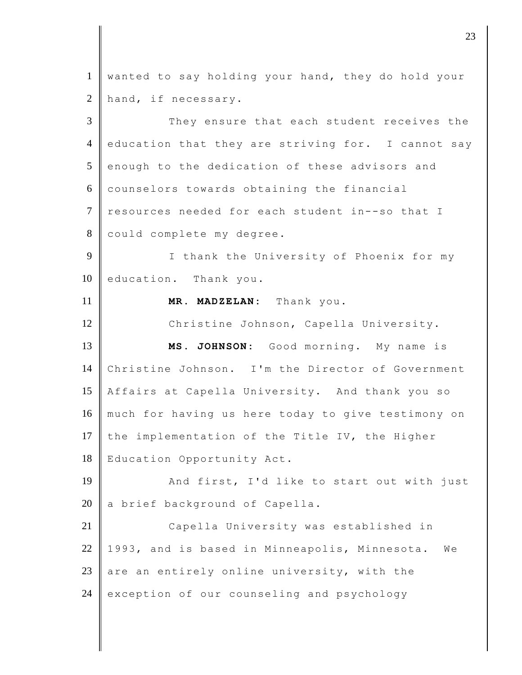1 wanted to say holding your hand, they do hold your 2 hand, if necessary. 3 They ensure that each student receives the 4 education that they are striving for. I cannot say 5 enough to the dedication of these advisors and 6 counselors towards obtaining the financial 7 resources needed for each student in--so that I 8 could complete my degree. 9 I thank the University of Phoenix for my 10 education. Thank you. 11 **MR. MADZELAN:** Thank you. 12 Christine Johnson, Capella University. 13 **MS. JOHNSON:** Good morning. My name is 14 Christine Johnson. I'm the Director of Government 15 Affairs at Capella University. And thank you so 16 much for having us here today to give testimony on 17 the implementation of the Title IV, the Higher 18 Education Opportunity Act. 19 And first, I'd like to start out with just  $20$  a brief background of Capella. 21 Capella University was established in 22 | 1993, and is based in Minneapolis, Minnesota. We 23 are an entirely online university, with the 24 exception of our counseling and psychology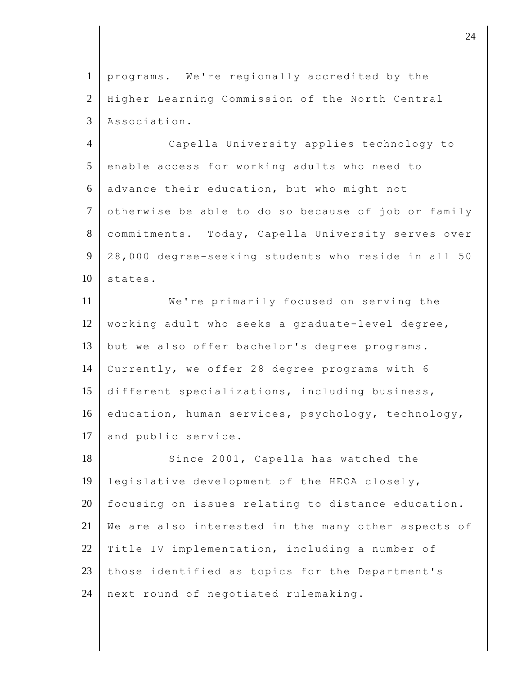1 programs. We're regionally accredited by the 2 Higher Learning Commission of the North Central 3 Association.

4 Capella University applies technology to 5 enable access for working adults who need to 6 advance their education, but who might not 7 otherwise be able to do so because of job or family 8 commitments. Today, Capella University serves over 9 28,000 degree-seeking students who reside in all 50 10 states.

11 **We're** primarily focused on serving the 12 | working adult who seeks a graduate-level degree, 13 | but we also offer bachelor's degree programs. 14 Currently, we offer 28 degree programs with 6 15 different specializations, including business, 16 education, human services, psychology, technology, 17 and public service.

18 Since 2001, Capella has watched the 19 legislative development of the HEOA closely, 20 focusing on issues relating to distance education. 21 We are also interested in the many other aspects of 22 Title IV implementation, including a number of 23 those identified as topics for the Department's 24  $\parallel$  next round of negotiated rulemaking.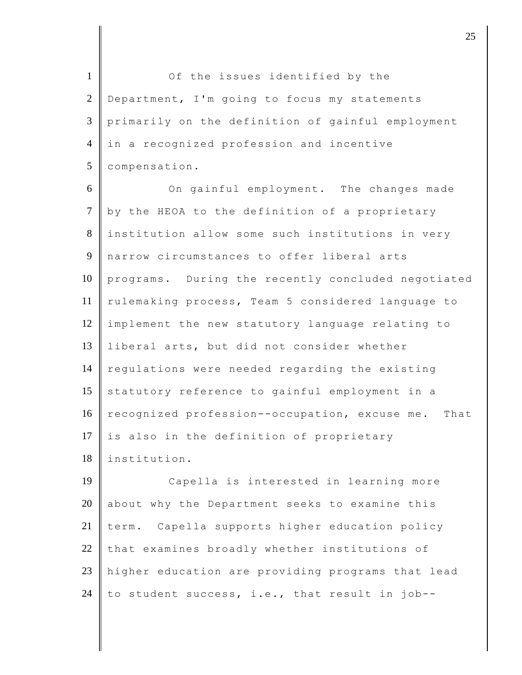1 Of the issues identified by the 2 Department, I'm going to focus my statements 3 primarily on the definition of gainful employment 4 in a recognized profession and incentive 5 | compensation.

6 On gainful employment. The changes made  $7$  by the HEOA to the definition of a proprietary 8 institution allow some such institutions in very 9 narrow circumstances to offer liberal arts 10 programs. During the recently concluded negotiated 11 | rulemaking process, Team 5 considered language to 12 implement the new statutory language relating to 13 liberal arts, but did not consider whether 14 regulations were needed regarding the existing 15 statutory reference to gainful employment in a 16 recognized profession--occupation, excuse me. That 17 is also in the definition of proprietary 18 institution.

 Capella is interested in learning more about why the Department seeks to examine this  $\parallel$  term. Capella supports higher education policy that examines broadly whether institutions of 23 | higher education are providing programs that lead 24 to student success, i.e., that result in job--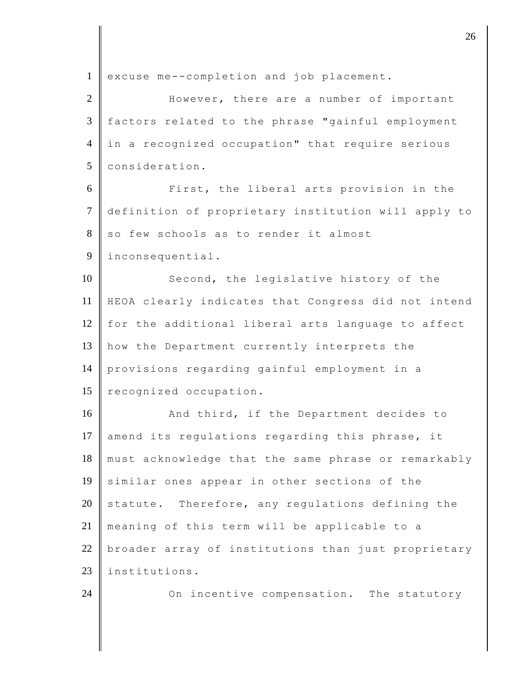| $\mathbf{1}$   | excuse me--completion and job placement.            |
|----------------|-----------------------------------------------------|
| $\overline{2}$ | However, there are a number of important            |
| 3              | factors related to the phrase "gainful employment   |
| $\overline{4}$ | in a recognized occupation" that require serious    |
| 5              | consideration.                                      |
| 6              | First, the liberal arts provision in the            |
| $\tau$         | definition of proprietary institution will apply to |
| 8              | so few schools as to render it almost               |
| 9              | inconsequential.                                    |
| 10             | Second, the legislative history of the              |
| 11             | HEOA clearly indicates that Congress did not intend |
| 12             | for the additional liberal arts language to affect  |
| 13             | how the Department currently interprets the         |
| 14             | provisions regarding gainful employment in a        |
| 15             | recognized occupation.                              |
| 16             | And third, if the Department decides to             |
| 17             | amend its regulations regarding this phrase, it     |
| 18             | must acknowledge that the same phrase or remarkably |
| 19             | similar ones appear in other sections of the        |
| 20             | statute. Therefore, any regulations defining the    |
| 21             | meaning of this term will be applicable to a        |
| 22             | broader array of institutions than just proprietary |
| 23             | institutions.                                       |
| 24             | On incentive compensation. The statutory            |
|                |                                                     |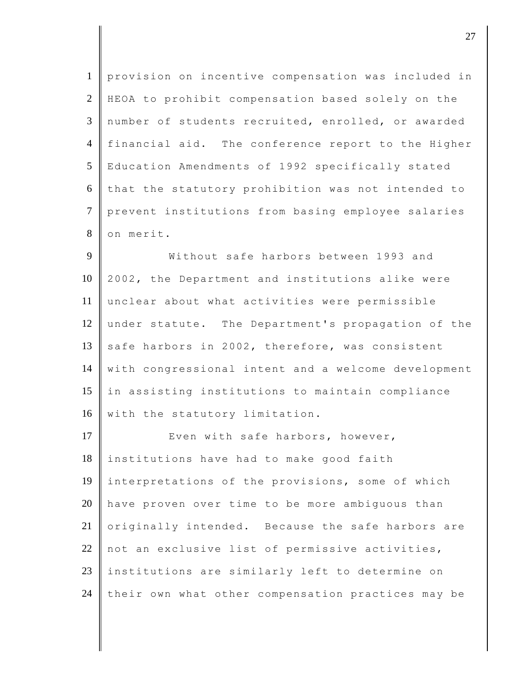| $\mathbf{1}$   | provision on incentive compensation was included in |
|----------------|-----------------------------------------------------|
| $\overline{2}$ | HEOA to prohibit compensation based solely on the   |
| 3              | number of students recruited, enrolled, or awarded  |
| $\overline{4}$ | financial aid. The conference report to the Higher  |
| 5              | Education Amendments of 1992 specifically stated    |
| 6              | that the statutory prohibition was not intended to  |
| $\overline{7}$ | prevent institutions from basing employee salaries  |
| 8              | on merit.                                           |
| 9              | Without safe harbors between 1993 and               |
| 10             | 2002, the Department and institutions alike were    |
| 11             | unclear about what activities were permissible      |
| 12             | under statute. The Department's propagation of the  |
| 13             | safe harbors in 2002, therefore, was consistent     |
| 14             | with congressional intent and a welcome development |
| 15             | in assisting institutions to maintain compliance    |
| 16             | with the statutory limitation.                      |
| 17             | Even with safe harbors, however,                    |
| 18             | institutions have had to make good faith            |
| 19             | interpretations of the provisions, some of which    |
| 20             | have proven over time to be more ambiguous than     |
| 21             | originally intended. Because the safe harbors are   |
| 22             | not an exclusive list of permissive activities,     |
| 23             | institutions are similarly left to determine on     |
| 24             | their own what other compensation practices may be  |

 $\overline{\phantom{a}}$  27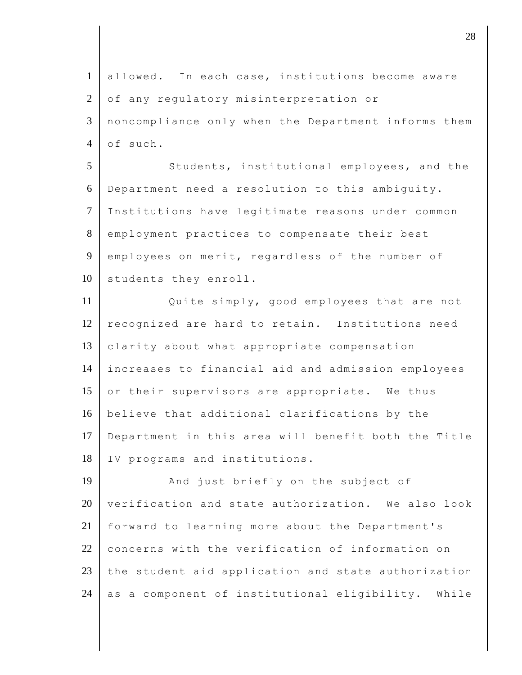1 allowed. In each case, institutions become aware 2 of any regulatory misinterpretation or 3 noncompliance only when the Department informs them  $4$  of such. 5 Students, institutional employees, and the 6 Department need a resolution to this ambiguity. 7 Institutions have legitimate reasons under common 8 employment practices to compensate their best 9 employees on merit, regardless of the number of 10 students they enroll. 11 Quite simply, good employees that are not 12 recognized are hard to retain. Institutions need 13 **Clarity** about what appropriate compensation 14 increases to financial aid and admission employees 15 or their supervisors are appropriate. We thus 16 believe that additional clarifications by the 17 Department in this area will benefit both the Title 18 | IV programs and institutions. 19 And just briefly on the subject of  $20$  verification and state authorization. We also look 21 forward to learning more about the Department's 22 concerns with the verification of information on  $23$  the student aid application and state authorization 24  $\parallel$  as a component of institutional eligibility. While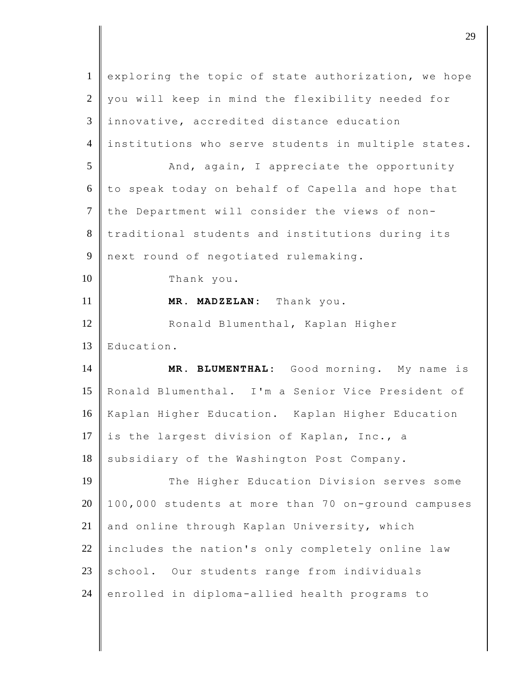| $\mathbf{1}$   | exploring the topic of state authorization, we hope |
|----------------|-----------------------------------------------------|
| $\overline{2}$ | you will keep in mind the flexibility needed for    |
| 3              | innovative, accredited distance education           |
| $\overline{4}$ | institutions who serve students in multiple states. |
| 5              | And, again, I appreciate the opportunity            |
| 6              | to speak today on behalf of Capella and hope that   |
| $\tau$         | the Department will consider the views of non-      |
| $8\,$          | traditional students and institutions during its    |
| 9              | next round of negotiated rulemaking.                |
| 10             | Thank you.                                          |
| 11             | MR. MADZELAN: Thank you.                            |
| 12             | Ronald Blumenthal, Kaplan Higher                    |
|                |                                                     |
| 13             | Education.                                          |
| 14             | MR. BLUMENTHAL: Good morning. My name is            |
| 15             | Ronald Blumenthal. I'm a Senior Vice President of   |
| 16             | Kaplan Higher Education. Kaplan Higher Education    |
| 17             | is the largest division of Kaplan, Inc., a          |
| 18             | subsidiary of the Washington Post Company.          |
| 19             | The Higher Education Division serves some           |
| 20             | 100,000 students at more than 70 on-ground campuses |
| 21             | and online through Kaplan University, which         |
| 22             | includes the nation's only completely online law    |
| 23             | school. Our students range from individuals         |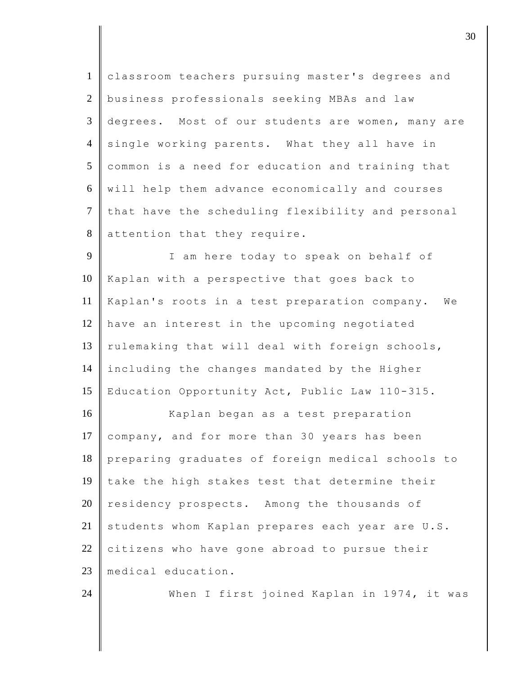| $\mathbf{1}$   | classroom teachers pursuing master's degrees and  |
|----------------|---------------------------------------------------|
| $\overline{2}$ | business professionals seeking MBAs and law       |
| 3              | degrees. Most of our students are women, many are |
| $\overline{4}$ | single working parents. What they all have in     |
| 5              | common is a need for education and training that  |
| 6              | will help them advance economically and courses   |
| $\overline{7}$ | that have the scheduling flexibility and personal |
| 8              | attention that they require.                      |
| 9              | I am here today to speak on behalf of             |
| 10             | Kaplan with a perspective that goes back to       |
| 11             | Kaplan's roots in a test preparation company. We  |
| 12             | have an interest in the upcoming negotiated       |
| 13             | rulemaking that will deal with foreign schools,   |
| 14             | including the changes mandated by the Higher      |
| 15             | Education Opportunity Act, Public Law 110-315.    |
| 16             | Kaplan began as a test preparation                |
| 17             | company, and for more than 30 years has been      |
| 18             | preparing graduates of foreign medical schools to |
| 19             | take the high stakes test that determine their    |
| 20             | residency prospects. Among the thousands of       |
| 21             | students whom Kaplan prepares each year are U.S.  |
| 22             | citizens who have gone abroad to pursue their     |
| 23             | medical education.                                |
| 24             | When I first joined Kaplan in 1974, it was        |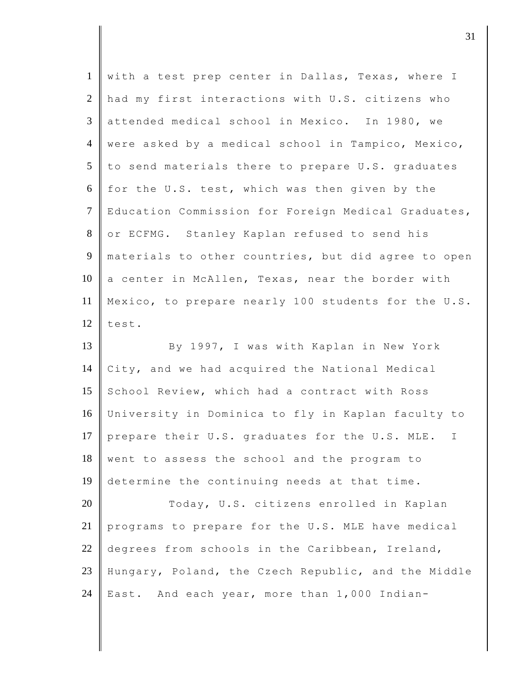| $\mathbf{1}$   | with a test prep center in Dallas, Texas, where I   |
|----------------|-----------------------------------------------------|
| 2              | had my first interactions with U.S. citizens who    |
| 3              | attended medical school in Mexico. In 1980, we      |
| $\overline{4}$ | were asked by a medical school in Tampico, Mexico,  |
| 5              | to send materials there to prepare U.S. graduates   |
| 6              | for the U.S. test, which was then given by the      |
| $\tau$         | Education Commission for Foreign Medical Graduates, |
| 8              | or ECFMG. Stanley Kaplan refused to send his        |
| 9              | materials to other countries, but did agree to open |
| 10             | a center in McAllen, Texas, near the border with    |
| 11             | Mexico, to prepare nearly 100 students for the U.S. |
| 12             | test.                                               |
| 13             | By 1997, I was with Kaplan in New York              |
| 14             | City, and we had acquired the National Medical      |
| 15             | School Review, which had a contract with Ross       |
| 16             | University in Dominica to fly in Kaplan faculty to  |
| 17             | prepare their U.S. graduates for the U.S. MLE.<br>I |
| 18             | went to assess the school and the program to        |
| 19             | determine the continuing needs at that time.        |
| 20             | Today, U.S. citizens enrolled in Kaplan             |
| 21             | programs to prepare for the U.S. MLE have medical   |
|                |                                                     |
|                | degrees from schools in the Caribbean, Ireland,     |
| 22<br>23       | Hungary, Poland, the Czech Republic, and the Middle |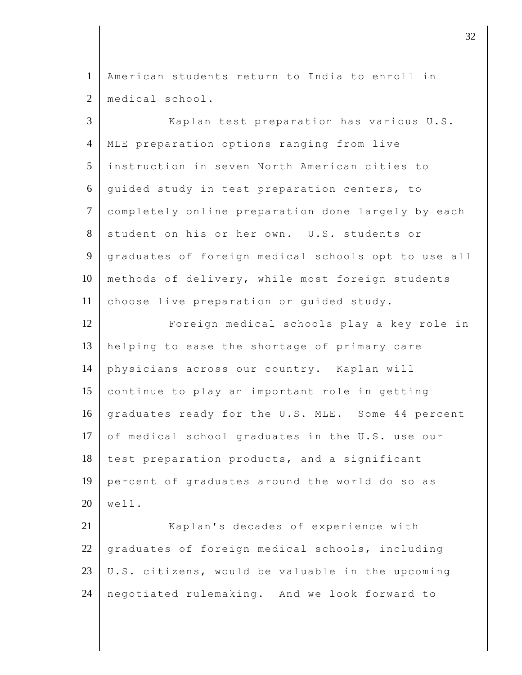1 American students return to India to enroll in 2 | medical school.

3 Kaplan test preparation has various U.S. 4 MLE preparation options ranging from live 5 instruction in seven North American cities to 6 guided study in test preparation centers, to 7 completely online preparation done largely by each 8 student on his or her own. U.S. students or 9 graduates of foreign medical schools opt to use all 10 methods of delivery, while most foreign students 11 choose live preparation or quided study. 12 Foreign medical schools play a key role in 13 helping to ease the shortage of primary care

14 physicians across our country. Kaplan will 15 continue to play an important role in getting 16 graduates ready for the U.S. MLE. Some 44 percent 17  $\circ$  of medical school graduates in the U.S. use our 18 test preparation products, and a significant 19 percent of graduates around the world do so as  $20 \parallel$  well.

21 Kaplan's decades of experience with  $22$   $\parallel$  graduates of foreign medical schools, including 23  $\vert\vert$  U.S. citizens, would be valuable in the upcoming 24 negotiated rulemaking. And we look forward to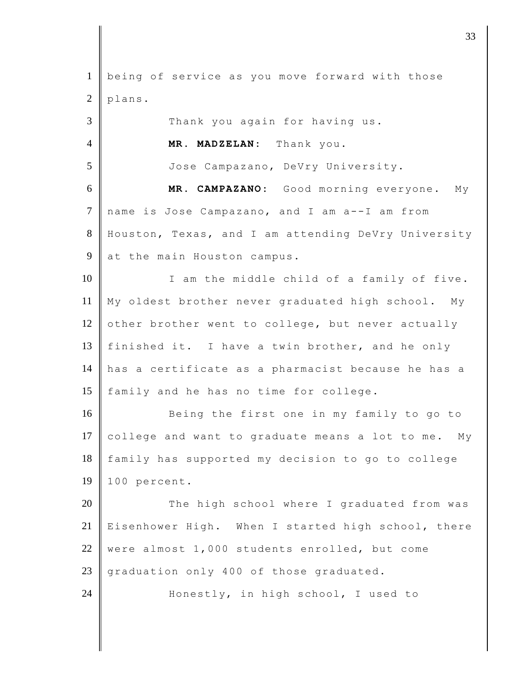1 being of service as you move forward with those  $2$  plans. 3 Thank you again for having us. 4 **MR. MADZELAN:** Thank you. 5 Jose Campazano, DeVry University. 6 **MR. CAMPAZANO:** Good morning everyone. My 7 name is Jose Campazano, and I am a--I am from 8 Houston, Texas, and I am attending DeVry University 9 at the main Houston campus. 10 I am the middle child of a family of five. 11 My oldest brother never graduated high school. My 12 other brother went to college, but never actually 13 finished it. I have a twin brother, and he only 14 has a certificate as a pharmacist because he has a 15 family and he has no time for college. 16 Being the first one in my family to go to 17 college and want to graduate means a lot to me. My 18 family has supported my decision to go to college 19 100 percent. 20 The high school where I graduated from was 21 Eisenhower High. When I started high school, there 22 were almost 1,000 students enrolled, but come 23 graduation only 400 of those graduated. 24 Honestly, in high school, I used to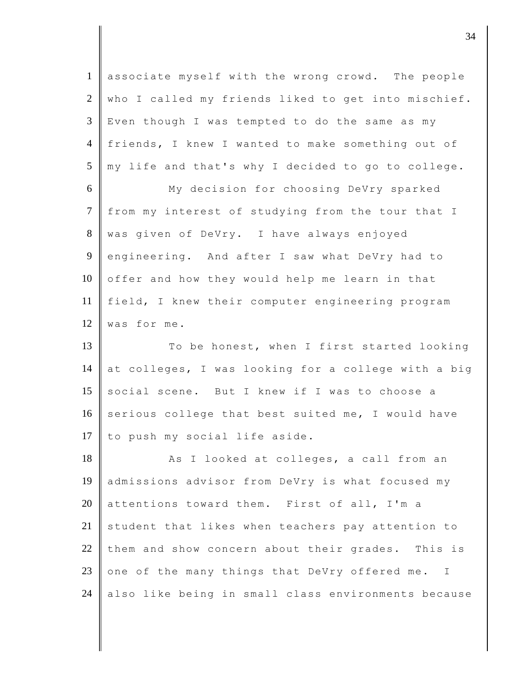| $\mathbf{1}$   | associate myself with the wrong crowd. The people             |
|----------------|---------------------------------------------------------------|
| $\overline{2}$ | who I called my friends liked to get into mischief.           |
| $\mathfrak{Z}$ | Even though I was tempted to do the same as my                |
| $\overline{4}$ | friends, I knew I wanted to make something out of             |
| 5              | my life and that's why I decided to go to college.            |
| 6              | My decision for choosing DeVry sparked                        |
| $\overline{7}$ | from my interest of studying from the tour that I             |
| 8              | was given of DeVry. I have always enjoyed                     |
| 9              | engineering. And after I saw what DeVry had to                |
| 10             | offer and how they would help me learn in that                |
| 11             | field, I knew their computer engineering program              |
| 12             | was for me.                                                   |
| 13             | To be honest, when I first started looking                    |
| 14             | at colleges, I was looking for a college with a big           |
| 15             | social scene. But I knew if I was to choose a                 |
| 16             | serious college that best suited me, I would have             |
| 17             | to push my social life aside.                                 |
| 18             | As I looked at colleges, a call from an                       |
| 19             | admissions advisor from DeVry is what focused my              |
| 20             | attentions toward them. First of all, I'm a                   |
| 21             | student that likes when teachers pay attention to             |
| 22             | them and show concern about their grades. This is             |
| 23             | one of the many things that DeVry offered me.<br>$\mathbb{I}$ |
|                |                                                               |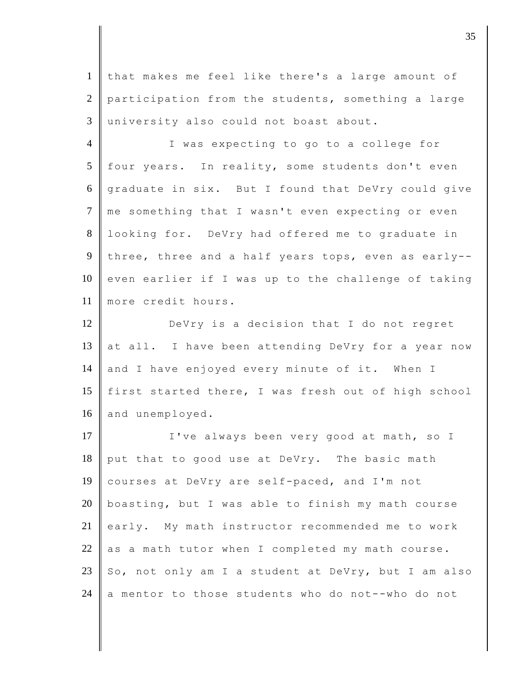1 that makes me feel like there's a large amount of 2 participation from the students, something a large 3 university also could not boast about.

4 I was expecting to go to a college for  $5$  four years. In reality, some students don't even 6 graduate in six. But I found that DeVry could give 7 me something that I wasn't even expecting or even 8 | looking for. DeVry had offered me to graduate in 9 three, three and a half years tops, even as early--10 even earlier if I was up to the challenge of taking 11 more credit hours.

12 DeVry is a decision that I do not regret 13 at all. I have been attending DeVry for a year now 14 and I have enjoyed every minute of it. When I 15 first started there, I was fresh out of high school 16 and unemployed.

17 I've always been very good at math, so I put that to good use at DeVry. The basic math courses at DeVry are self-paced, and I'm not 20 boasting, but I was able to finish my math course early. My math instructor recommended me to work as a math tutor when I completed my math course. 23 So, not only am I a student at DeVry, but I am also  $\parallel$  a mentor to those students who do not--who do not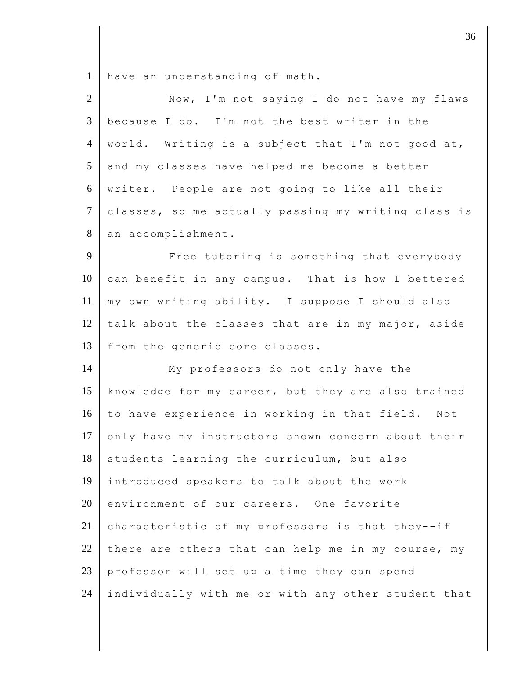1 have an understanding of math.

| $\overline{2}$ | Now, I'm not saying I do not have my flaws          |
|----------------|-----------------------------------------------------|
| 3              | because I do. I'm not the best writer in the        |
| $\overline{4}$ | world. Writing is a subject that I'm not good at,   |
| 5              | and my classes have helped me become a better       |
| 6              | writer. People are not going to like all their      |
| $\tau$         | classes, so me actually passing my writing class is |
| $8\,$          | an accomplishment.                                  |
| 9              | Free tutoring is something that everybody           |
| 10             | can benefit in any campus. That is how I bettered   |
| 11             | my own writing ability. I suppose I should also     |
| 12             | talk about the classes that are in my major, aside  |
| 13             | from the generic core classes.                      |
| 14             | My professors do not only have the                  |
| 15             | knowledge for my career, but they are also trained  |
| 16             | to have experience in working in that field. Not    |
| 17             | only have my instructors shown concern about their  |
| 18             | students learning the curriculum, but also          |
| 19             | introduced speakers to talk about the work          |
| 20             | environment of our careers. One favorite            |
| 21             | characteristic of my professors is that they--if    |
| 22             | there are others that can help me in my course, my  |
| 23             | professor will set up a time they can spend         |
| 24             | individually with me or with any other student that |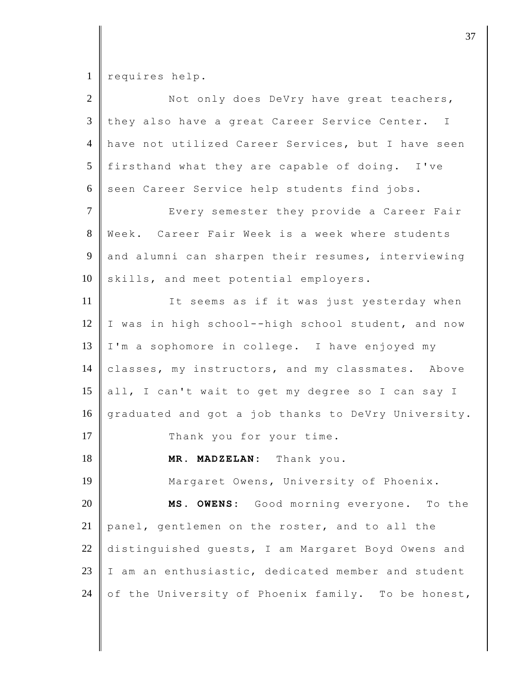1 requires help.

| $\overline{2}$ | Not only does DeVry have great teachers,            |
|----------------|-----------------------------------------------------|
| 3              | they also have a great Career Service Center. I     |
| $\overline{4}$ | have not utilized Career Services, but I have seen  |
| 5              | firsthand what they are capable of doing. I've      |
| 6              | seen Career Service help students find jobs.        |
| $\overline{7}$ | Every semester they provide a Career Fair           |
| 8              | Week. Career Fair Week is a week where students     |
| 9              | and alumni can sharpen their resumes, interviewing  |
| 10             | skills, and meet potential employers.               |
| 11             | It seems as if it was just yesterday when           |
| 12             | I was in high school--high school student, and now  |
| 13             | I'm a sophomore in college. I have enjoyed my       |
| 14             | classes, my instructors, and my classmates. Above   |
| 15             | all, I can't wait to get my degree so I can say I   |
| 16             | graduated and got a job thanks to DeVry University. |
| 17             | Thank you for your time.                            |
| 18             | MR. MADZELAN: Thank you.                            |
| 19             | Margaret Owens, University of Phoenix.              |
| 20             | MS. OWENS: Good morning everyone.<br>To the         |
| 21             | panel, gentlemen on the roster, and to all the      |
| $22\,$         | distinguished guests, I am Margaret Boyd Owens and  |
| 23             | I am an enthusiastic, dedicated member and student  |
| 24             | of the University of Phoenix family. To be honest,  |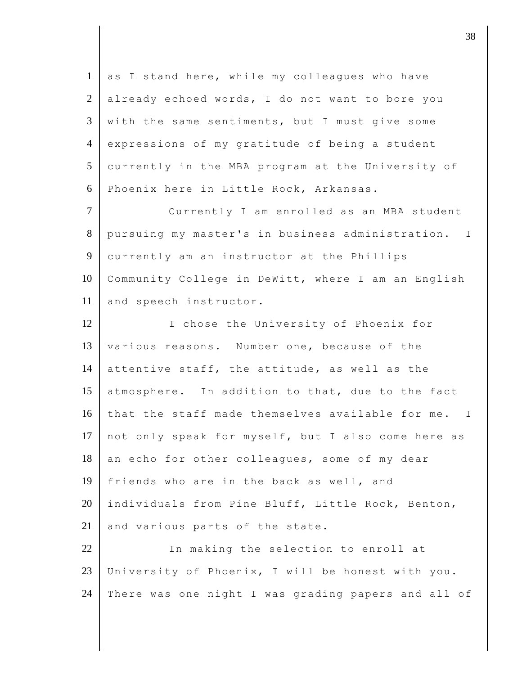1 as I stand here, while my colleagues who have  $2$  already echoed words, I do not want to bore you  $3 \parallel$  with the same sentiments, but I must give some 4 expressions of my gratitude of being a student 5 currently in the MBA program at the University of 6 Phoenix here in Little Rock, Arkansas. 7 Currently I am enrolled as an MBA student 8 pursuing my master's in business administration. I 9 currently am an instructor at the Phillips 10 Community College in DeWitt, where I am an English 11 and speech instructor. 12 I chose the University of Phoenix for 13 various reasons. Number one, because of the 14 attentive staff, the attitude, as well as the 15 atmosphere. In addition to that, due to the fact 16 that the staff made themselves available for me. I 17 not only speak for myself, but I also come here as  $18$  an echo for other colleagues, some of my dear 19 friends who are in the back as well, and 20 individuals from Pine Bluff, Little Rock, Benton,  $21$  and various parts of the state. 22 In making the selection to enroll at 23 University of Phoenix, I will be honest with you. 24 There was one night I was grading papers and all of

 $\vert$  38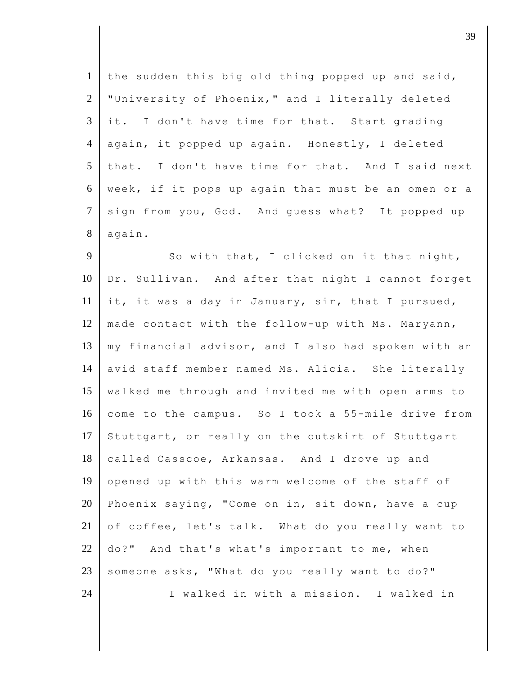| $\mathbf{1}$    | the sudden this big old thing popped up and said,   |
|-----------------|-----------------------------------------------------|
| $\overline{2}$  | "University of Phoenix," and I literally deleted    |
| $\mathfrak{Z}$  | it. I don't have time for that. Start grading       |
| $\overline{4}$  | again, it popped up again. Honestly, I deleted      |
| $5\overline{)}$ | that. I don't have time for that. And I said next   |
| 6               | week, if it pops up again that must be an omen or a |
| $\tau$          | sign from you, God. And guess what? It popped up    |
| 8               | again.                                              |
| 9               | So with that, I clicked on it that night,           |
| 10              | Dr. Sullivan. And after that night I cannot forget  |
| 11              | it, it was a day in January, sir, that I pursued,   |
| 12              | made contact with the follow-up with Ms. Maryann,   |
| 13              | my financial advisor, and I also had spoken with an |
| 14              | avid staff member named Ms. Alicia. She literally   |
| 15              | walked me through and invited me with open arms to  |
| 16              | come to the campus. So I took a 55-mile drive from  |
| 17              | Stuttgart, or really on the outskirt of Stuttgart   |
| 18              | called Casscoe, Arkansas. And I drove up and        |
| 19              | opened up with this warm welcome of the staff of    |
| 20              | Phoenix saying, "Come on in, sit down, have a cup   |
| 21              | of coffee, let's talk. What do you really want to   |
| 22              | do?" And that's what's important to me, when        |
| 23              | someone asks, "What do you really want to do?"      |
| 24              | I walked in with a mission. I walked in             |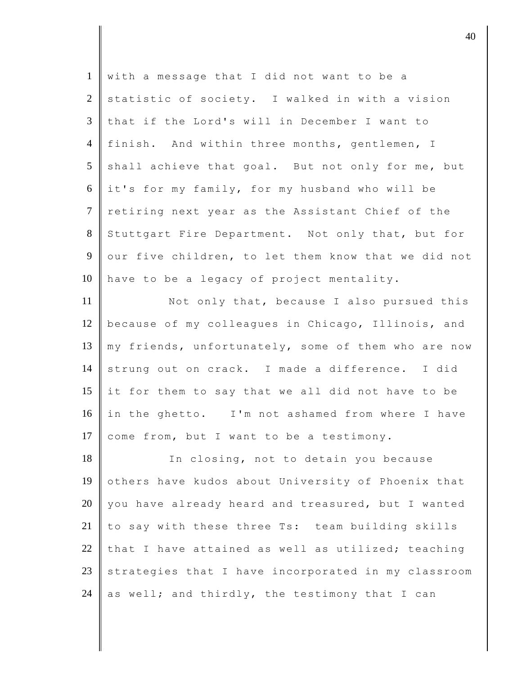| $\mathbf{1}$    | with a message that I did not want to be a          |
|-----------------|-----------------------------------------------------|
| $\overline{2}$  | statistic of society. I walked in with a vision     |
| $\mathfrak{Z}$  | that if the Lord's will in December I want to       |
| $\overline{4}$  | finish. And within three months, gentlemen, I       |
| $5\overline{)}$ | shall achieve that goal. But not only for me, but   |
| 6               | it's for my family, for my husband who will be      |
| $7\overline{ }$ | retiring next year as the Assistant Chief of the    |
| 8               | Stuttgart Fire Department. Not only that, but for   |
| 9               | our five children, to let them know that we did not |
| 10              | have to be a legacy of project mentality.           |
| 11              | Not only that, because I also pursued this          |
| 12              | because of my colleagues in Chicago, Illinois, and  |
| 13              | my friends, unfortunately, some of them who are now |
| 14              | strung out on crack. I made a difference. I did     |
| 15              | it for them to say that we all did not have to be   |
| 16              | in the ghetto. I'm not ashamed from where I have    |
| 17              | come from, but I want to be a testimony.            |
| 18              | In closing, not to detain you because               |
| 19              | others have kudos about University of Phoenix that  |
| 20              | you have already heard and treasured, but I wanted  |
| 21              | to say with these three Ts: team building skills    |
| 22              | that I have attained as well as utilized; teaching  |
| 23              | strategies that I have incorporated in my classroom |
| 24              | as well; and thirdly, the testimony that I can      |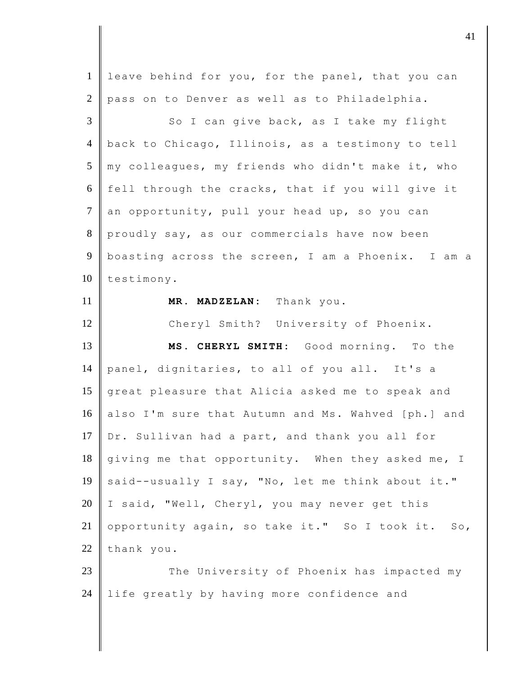| $\mathbf{1}$   | leave behind for you, for the panel, that you can                |
|----------------|------------------------------------------------------------------|
| $\mathbf{2}$   | pass on to Denver as well as to Philadelphia.                    |
| 3              | So I can give back, as I take my flight                          |
| $\overline{4}$ | back to Chicago, Illinois, as a testimony to tell                |
| 5              | my colleagues, my friends who didn't make it, who                |
| 6              | fell through the cracks, that if you will give it                |
| $\overline{7}$ | an opportunity, pull your head up, so you can                    |
| $8\,$          | proudly say, as our commercials have now been                    |
| 9              | boasting across the screen, I am a Phoenix. I am a               |
| 10             | testimony.                                                       |
| 11             | MR. MADZELAN: Thank you.                                         |
| 12             | Cheryl Smith? University of Phoenix.                             |
|                |                                                                  |
| 13             | MS. CHERYL SMITH: Good morning. To the                           |
| 14             | panel, dignitaries, to all of you all. It's a                    |
| 15             | great pleasure that Alicia asked me to speak and                 |
| 16             | also I'm sure that Autumn and Ms. Wahved [ph.] and               |
| 17             | Dr. Sullivan had a part, and thank you all for                   |
| 18             | giving me that opportunity. When they asked me, I                |
| 19             | said--usually I say, "No, let me think about it."                |
| 20             | "Well, Cheryl, you may never get this<br>I said,                 |
| 21             | opportunity again, so take it." So I took it.<br>SO <sub>1</sub> |
| 22             | thank you.                                                       |
| 23             | The University of Phoenix has impacted my                        |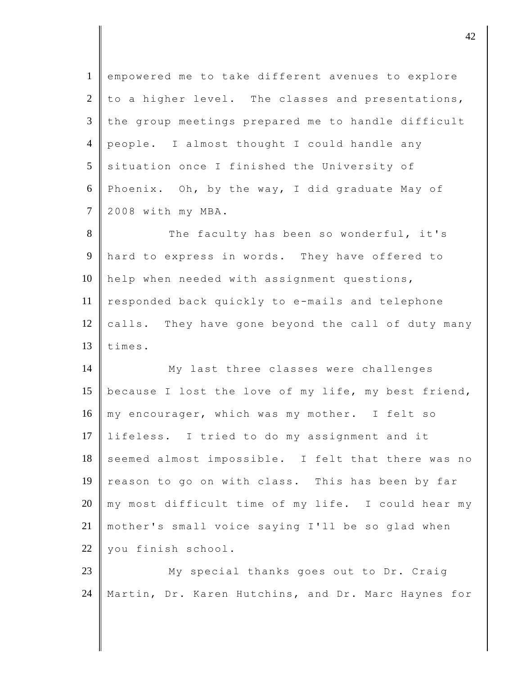| $\mathbf{1}$   | empowered me to take different avenues to explore   |
|----------------|-----------------------------------------------------|
| $\overline{2}$ | to a higher level. The classes and presentations,   |
| $\mathfrak{Z}$ | the group meetings prepared me to handle difficult  |
| $\overline{4}$ | people. I almost thought I could handle any         |
| 5              | situation once I finished the University of         |
| 6              | Phoenix. Oh, by the way, I did graduate May of      |
| $\tau$         | 2008 with my MBA.                                   |
| 8              | The faculty has been so wonderful, it's             |
| 9              | hard to express in words. They have offered to      |
| 10             | help when needed with assignment questions,         |
| 11             | responded back quickly to e-mails and telephone     |
| 12             | calls. They have gone beyond the call of duty many  |
| 13             | times.                                              |
| 14             | My last three classes were challenges               |
| 15             | because I lost the love of my life, my best friend, |
| 16             | my encourager, which was my mother. I felt so       |
| 17             | lifeless. I tried to do my assignment and it        |
| 18             | seemed almost impossible. I felt that there was no  |
| 19             | reason to go on with class. This has been by far    |
| 20             | my most difficult time of my life. I could hear my  |
| 21             | mother's small voice saying I'll be so glad when    |
| 22             | you finish school.                                  |
| 23             | My special thanks goes out to Dr. Craig             |
| 24             | Martin, Dr. Karen Hutchins, and Dr. Marc Haynes for |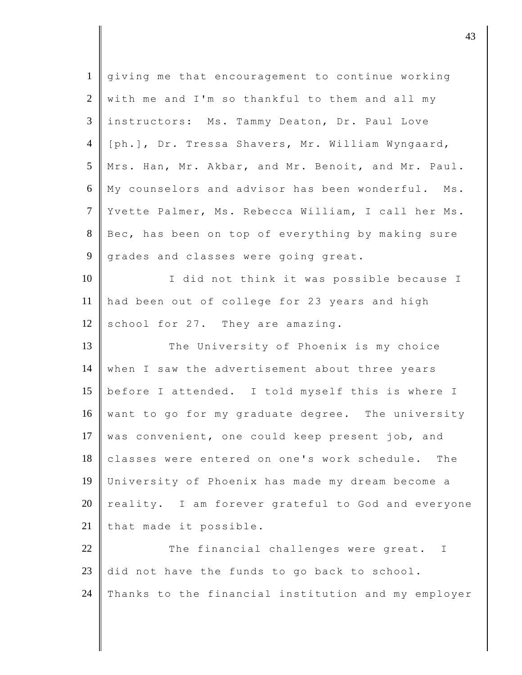| $\mathbf{1}$   | giving me that encouragement to continue working    |
|----------------|-----------------------------------------------------|
| $\overline{2}$ | with me and I'm so thankful to them and all my      |
| 3              | instructors: Ms. Tammy Deaton, Dr. Paul Love        |
| $\overline{4}$ | [ph.], Dr. Tressa Shavers, Mr. William Wyngaard,    |
| 5              | Mrs. Han, Mr. Akbar, and Mr. Benoit, and Mr. Paul.  |
| 6              | My counselors and advisor has been wonderful. Ms.   |
| $\tau$         | Yvette Palmer, Ms. Rebecca William, I call her Ms.  |
| 8              | Bec, has been on top of everything by making sure   |
| 9              | grades and classes were going great.                |
| 10             | I did not think it was possible because I           |
| 11             | had been out of college for 23 years and high       |
| 12             | school for 27. They are amazing.                    |
| 13             | The University of Phoenix is my choice              |
| 14             | when I saw the advertisement about three years      |
| 15             | before I attended. I told myself this is where I    |
| 16             | want to go for my graduate degree. The university   |
| 17             | was convenient, one could keep present job, and     |
| 18             | classes were entered on one's work schedule. The    |
| 19             | University of Phoenix has made my dream become a    |
| 20             | reality. I am forever grateful to God and everyone  |
| 21             | that made it possible.                              |
| 22             | The financial challenges were great.<br>I           |
| 23             | did not have the funds to go back to school.        |
| 24             | Thanks to the financial institution and my employer |
|                |                                                     |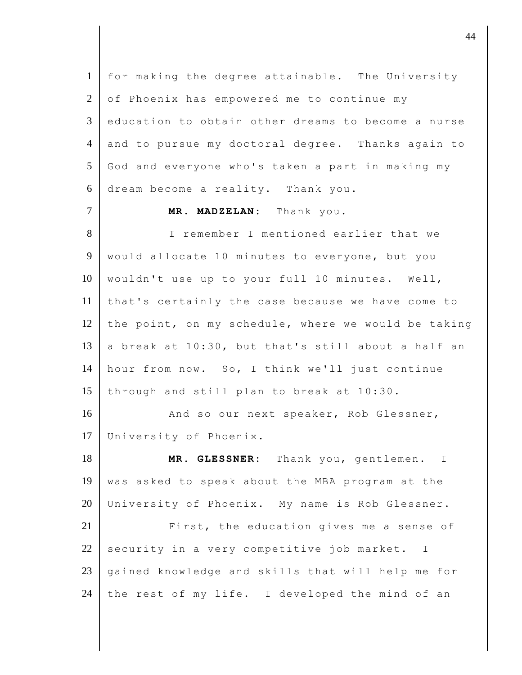1 for making the degree attainable. The University 2 of Phoenix has empowered me to continue my 3 education to obtain other dreams to become a nurse 4 and to pursue my doctoral degree. Thanks again to 5 God and everyone who's taken a part in making my 6 dream become a reality. Thank you. 7 **MR. MADZELAN:** Thank you. 8 I remember I mentioned earlier that we 9 would allocate 10 minutes to everyone, but you 10 | wouldn't use up to your full 10 minutes. Well, 11 that's certainly the case because we have come to 12 the point, on my schedule, where we would be taking 13 a break at  $10:30$ , but that's still about a half an 14 hour from now. So, I think we'll just continue 15 through and still plan to break at  $10:30$ . 16 And so our next speaker, Rob Glessner, 17 University of Phoenix. 18 **MR. GLESSNER:** Thank you, gentlemen. I 19 was asked to speak about the MBA program at the 20 University of Phoenix. My name is Rob Glessner. 21 **First, the education gives me a sense of** 22 security in a very competitive job market. I 23 gained knowledge and skills that will help me for 24 the rest of my life. I developed the mind of an

djective the contract of the contract of  $44$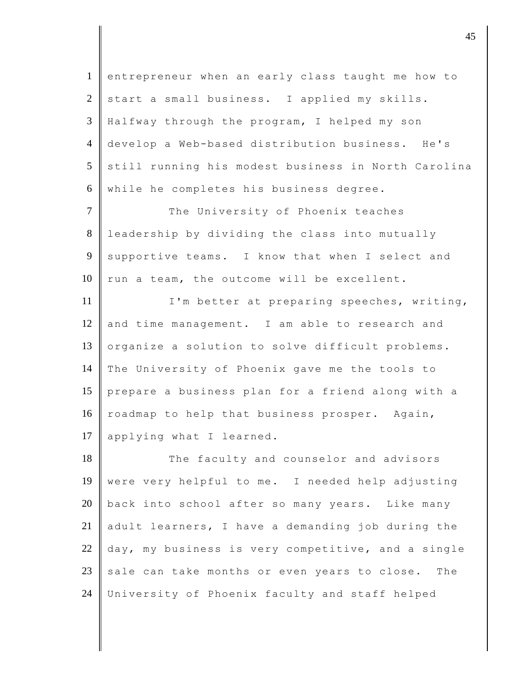| $\mathbf{1}$   | entrepreneur when an early class taught me how to   |
|----------------|-----------------------------------------------------|
| 2              | start a small business. I applied my skills.        |
| 3              | Halfway through the program, I helped my son        |
| $\overline{4}$ | develop a Web-based distribution business. He's     |
| 5              | still running his modest business in North Carolina |
| 6              | while he completes his business degree.             |
| $\tau$         | The University of Phoenix teaches                   |
| 8              | leadership by dividing the class into mutually      |
| 9              | supportive teams. I know that when I select and     |
| 10             | run a team, the outcome will be excellent.          |
| 11             | I'm better at preparing speeches, writing,          |
| 12             | and time management. I am able to research and      |
| 13             | organize a solution to solve difficult problems.    |
| 14             | The University of Phoenix gave me the tools to      |
| 15             | prepare a business plan for a friend along with a   |
| 16             | roadmap to help that business prosper. Again,       |
| 17             | applying what I learned.                            |
| 18             | The faculty and counselor and advisors              |
| 19             | were very helpful to me. I needed help adjusting    |
| 20             | back into school after so many years. Like many     |
| 21             | adult learners, I have a demanding job during the   |
| 22             | day, my business is very competitive, and a single  |
| 23             | sale can take months or even years to close. The    |
| 24             | University of Phoenix faculty and staff helped      |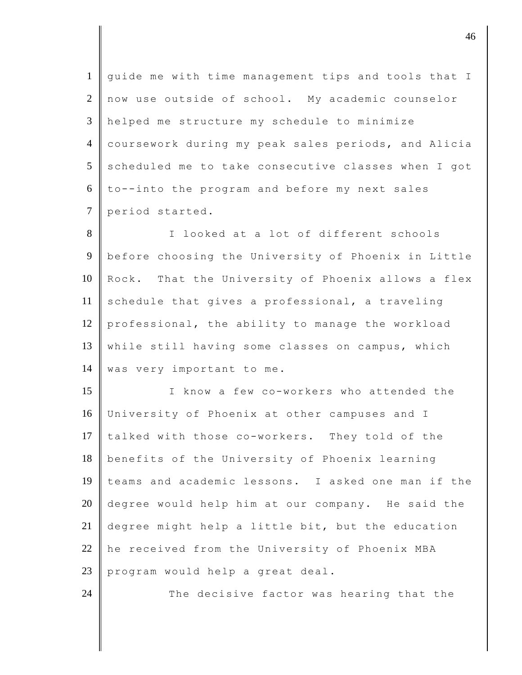| $\mathbf{1}$   | guide me with time management tips and tools that I |
|----------------|-----------------------------------------------------|
| 2              | now use outside of school. My academic counselor    |
| 3              | helped me structure my schedule to minimize         |
| $\overline{4}$ | coursework during my peak sales periods, and Alicia |
| 5              | scheduled me to take consecutive classes when I got |
| 6              | to--into the program and before my next sales       |
| $\tau$         | period started.                                     |
| $8\,$          | I looked at a lot of different schools              |
| $\overline{9}$ | before choosing the University of Phoenix in Little |
| 10             | Rock. That the University of Phoenix allows a flex  |
| 11             | schedule that gives a professional, a traveling     |
| 12             | professional, the ability to manage the workload    |
| 13             | while still having some classes on campus, which    |
| 14             | was very important to me.                           |
| 15             | I know a few co-workers who attended the            |
| 16             | University of Phoenix at other campuses and I       |
| 17             | talked with those co-workers. They told of the      |
| 18             | benefits of the University of Phoenix learning      |
| 19             | teams and academic lessons. I asked one man if the  |
| 20             | degree would help him at our company. He said the   |
| 21             | degree might help a little bit, but the education   |
| 22             | he received from the University of Phoenix MBA      |
| 23             | program would help a great deal.                    |
| 24             | The decisive factor was hearing that the            |
|                |                                                     |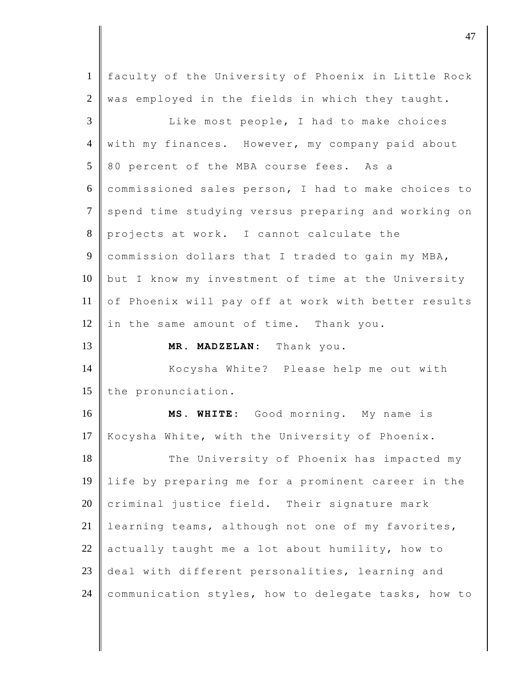| $\mathbf{1}$   | faculty of the University of Phoenix in Little Rock |
|----------------|-----------------------------------------------------|
| $\overline{2}$ | was employed in the fields in which they taught.    |
| 3              | Like most people, I had to make choices             |
| $\overline{4}$ | with my finances. However, my company paid about    |
| 5              | 80 percent of the MBA course fees. As a             |
| 6              | commissioned sales person, I had to make choices to |
| $\tau$         | spend time studying versus preparing and working on |
| $8\,$          | projects at work. I cannot calculate the            |
| $\overline{9}$ | commission dollars that I traded to gain my MBA,    |
| 10             | but I know my investment of time at the University  |
| 11             | of Phoenix will pay off at work with better results |
| 12             | in the same amount of time. Thank you.              |
|                |                                                     |
| 13             | MR. MADZELAN: Thank you.                            |
| 14             | Kocysha White? Please help me out with              |
| 15             | the pronunciation.                                  |
| 16             | MS. WHITE: Good morning. My name is                 |
| 17             | Kocysha White, with the University of Phoenix.      |
| 18             | The University of Phoenix has impacted my           |
| 19             | life by preparing me for a prominent career in the  |
| 20             | criminal justice field. Their signature mark        |
| 21             | learning teams, although not one of my favorites,   |
| 22             | actually taught me a lot about humility, how to     |
| 23             | deal with different personalities, learning and     |

denote the contract of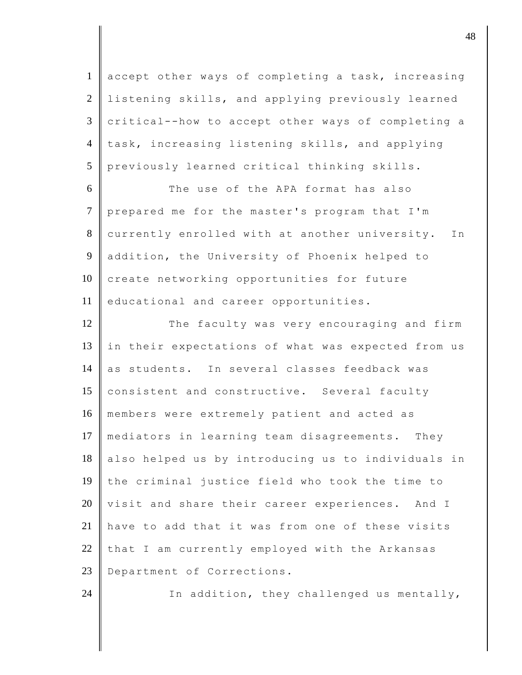1 accept other ways of completing a task, increasing 2 listening skills, and applying previously learned  $3 \parallel$  critical--how to accept other ways of completing a 4 task, increasing listening skills, and applying 5 previously learned critical thinking skills.

6 The use of the APA format has also 7 prepared me for the master's program that I'm 8 currently enrolled with at another university. In 9 addition, the University of Phoenix helped to 10 create networking opportunities for future 11 educational and career opportunities.

12 The faculty was very encouraging and firm 13 in their expectations of what was expected from us 14 as students. In several classes feedback was 15 consistent and constructive. Several faculty 16 members were extremely patient and acted as 17 mediators in learning team disagreements. They 18 also helped us by introducing us to individuals in 19 the criminal justice field who took the time to  $20$  visit and share their career experiences. And I 21 have to add that it was from one of these visits 22 that I am currently employed with the Arkansas 23 Department of Corrections.

24  $\parallel$  In addition, they challenged us mentally,

djective the contract of  $\overline{a}$  48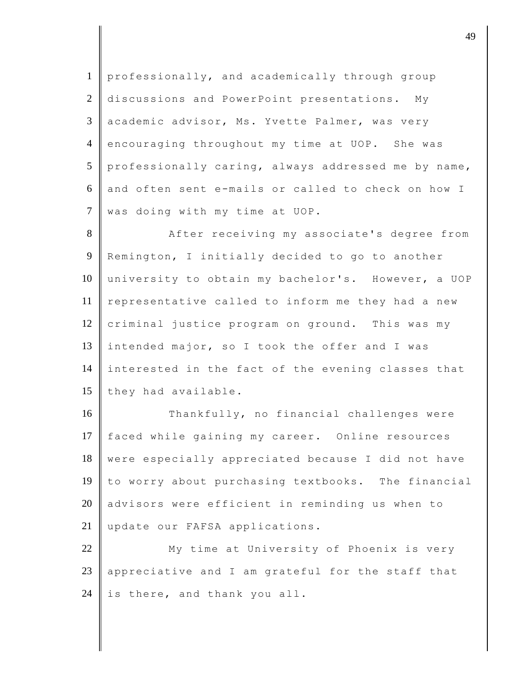1 professionally, and academically through group 2 discussions and PowerPoint presentations. My 3 academic advisor, Ms. Yvette Palmer, was very 4 encouraging throughout my time at UOP. She was  $5 \parallel$  professionally caring, always addressed me by name, 6 and often sent e-mails or called to check on how I 7 was doing with my time at UOP.

8 After receiving my associate's degree from 9 Remington, I initially decided to go to another 10 university to obtain my bachelor's. However, a UOP 11 representative called to inform me they had a new 12 criminal justice program on ground. This was my 13 intended major, so I took the offer and I was 14 interested in the fact of the evening classes that 15 they had available.

16 Thankfully, no financial challenges were 17 faced while gaining my career. Online resources 18 were especially appreciated because I did not have 19 to worry about purchasing textbooks. The financial  $20$  advisors were efficient in reminding us when to 21 | update our FAFSA applications.

22 My time at University of Phoenix is very 23 appreciative and I am grateful for the staff that 24 is there, and thank you all.

dje diskografije diskografije diskografije diskografije diskografije diskografije diskografije diskografije diskografije diskografije diskografije diskografije diskografije diskografije diskografije diskografije diskograf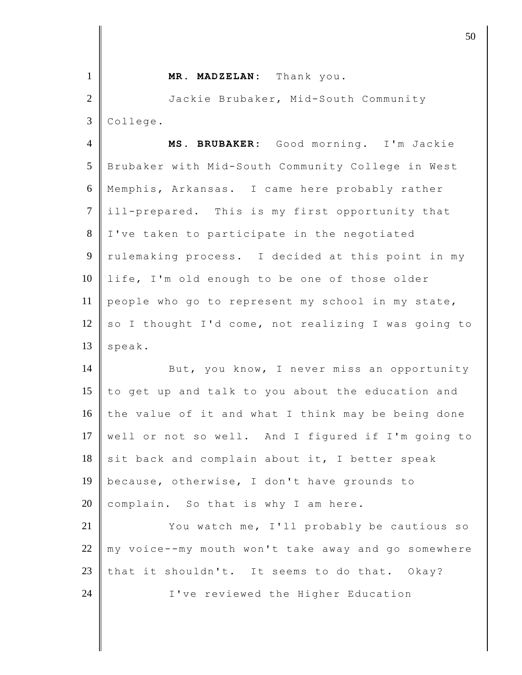| $\mathbf{1}$   | MR. MADZELAN: Thank you.                            |
|----------------|-----------------------------------------------------|
| $\overline{2}$ | Jackie Brubaker, Mid-South Community                |
| 3              | College.                                            |
| $\overline{4}$ | MS. BRUBAKER: Good morning. I'm Jackie              |
| 5              | Brubaker with Mid-South Community College in West   |
| 6              | Memphis, Arkansas. I came here probably rather      |
| $\tau$         | ill-prepared. This is my first opportunity that     |
| 8              | I've taken to participate in the negotiated         |
| 9              | rulemaking process. I decided at this point in my   |
| 10             | life, I'm old enough to be one of those older       |
| 11             | people who go to represent my school in my state,   |
| 12             | so I thought I'd come, not realizing I was going to |
| 13             | speak.                                              |
| 14             | But, you know, I never miss an opportunity          |
| 15             | to get up and talk to you about the education and   |
| 16             | the value of it and what I think may be being done  |
| 17             | well or not so well. And I figured if I'm going to  |
| 18             | sit back and complain about it, I better speak      |
| 19             | because, otherwise, I don't have grounds to         |
| 20             | complain. So that is why I am here.                 |
| 21             | You watch me, I'll probably be cautious so          |
| 22             | my voice--my mouth won't take away and go somewhere |
| 23             | that it shouldn't. It seems to do that. Okay?       |
| 24             | I've reviewed the Higher Education                  |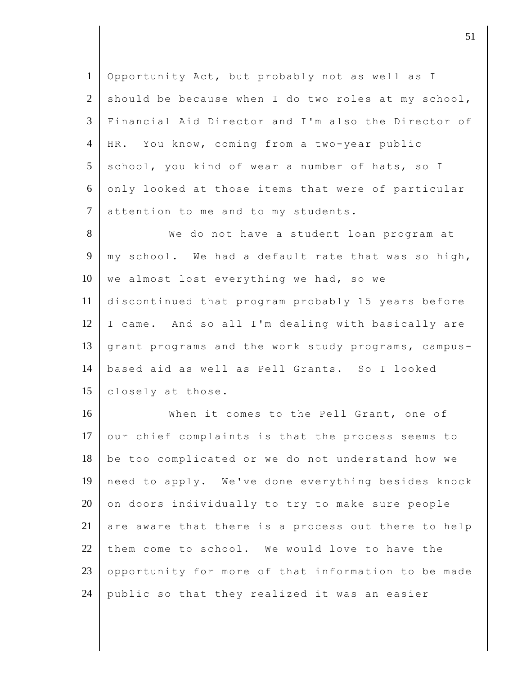1 Opportunity Act, but probably not as well as I 2 should be because when I do two roles at my school, 3 Financial Aid Director and I'm also the Director of 4 HR. You know, coming from a two-year public 5 school, you kind of wear a number of hats, so I 6 only looked at those items that were of particular 7 attention to me and to my students.

8 || We do not have a student loan program at 9 | my school. We had a default rate that was so high,  $10$  we almost lost everything we had, so we 11 discontinued that program probably 15 years before  $12$  I came. And so all I'm dealing with basically are 13 grant programs and the work study programs, campus-14 based aid as well as Pell Grants. So I looked 15 closely at those.

16 When it comes to the Pell Grant, one of 17 our chief complaints is that the process seems to 18 be too complicated or we do not understand how we 19 need to apply. We've done everything besides knock  $20$  on doors individually to try to make sure people 21 are aware that there is a process out there to help 22 them come to school. We would love to have the 23 opportunity for more of that information to be made 24 public so that they realized it was an easier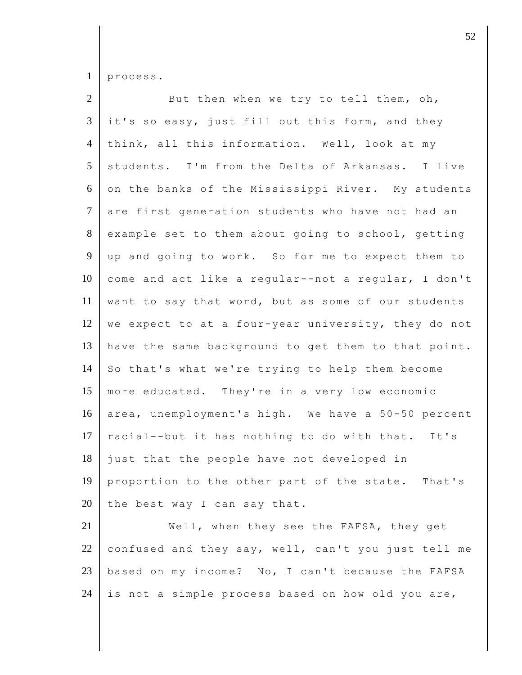process.

| $\overline{2}$ | But then when we try to tell them, oh,              |
|----------------|-----------------------------------------------------|
| $\mathfrak{Z}$ | it's so easy, just fill out this form, and they     |
| $\overline{4}$ | think, all this information. Well, look at my       |
| 5              | students. I'm from the Delta of Arkansas. I live    |
| 6              | on the banks of the Mississippi River. My students  |
| $\tau$         | are first generation students who have not had an   |
| 8              | example set to them about going to school, getting  |
| 9              | up and going to work. So for me to expect them to   |
| 10             | come and act like a regular--not a regular, I don't |
| 11             | want to say that word, but as some of our students  |
| 12             | we expect to at a four-year university, they do not |
| 13             | have the same background to get them to that point. |
| 14             | So that's what we're trying to help them become     |
| 15             | more educated. They're in a very low economic       |
| 16             | area, unemployment's high. We have a 50-50 percent  |
| 17             | racial--but it has nothing to do with that. It's    |
| 18             | just that the people have not developed in          |
| 19             | proportion to the other part of the state. That's   |
| 20             | the best way I can say that.                        |
| 21             | Well, when they see the FAFSA, they get             |
| 22             | confused and they say, well, can't you just tell me |
|                |                                                     |

23 based on my income? No, I can't because the FAFSA 24 is not a simple process based on how old you are,

 $\vert$  52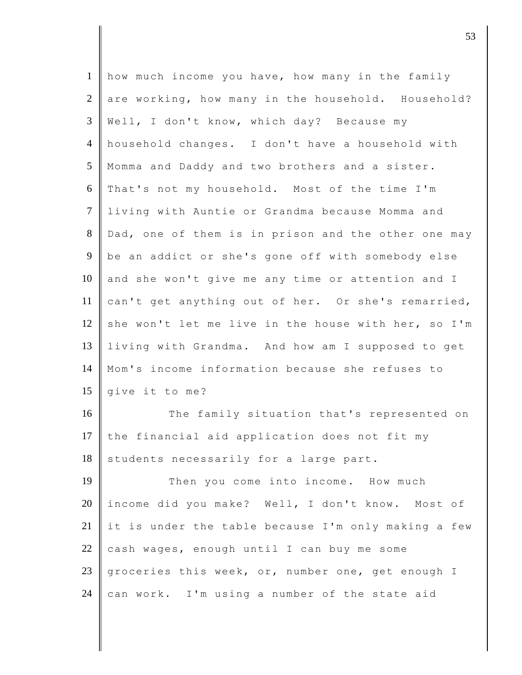| $\mathbf{1}$   | how much income you have, how many in the family    |
|----------------|-----------------------------------------------------|
| $\mathfrak{2}$ | are working, how many in the household. Household?  |
| 3              | Well, I don't know, which day? Because my           |
| $\overline{4}$ | household changes. I don't have a household with    |
| 5              | Momma and Daddy and two brothers and a sister.      |
| 6              | That's not my household. Most of the time I'm       |
| $\overline{7}$ | living with Auntie or Grandma because Momma and     |
| $8\,$          | Dad, one of them is in prison and the other one may |
| 9              | be an addict or she's gone off with somebody else   |
| 10             | and she won't give me any time or attention and I   |
| 11             | can't get anything out of her. Or she's remarried,  |
| 12             | she won't let me live in the house with her, so I'm |
| 13             | living with Grandma. And how am I supposed to get   |
| 14             | Mom's income information because she refuses to     |
| 15             | give it to me?                                      |
| 16             | The family situation that's represented on          |
| 17             | the financial aid application does not fit my       |
| 18             | students necessarily for a large part.              |
| 19             | Then you come into income. How much                 |
| 20             | income did you make? Well, I don't know. Most of    |
| 21             | it is under the table because I'm only making a few |
| 22             | cash wages, enough until I can buy me some          |
| 23             | groceries this week, or, number one, get enough I   |
| 24             | can work. I'm using a number of the state aid       |

 $\vert$  53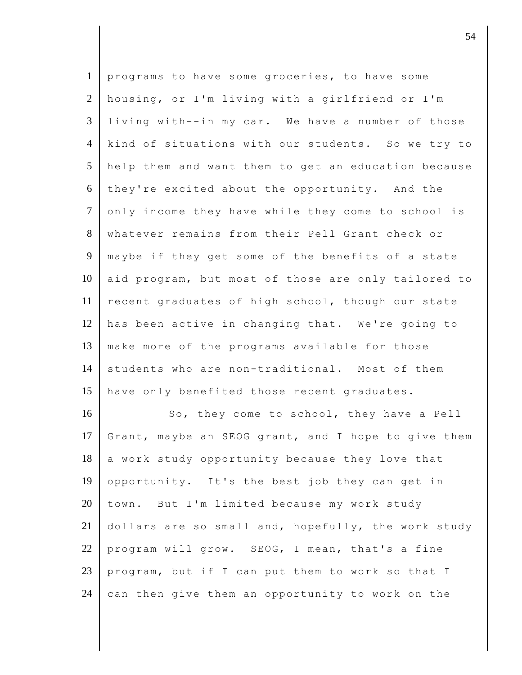| $\mathbf{1}$    | programs to have some groceries, to have some       |
|-----------------|-----------------------------------------------------|
| $\overline{2}$  | housing, or I'm living with a girlfriend or I'm     |
| $\overline{3}$  | living with--in my car. We have a number of those   |
| $\overline{4}$  | kind of situations with our students. So we try to  |
| $5\overline{)}$ | help them and want them to get an education because |
| 6               | they're excited about the opportunity. And the      |
| $\overline{7}$  | only income they have while they come to school is  |
| 8               | whatever remains from their Pell Grant check or     |
| 9               | maybe if they get some of the benefits of a state   |
| 10              | aid program, but most of those are only tailored to |
| 11              | recent graduates of high school, though our state   |
| 12              | has been active in changing that. We're going to    |
| 13              | make more of the programs available for those       |
| 14              | students who are non-traditional. Most of them      |
| 15              | have only benefited those recent graduates.         |
| 16              | So, they come to school, they have a Pell           |
| 17              | Grant, maybe an SEOG grant, and I hope to give them |
| 18              | a work study opportunity because they love that     |
| 19              | opportunity. It's the best job they can get in      |
| 20              | town. But I'm limited because my work study         |
| 21              | dollars are so small and, hopefully, the work study |
| 22              | program will grow. SEOG, I mean, that's a fine      |
| 23              | program, but if I can put them to work so that I    |
| 24              | can then give them an opportunity to work on the    |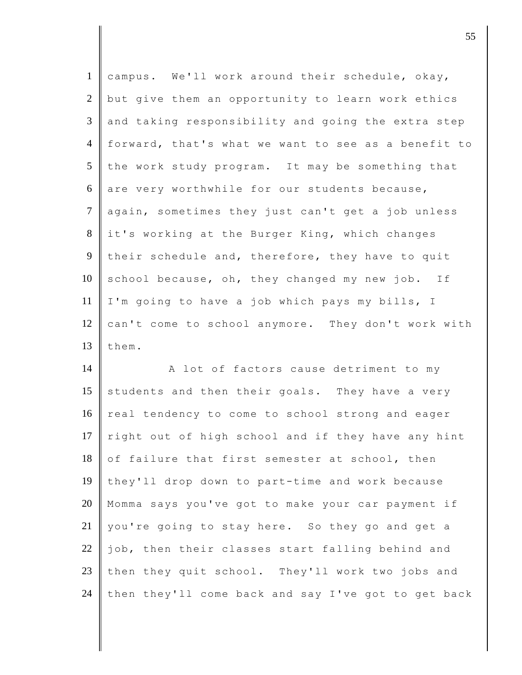| $\mathbf{1}$   | campus. We'll work around their schedule, okay,     |
|----------------|-----------------------------------------------------|
| $\overline{2}$ | but give them an opportunity to learn work ethics   |
| 3              | and taking responsibility and going the extra step  |
| $\overline{4}$ | forward, that's what we want to see as a benefit to |
| 5              | the work study program. It may be something that    |
| 6              | are very worthwhile for our students because,       |
| $\overline{7}$ | again, sometimes they just can't get a job unless   |
| 8              | it's working at the Burger King, which changes      |
| 9              | their schedule and, therefore, they have to quit    |
| 10             | school because, oh, they changed my new job. If     |
| 11             | I'm going to have a job which pays my bills, I      |
| 12             | can't come to school anymore. They don't work with  |
| 13             | them.                                               |
| 14             | A lot of factors cause detriment to my              |
| 15             | students and then their goals. They have a very     |
| 16             |                                                     |
|                | real tendency to come to school strong and eager    |
| 17             | right out of high school and if they have any hint  |
| 18             | of failure that first semester at school, then      |
| 19             | they'll drop down to part-time and work because     |
| 20             | Momma says you've got to make your car payment if   |
| 21             | you're going to stay here. So they go and get a     |
| 22             | job, then their classes start falling behind and    |
| 23             | then they quit school. They'll work two jobs and    |

discrete the contract of  $\overline{55}$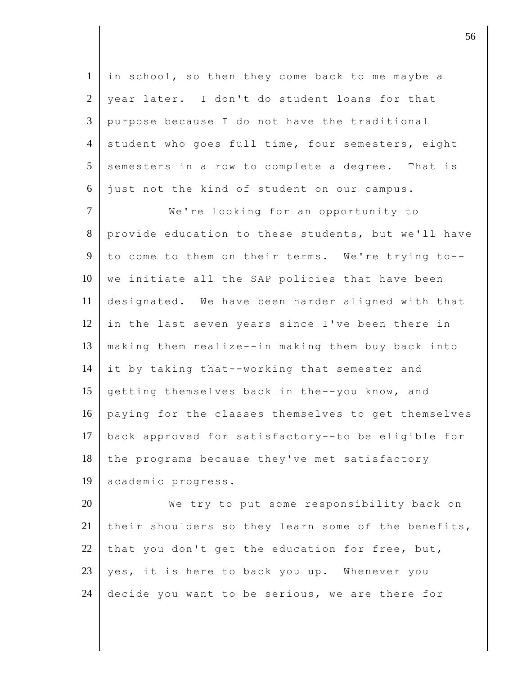1 in school, so then they come back to me maybe a  $2 \parallel$  year later. I don't do student loans for that 3 purpose because I do not have the traditional 4 student who goes full time, four semesters, eight  $5$  semesters in a row to complete a degree. That is 6 just not the kind of student on our campus.

7 We're looking for an opportunity to 8 provide education to these students, but we'll have 9 to come to them on their terms. We're trying to-- $10$  we initiate all the SAP policies that have been 11 designated. We have been harder aligned with that 12 in the last seven years since I've been there in 13 making them realize--in making them buy back into 14 it by taking that--working that semester and 15 getting themselves back in the--you know, and 16 paying for the classes themselves to get themselves 17 back approved for satisfactory--to be eligible for 18 the programs because they've met satisfactory 19 academic progress.

20 We try to put some responsibility back on 21 their shoulders so they learn some of the benefits, 22 that you don't get the education for free, but, 23 yes, it is here to back you up. Whenever you 24 decide you want to be serious, we are there for

discrete the set of  $\sim$  56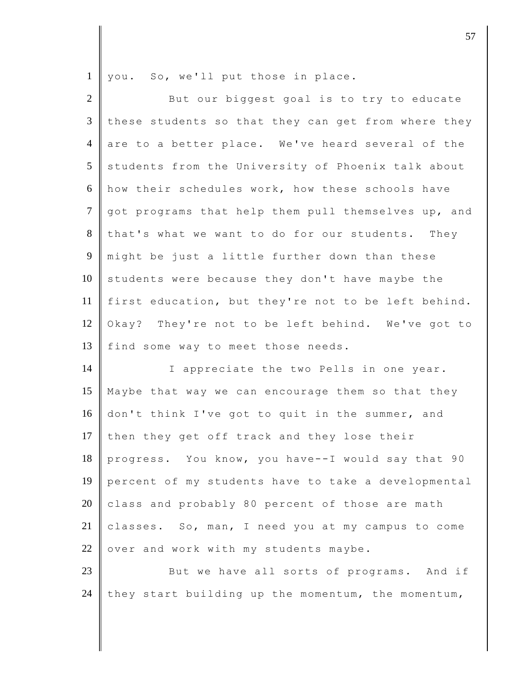1 you. So, we'll put those in place.

| $\overline{2}$ | But our biggest goal is to try to educate           |
|----------------|-----------------------------------------------------|
| 3              | these students so that they can get from where they |
| $\overline{4}$ | are to a better place. We've heard several of the   |
| 5              | students from the University of Phoenix talk about  |
| 6              | how their schedules work, how these schools have    |
| $\tau$         | got programs that help them pull themselves up, and |
| 8              | that's what we want to do for our students. They    |
| $\overline{9}$ | might be just a little further down than these      |
| 10             | students were because they don't have maybe the     |
| 11             | first education, but they're not to be left behind. |
| 12             | Okay? They're not to be left behind. We've got to   |
| 13             | find some way to meet those needs.                  |
| 14             | I appreciate the two Pells in one year.             |
| 15             | Maybe that way we can encourage them so that they   |
| 16             | don't think I've got to quit in the summer, and     |
| 17             | then they get off track and they lose their         |
| 18             | progress. You know, you have--I would say that 90   |
| 19             | percent of my students have to take a developmental |
| 20             | class and probably 80 percent of those are math     |
| $21\,$         | classes. So, man, I need you at my campus to come   |
| $22\,$         | over and work with my students maybe.               |
| 23             | But we have all sorts of programs. And if           |
| 24             | they start building up the momentum, the momentum,  |

discrete the contract of  $\overline{57}$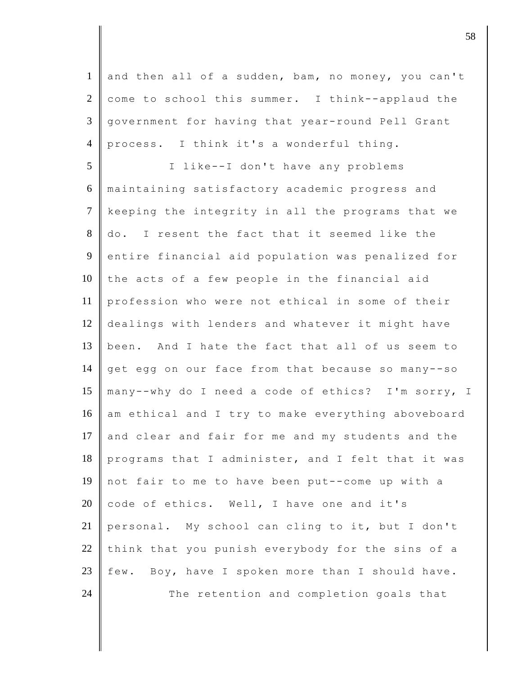1 and then all of a sudden, bam, no money, you can't  $2 \parallel$  come to school this summer. I think--applaud the 3 government for having that year-round Pell Grant 4 process. I think it's a wonderful thing. 5 I like--I don't have any problems 6 maintaining satisfactory academic progress and 7 keeping the integrity in all the programs that we 8 do. I resent the fact that it seemed like the 9 entire financial aid population was penalized for  $10$  the acts of a few people in the financial aid 11 profession who were not ethical in some of their 12 dealings with lenders and whatever it might have 13 been. And I hate the fact that all of us seem to 14 get egg on our face from that because so many--so 15 many--why do I need a code of ethics? I'm sorry, I 16 am ethical and I try to make everything aboveboard 17 and clear and fair for me and my students and the 18 programs that I administer, and I felt that it was 19 not fair to me to have been put--come up with a 20 code of ethics. Well, I have one and it's 21 personal. My school can cling to it, but I don't 22 think that you punish everybody for the sins of a 23 few. Boy, have I spoken more than I should have. 24 The retention and completion goals that

 $\vert$  58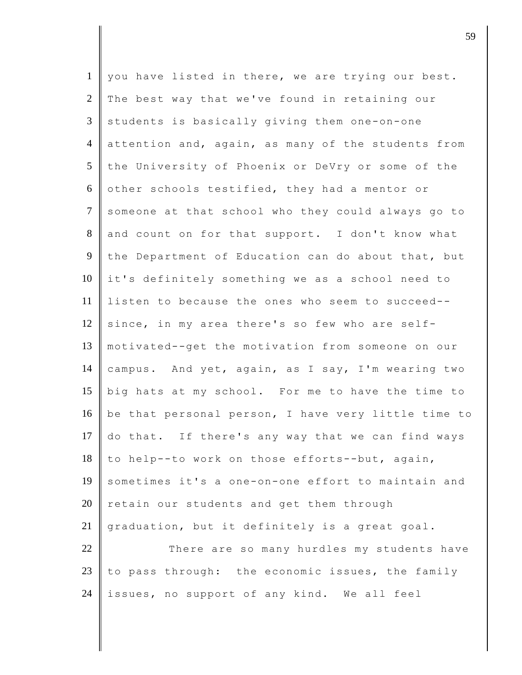| $\mathbf{1}$   | you have listed in there, we are trying our best.   |
|----------------|-----------------------------------------------------|
| $\overline{2}$ | The best way that we've found in retaining our      |
| 3              | students is basically giving them one-on-one        |
| $\overline{4}$ | attention and, again, as many of the students from  |
| 5              | the University of Phoenix or DeVry or some of the   |
| 6              | other schools testified, they had a mentor or       |
| $\tau$         | someone at that school who they could always go to  |
| $8\,$          | and count on for that support. I don't know what    |
| 9              | the Department of Education can do about that, but  |
| 10             | it's definitely something we as a school need to    |
| 11             | listen to because the ones who seem to succeed--    |
| 12             | since, in my area there's so few who are self-      |
| 13             | motivated--get the motivation from someone on our   |
| 14             | campus. And yet, again, as I say, I'm wearing two   |
| 15             | big hats at my school. For me to have the time to   |
| 16             | be that personal person, I have very little time to |
| 17             | do that. If there's any way that we can find ways   |
| 18             | to help--to work on those efforts--but, again,      |
| 19             | sometimes it's a one-on-one effort to maintain and  |
| 20             | retain our students and get them through            |
| 21             | graduation, but it definitely is a great goal.      |
| 22             | There are so many hurdles my students have          |
| 23             | to pass through: the economic issues, the family    |
| 24             | issues, no support of any kind. We all feel         |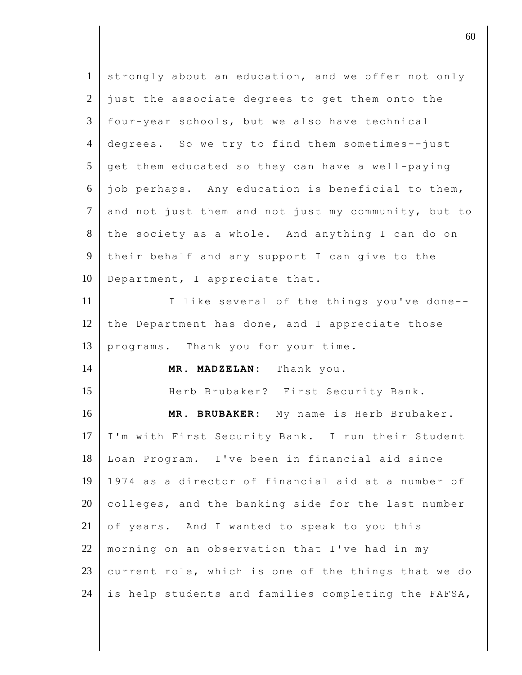| $\mathbf{1}$   | strongly about an education, and we offer not only  |
|----------------|-----------------------------------------------------|
| 2              | just the associate degrees to get them onto the     |
| 3              | four-year schools, but we also have technical       |
| $\overline{4}$ | degrees. So we try to find them sometimes--just     |
| 5              | get them educated so they can have a well-paying    |
| 6              | job perhaps. Any education is beneficial to them,   |
| $\tau$         | and not just them and not just my community, but to |
| 8              | the society as a whole. And anything I can do on    |
| 9              | their behalf and any support I can give to the      |
| 10             | Department, I appreciate that.                      |
| 11             | I like several of the things you've done--          |
| 12             | the Department has done, and I appreciate those     |
| 13             | programs. Thank you for your time.                  |
| 14             | MR. MADZELAN: Thank you.                            |
| 15             | Herb Brubaker? First Security Bank.                 |
| 16             | MR. BRUBAKER: My name is Herb Brubaker.             |
| 17             | I'm with First Security Bank. I run their Student   |
| 18             | Loan Program. I've been in financial aid since      |
| 19             | 1974 as a director of financial aid at a number of  |
| 20             | colleges, and the banking side for the last number  |
| 21             | of years. And I wanted to speak to you this         |
| 22             | morning on an observation that I've had in my       |
| 23             | current role, which is one of the things that we do |
| 24             | is help students and families completing the FAFSA, |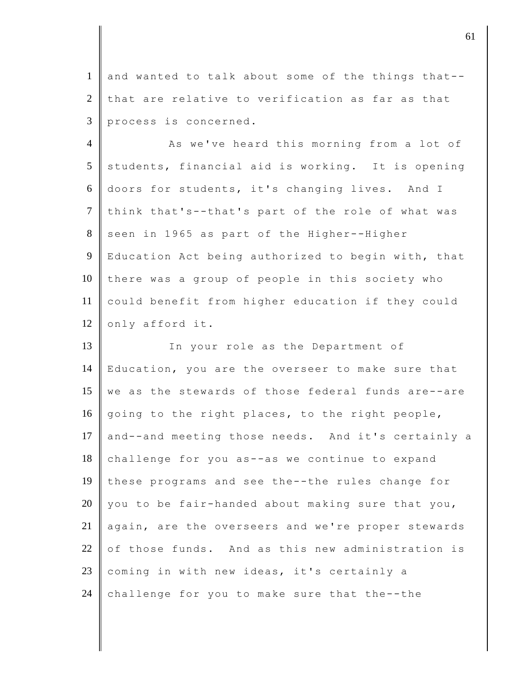1 and wanted to talk about some of the things that--  $2$  that are relative to verification as far as that 3 process is concerned.

4 As we've heard this morning from a lot of  $5$  students, financial aid is working. It is opening 6 doors for students, it's changing lives. And I  $7$  think that's--that's part of the role of what was 8 seen in 1965 as part of the Higher--Higher 9 Education Act being authorized to begin with, that  $10$  there was a group of people in this society who 11 could benefit from higher education if they could 12 only afford it.

13 In your role as the Department of 14 | Education, you are the overseer to make sure that 15 we as the stewards of those federal funds are--are 16 going to the right places, to the right people, 17 and--and meeting those needs. And it's certainly a  $18$  challenge for you as--as we continue to expand 19 these programs and see the--the rules change for 20 you to be fair-handed about making sure that you, 21 again, are the overseers and we're proper stewards  $22$  of those funds. And as this new administration is 23 coming in with new ideas, it's certainly a 24 challenge for you to make sure that the--the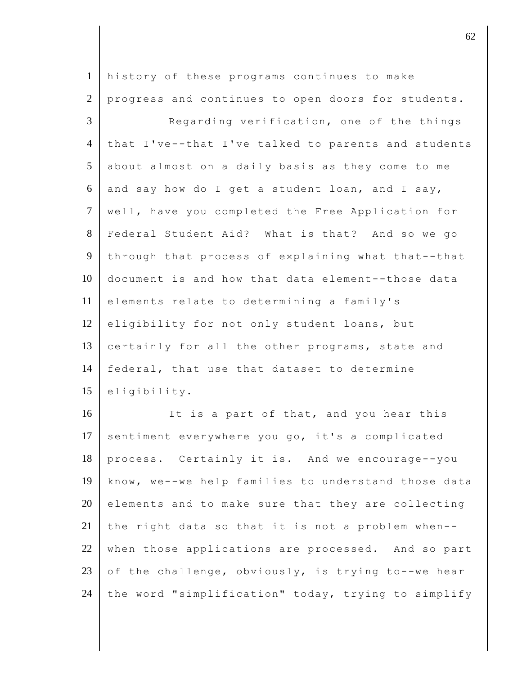1 history of these programs continues to make 2 progress and continues to open doors for students. 3 Regarding verification, one of the things 4 that I've--that I've talked to parents and students 5 about almost on a daily basis as they come to me  $6 \parallel$  and say how do I get a student loan, and I say, 7 well, have you completed the Free Application for 8 Federal Student Aid? What is that? And so we go 9 through that process of explaining what that--that 10 document is and how that data element--those data 11 elements relate to determining a family's 12 eligibility for not only student loans, but 13 certainly for all the other programs, state and 14 federal, that use that dataset to determine 15 eligibility. 16 It is a part of that, and you hear this 17 sentiment everywhere you go, it's a complicated 18 process. Certainly it is. And we encourage--you 19 know, we--we help families to understand those data  $20$  elements and to make sure that they are collecting 21 the right data so that it is not a problem when--

23 of the challenge, obviously, is trying to--we hear 24 the word "simplification" today, trying to simplify

22 when those applications are processed. And so part

 $\vert$  62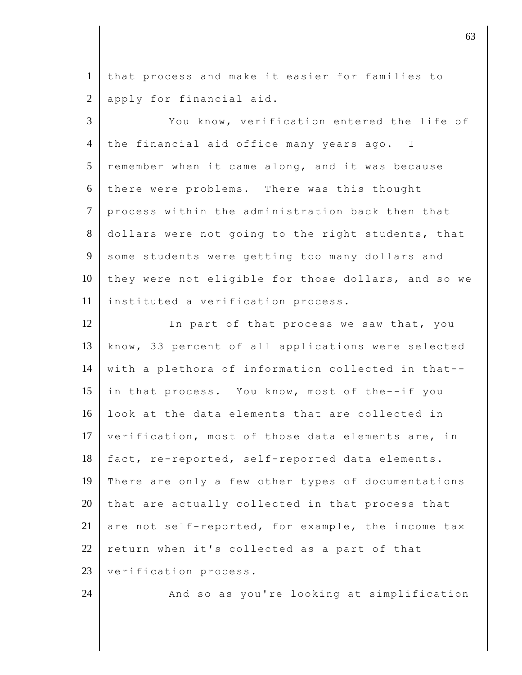1 that process and make it easier for families to 2 apply for financial aid.

3 You know, verification entered the life of 4 the financial aid office many years ago. I  $5$  remember when it came along, and it was because  $6$  there were problems. There was this thought 7 process within the administration back then that 8 dollars were not going to the right students, that 9 some students were getting too many dollars and 10 they were not eligible for those dollars, and so we 11 instituted a verification process.

12 In part of that process we saw that, you 13 know, 33 percent of all applications were selected 14 with a plethora of information collected in that-- 15 in that process. You know, most of the--if you 16  $\parallel$  look at the data elements that are collected in 17  $\parallel$  verification, most of those data elements are, in 18 fact, re-reported, self-reported data elements. 19 There are only a few other types of documentations  $20$  that are actually collected in that process that 21 are not self-reported, for example, the income tax  $22$  return when it's collected as a part of that 23 | verification process.

24 And so as you're looking at simplification

 $\vert$  63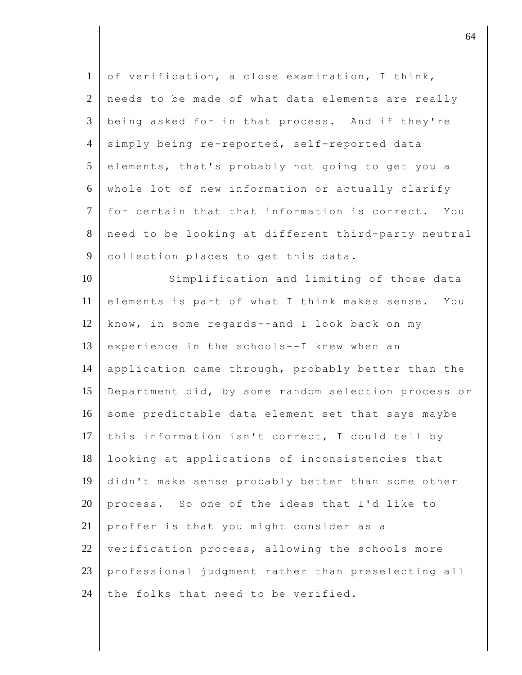| $\mathbf{1}$   | of verification, a close examination, I think,      |
|----------------|-----------------------------------------------------|
| $\overline{2}$ | needs to be made of what data elements are really   |
| 3              | being asked for in that process. And if they're     |
| $\overline{4}$ | simply being re-reported, self-reported data        |
| 5              | elements, that's probably not going to get you a    |
| 6              | whole lot of new information or actually clarify    |
| $\tau$         | for certain that that information is correct. You   |
| $8\,$          | need to be looking at different third-party neutral |
| $\overline{9}$ | collection places to get this data.                 |
| 10             | Simplification and limiting of those data           |
| 11             | elements is part of what I think makes sense. You   |
| 12             | know, in some regards--and I look back on my        |
| 13             | experience in the schools--I knew when an           |
| 14             | application came through, probably better than the  |
| 15             | Department did, by some random selection process or |
| 16             | some predictable data element set that says maybe   |
| 17             | this information isn't correct, I could tell by     |
| 18             | looking at applications of inconsistencies that     |
| 19             | didn't make sense probably better than some other   |
| 20             | process. So one of the ideas that I'd like to       |
| 21             | proffer is that you might consider as a             |
| 22             | verification process, allowing the schools more     |
| 23             | professional judgment rather than preselecting all  |
| 24             | the folks that need to be verified.                 |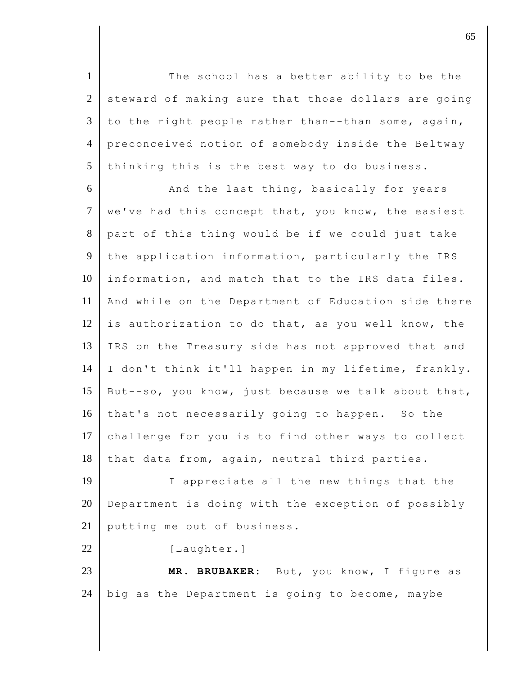1 The school has a better ability to be the  $2 \parallel$  steward of making sure that those dollars are going 3 to the right people rather than--than some, again, 4 preconceived notion of somebody inside the Beltway  $5$  thinking this is the best way to do business.

6 And the last thing, basically for years  $7$  we've had this concept that, you know, the easiest 8 part of this thing would be if we could just take 9 the application information, particularly the IRS 10 information, and match that to the IRS data files. 11 And while on the Department of Education side there 12 is authorization to do that, as you well know, the 13 IRS on the Treasury side has not approved that and 14 I don't think it'll happen in my lifetime, frankly. 15 But--so, you know, just because we talk about that, 16 that's not necessarily going to happen. So the 17 challenge for you is to find other ways to collect  $18$  that data from, again, neutral third parties.

19 I appreciate all the new things that the 20 Department is doing with the exception of possibly 21 putting me out of business.

22 [Laughter.]

23 **MR. BRUBAKER:** But, you know, I figure as 24 big as the Department is going to become, maybe

discrete the contract of  $65$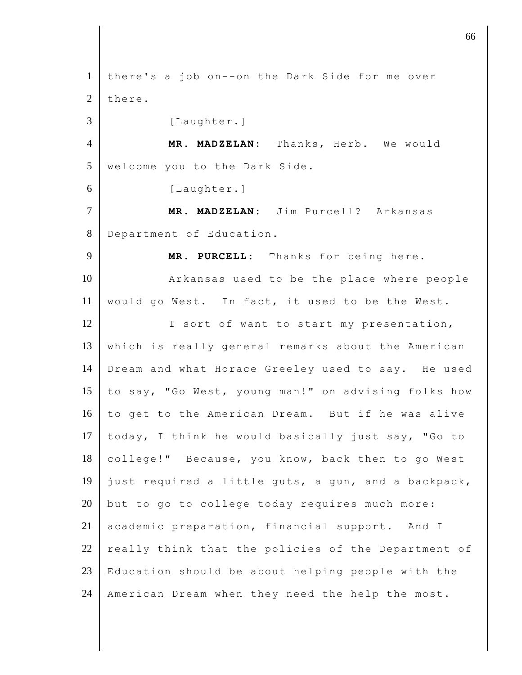1 there's a job on--on the Dark Side for me over 2 there. 3 [Laughter.] 4 **MR. MADZELAN:** Thanks, Herb. We would 5 welcome you to the Dark Side. 6 [Laughter.] 7 **MR. MADZELAN:** Jim Purcell? Arkansas 8 Department of Education. 9 **MR. PURCELL:** Thanks for being here. 10 **A**rkansas used to be the place where people 11 | would go West. In fact, it used to be the West. 12 I sort of want to start my presentation, 13 which is really general remarks about the American 14 Dream and what Horace Greeley used to say. He used 15  $\parallel$  to say, "Go West, young man!" on advising folks how  $16$  to get to the American Dream. But if he was alive 17 today, I think he would basically just say, "Go to 18 college!" Because, you know, back then to go West 19 just required a little guts, a gun, and a backpack,  $20$  but to go to college today requires much more: 21 academic preparation, financial support. And I 22 really think that the policies of the Department of  $23$  Education should be about helping people with the 24 American Dream when they need the help the most.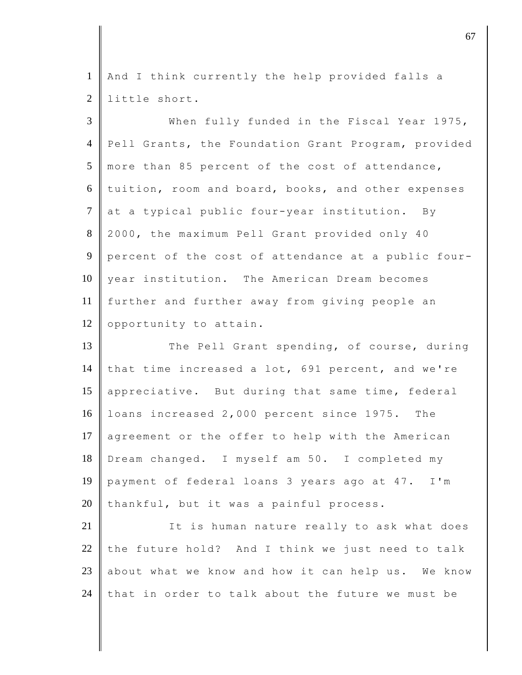1 | And I think currently the help provided falls a 2 little short.

| $\overline{3}$ | When fully funded in the Fiscal Year 1975,          |
|----------------|-----------------------------------------------------|
| $\overline{4}$ | Pell Grants, the Foundation Grant Program, provided |
| 5              | more than 85 percent of the cost of attendance,     |
| 6              | tuition, room and board, books, and other expenses  |
| $\overline{7}$ | at a typical public four-year institution. By       |
| 8              | 2000, the maximum Pell Grant provided only 40       |
| 9              | percent of the cost of attendance at a public four- |
| 10             | year institution. The American Dream becomes        |
| 11             | further and further away from giving people an      |
| 12             | opportunity to attain.                              |
| 13             | The Pell Grant spending, of course, during          |
| 14             | that time increased a lot, 691 percent, and we're   |
| 15             | appreciative. But during that same time, federal    |
| 16             | loans increased 2,000 percent since 1975. The       |
| 17             | agreement or the offer to help with the American    |
| 18             | Dream changed. I myself am 50. I completed my       |
| 19             | payment of federal loans 3 years ago at 47. I'm     |
| 20             | thankful, but it was a painful process.             |
| 21             | It is human nature really to ask what does          |
| 22             | the future hold? And I think we just need to talk   |
| 23             | about what we know and how it can help us. We know  |

24 that in order to talk about the future we must be

discrete the contract of  $\sim$  67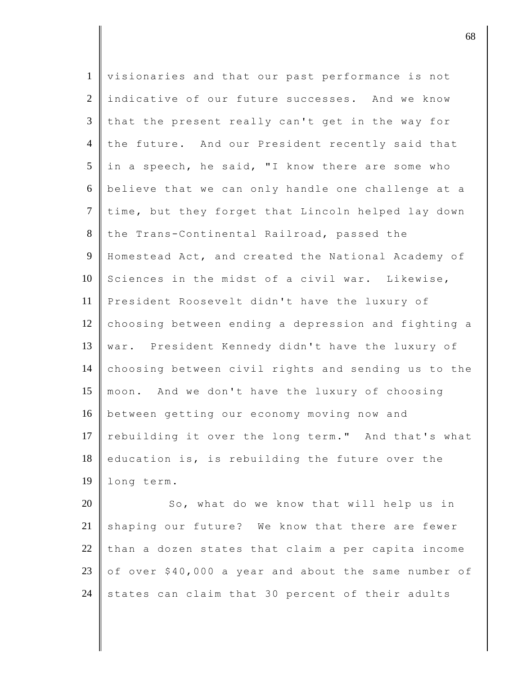| $\mathbf{1}$   | visionaries and that our past performance is not    |
|----------------|-----------------------------------------------------|
| $\overline{2}$ | indicative of our future successes. And we know     |
| 3              | that the present really can't get in the way for    |
| $\overline{4}$ | the future. And our President recently said that    |
| 5              | in a speech, he said, "I know there are some who    |
| 6              | believe that we can only handle one challenge at a  |
| $\tau$         | time, but they forget that Lincoln helped lay down  |
| 8              | the Trans-Continental Railroad, passed the          |
| 9              | Homestead Act, and created the National Academy of  |
| 10             | Sciences in the midst of a civil war. Likewise,     |
| 11             | President Roosevelt didn't have the luxury of       |
| 12             | choosing between ending a depression and fighting a |
| 13             | war. President Kennedy didn't have the luxury of    |
| 14             | choosing between civil rights and sending us to the |
| 15             | moon. And we don't have the luxury of choosing      |
| 16             | between getting our economy moving now and          |
| 17             | rebuilding it over the long term." And that's what  |
| 18             | education is, is rebuilding the future over the     |
| 19             | long term.                                          |
| 20             | So, what do we know that will help us in            |
| 21             | shaping our future? We know that there are fewer    |
| 22             | than a dozen states that claim a per capita income  |

23 of over  $$40,000$  a year and about the same number of 24 states can claim that 30 percent of their adults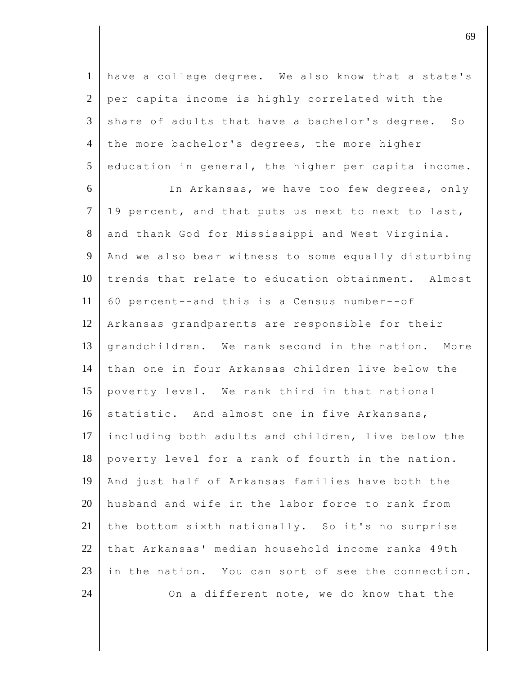have a college degree. We also know that a state's per capita income is highly correlated with the share of adults that have a bachelor's degree. So 4 the more bachelor's degrees, the more higher education in general, the higher per capita income.

 In Arkansas, we have too few degrees, only  $7 \parallel 19$  percent, and that puts us next to next to last, 8 and thank God for Mississippi and West Virginia. And we also bear witness to some equally disturbing 10 I trends that relate to education obtainment. Almost 60 percent--and this is a Census number--of Arkansas grandparents are responsible for their grandchildren. We rank second in the nation. More than one in four Arkansas children live below the poverty level. We rank third in that national 16 statistic. And almost one in five Arkansans, 17 Including both adults and children, live below the poverty level for a rank of fourth in the nation. And just half of Arkansas families have both the husband and wife in the labor force to rank from 21 the bottom sixth nationally. So it's no surprise that Arkansas' median household income ranks 49th 23 in the nation. You can sort of see the connection.  $\parallel$  On a different note, we do know that the

discrete the contract of  $\theta$  69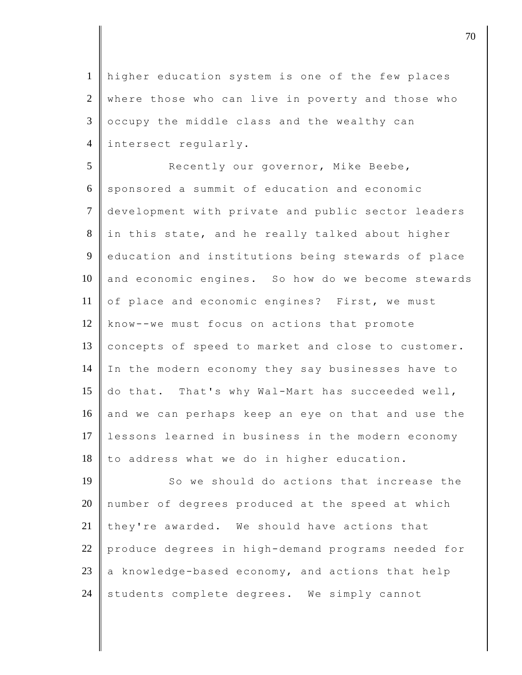1 higher education system is one of the few places 2 where those who can live in poverty and those who  $3 \parallel$  occupy the middle class and the wealthy can 4 intersect regularly.

5 Recently our governor, Mike Beebe,  $6 \parallel$  sponsored a summit of education and economic 7 development with private and public sector leaders 8 in this state, and he really talked about higher 9 education and institutions being stewards of place 10 and economic engines. So how do we become stewards 11 of place and economic engines? First, we must 12 know--we must focus on actions that promote 13 concepts of speed to market and close to customer. 14 In the modern economy they say businesses have to 15 do that. That's why Wal-Mart has succeeded well, 16 and we can perhaps keep an eye on that and use the 17 lessons learned in business in the modern economy  $18$  to address what we do in higher education.

19 So we should do actions that increase the number of degrees produced at the speed at which they're awarded. We should have actions that 22 produce degrees in high-demand programs needed for  $\parallel$  a knowledge-based economy, and actions that help students complete degrees. We simply cannot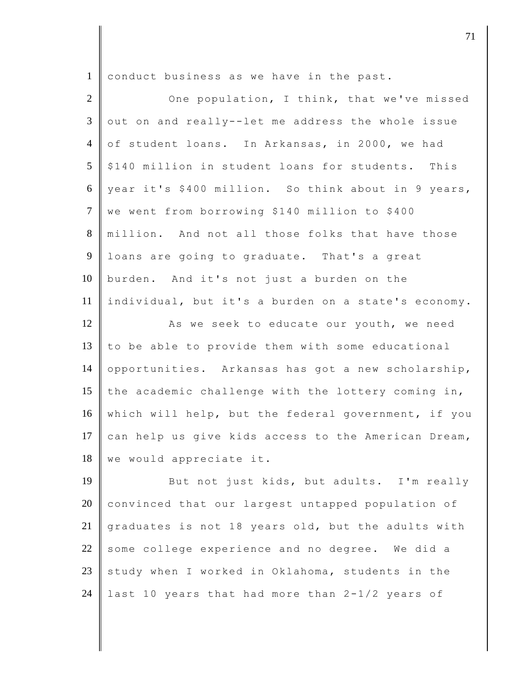1 conduct business as we have in the past.

| $\overline{2}$ | One population, I think, that we've missed          |
|----------------|-----------------------------------------------------|
| 3              | out on and really--let me address the whole issue   |
| $\overline{4}$ | of student loans. In Arkansas, in 2000, we had      |
| 5              | \$140 million in student loans for students. This   |
| 6              | year it's \$400 million. So think about in 9 years, |
| $\overline{7}$ | we went from borrowing \$140 million to \$400       |
| 8              | million. And not all those folks that have those    |
| $\overline{9}$ | loans are going to graduate. That's a great         |
| 10             | burden. And it's not just a burden on the           |
| 11             | individual, but it's a burden on a state's economy. |
| 12             | As we seek to educate our youth, we need            |
| 13             | to be able to provide them with some educational    |
| 14             | opportunities. Arkansas has got a new scholarship,  |
| 15             | the academic challenge with the lottery coming in,  |
| 16             | which will help, but the federal government, if you |
| 17             | can help us give kids access to the American Dream, |
| 18             | we would appreciate it.                             |
| 19             | But not just kids, but adults. I'm really           |
| 20             | convinced that our largest untapped population of   |
| 21             | graduates is not 18 years old, but the adults with  |
| 22             | some college experience and no degree. We did a     |
| 23             | study when I worked in Oklahoma, students in the    |
| 24             | last 10 years that had more than 2-1/2 years of     |

djective terms of  $\overline{a}$  71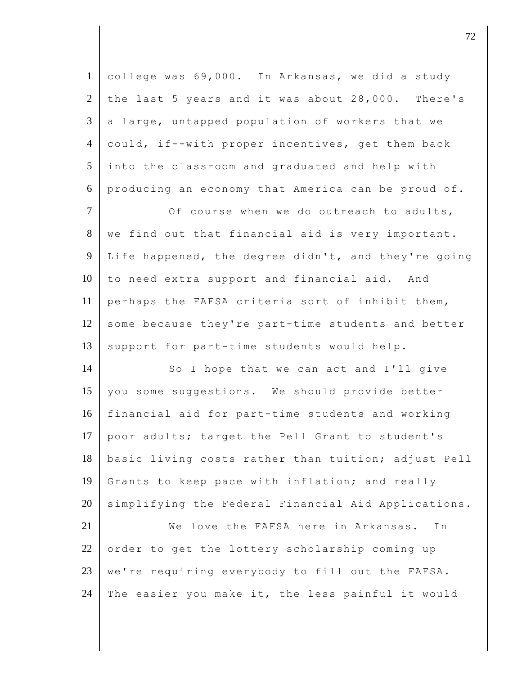1 college was 69,000. In Arkansas, we did a study 2 the last 5 years and it was about  $28,000$ . There's  $3 \parallel a$  large, untapped population of workers that we 4 could, if--with proper incentives, get them back  $5$  into the classroom and graduated and help with 6 producing an economy that America can be proud of.  $7$   $\parallel$  0f course when we do outreach to adults,

8 we find out that financial aid is very important. 9 Life happened, the degree didn't, and they're going 10 to need extra support and financial aid. And 11 perhaps the FAFSA criteria sort of inhibit them, 12 some because they're part-time students and better 13 support for part-time students would help.

14 So I hope that we can act and I'll give 15 you some suggestions. We should provide better 16 financial aid for part-time students and working 17 poor adults; target the Pell Grant to student's 18 basic living costs rather than tuition; adjust Pell 19 Grants to keep pace with inflation; and really 20 simplifying the Federal Financial Aid Applications.

21 We love the FAFSA here in Arkansas. In 22 order to get the lottery scholarship coming up 23  $\parallel$  we're requiring everybody to fill out the FAFSA. 24 The easier you make it, the less painful it would

discrete the contract of  $\overline{72}$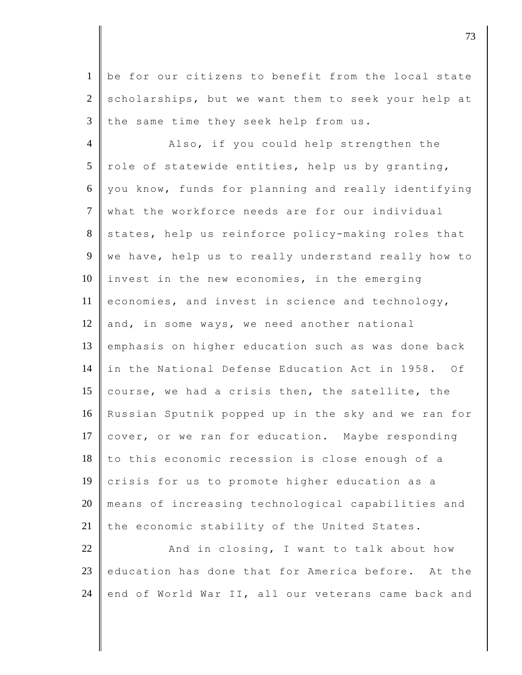1 be for our citizens to benefit from the local state  $2 \parallel$  scholarships, but we want them to seek your help at  $3$  the same time they seek help from us.

4 **Also, if you could help strengthen the**  $5$  role of statewide entities, help us by granting, 6 you know, funds for planning and really identifying 7 what the workforce needs are for our individual 8 states, help us reinforce policy-making roles that 9 we have, help us to really understand really how to 10 invest in the new economies, in the emerging 11 economies, and invest in science and technology, 12 and, in some ways, we need another national 13 emphasis on higher education such as was done back 14 in the National Defense Education Act in 1958. Of 15 course, we had a crisis then, the satellite, the 16 Russian Sputnik popped up in the sky and we ran for 17 cover, or we ran for education. Maybe responding  $18$  to this economic recession is close enough of a 19 crisis for us to promote higher education as a 20 means of increasing technological capabilities and 21 the economic stability of the United States.

 $22$   $\parallel$  And in closing, I want to talk about how 23 education has done that for America before. At the 24 end of World War II, all our veterans came back and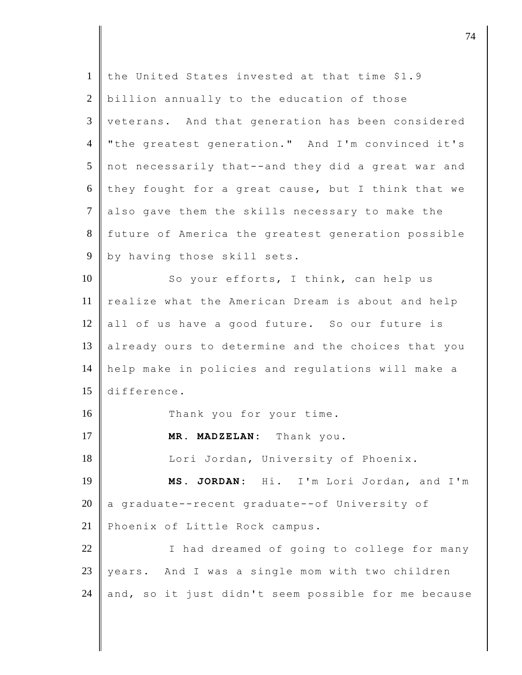| $\mathbf{1}$   | the United States invested at that time \$1.9       |
|----------------|-----------------------------------------------------|
| $\overline{2}$ | billion annually to the education of those          |
| 3              | veterans. And that generation has been considered   |
| $\overline{4}$ | "the greatest generation." And I'm convinced it's   |
| 5              | not necessarily that--and they did a great war and  |
| 6              | they fought for a great cause, but I think that we  |
| $\tau$         | also gave them the skills necessary to make the     |
| 8              | future of America the greatest generation possible  |
| 9              | by having those skill sets.                         |
| 10             | So your efforts, I think, can help us               |
| 11             | realize what the American Dream is about and help   |
| 12             | all of us have a good future. So our future is      |
| 13             | already ours to determine and the choices that you  |
| 14             | help make in policies and regulations will make a   |
| 15             | difference.                                         |
| 16             | Thank you for your time.                            |
| 17             | MR. MADZELAN: Thank you.                            |
| 18             | Lori Jordan, University of Phoenix.                 |
| 19             | JORDAN: Hi. I'm Lori Jordan, and I'm<br>MS.         |
| 20             | a graduate--recent graduate--of University of       |
| 21             | Phoenix of Little Rock campus.                      |
| 22             | I had dreamed of going to college for many          |
| 23             | And I was a single mom with two children<br>years.  |
| 24             | and, so it just didn't seem possible for me because |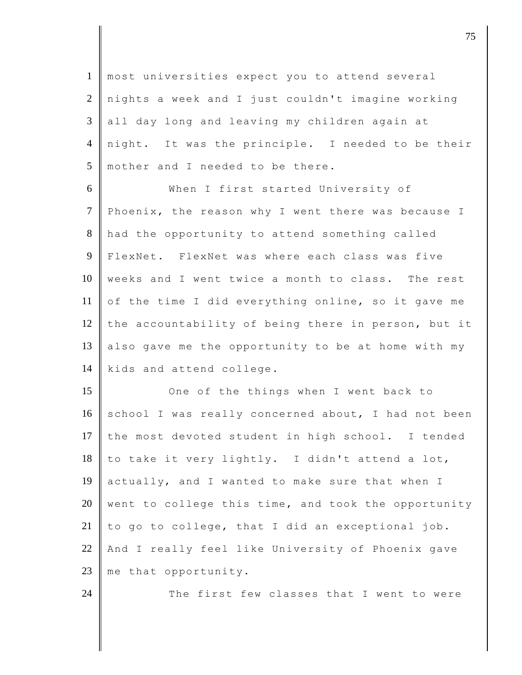most universities expect you to attend several nights a week and I just couldn't imagine working all day long and leaving my children again at night. It was the principle. I needed to be their mother and I needed to be there.

6 When I first started University of 7 Phoenix, the reason why I went there was because I 8 had the opportunity to attend something called 9 FlexNet. FlexNet was where each class was five 10 weeks and I went twice a month to class. The rest 11 of the time I did everything online, so it gave me 12 the accountability of being there in person, but it 13 also gave me the opportunity to be at home with my 14 kids and attend college.

15 One of the things when I went back to 16 school I was really concerned about, I had not been 17 the most devoted student in high school. I tended  $18$  to take it very lightly. I didn't attend a lot, 19 actually, and I wanted to make sure that when I 20 went to college this time, and took the opportunity 21  $\parallel$  to go to college, that I did an exceptional job. 22 And I really feel like University of Phoenix gave 23 me that opportunity.

24  $\parallel$  The first few classes that I went to were

discrete the contract of  $\overline{75}$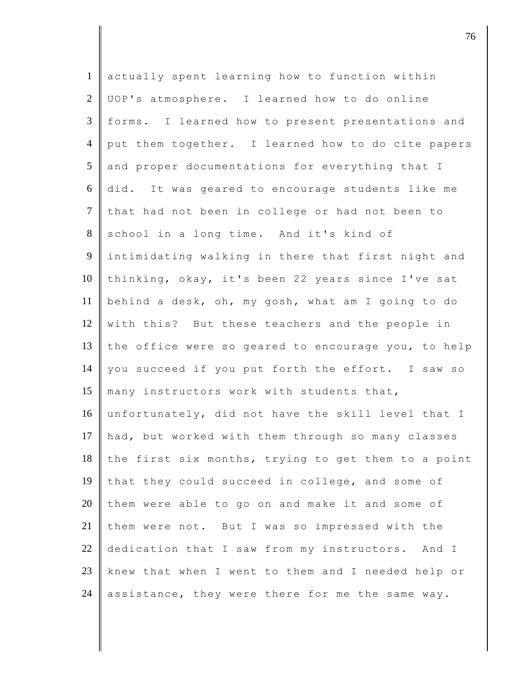| $\mathbf{1}$    | actually spent learning how to function within      |
|-----------------|-----------------------------------------------------|
| 2               | UOP's atmosphere. I learned how to do online        |
| $\overline{3}$  | forms. I learned how to present presentations and   |
| $\overline{4}$  | put them together. I learned how to do cite papers  |
| $5\overline{)}$ | and proper documentations for everything that I     |
| 6               | did. It was geared to encourage students like me    |
| $\tau$          | that had not been in college or had not been to     |
| 8               | school in a long time. And it's kind of             |
| $\overline{9}$  | intimidating walking in there that first night and  |
| 10              | thinking, okay, it's been 22 years since I've sat   |
| 11              | behind a desk, oh, my gosh, what am I going to do   |
| 12              | with this? But these teachers and the people in     |
| 13              | the office were so geared to encourage you, to help |
| 14              | you succeed if you put forth the effort. I saw so   |
| 15              | many instructors work with students that,           |
| 16              | unfortunately, did not have the skill level that I  |
| 17              | had, but worked with them through so many classes   |
| 18              | the first six months, trying to get them to a point |
| 19              | that they could succeed in college, and some of     |
| 20              | them were able to go on and make it and some of     |
| 21              | them were not. But I was so impressed with the      |
| 22              | dedication that I saw from my instructors. And I    |
| 23              | knew that when I went to them and I needed help or  |
| 24              | assistance, they were there for me the same way.    |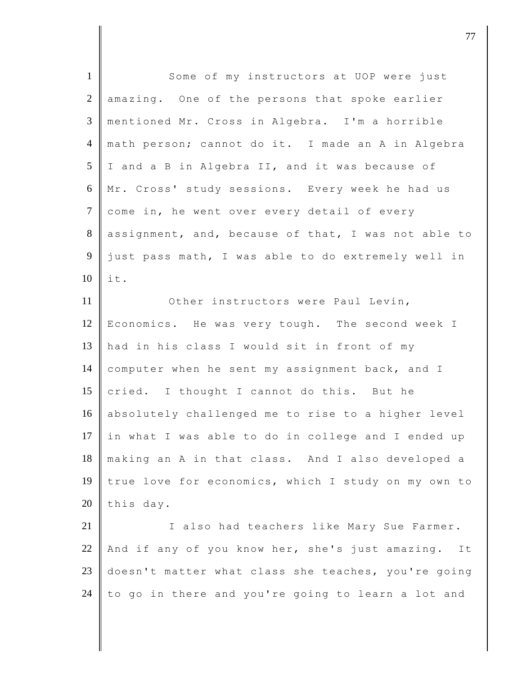| $\mathbf{1}$   | Some of my instructors at UOP were just               |
|----------------|-------------------------------------------------------|
| $\overline{2}$ | amazing. One of the persons that spoke earlier        |
| 3              | mentioned Mr. Cross in Algebra. I'm a horrible        |
| $\overline{4}$ | math person; cannot do it. I made an A in Algebra     |
| 5              | I and a B in Algebra II, and it was because of        |
| 6              | Mr. Cross' study sessions. Every week he had us       |
| $\overline{7}$ | come in, he went over every detail of every           |
| 8              | assignment, and, because of that, I was not able to   |
| 9              | just pass math, I was able to do extremely well in    |
| 10             | it.                                                   |
| 11             | Other instructors were Paul Levin,                    |
| 12             | Economics. He was very tough. The second week I       |
| 13             | had in his class I would sit in front of my           |
| 14             | computer when he sent my assignment back, and I       |
| 15             | cried. I thought I cannot do this. But he             |
| 16             | absolutely challenged me to rise to a higher level    |
| 17             | in what I was able to do in college and I ended up    |
| 18             | making an A in that class. And I also developed a     |
| 19             | true love for economics, which I study on my own to   |
| 20             | this day.                                             |
| 21             | I also had teachers like Mary Sue Farmer.             |
| 22             | And if any of you know her, she's just amazing.<br>It |
| 23             | doesn't matter what class she teaches, you're going   |
| 24             | to go in there and you're going to learn a lot and    |

djective terms of the contract of the contract of  $\overline{a}$  77  $\overline{a}$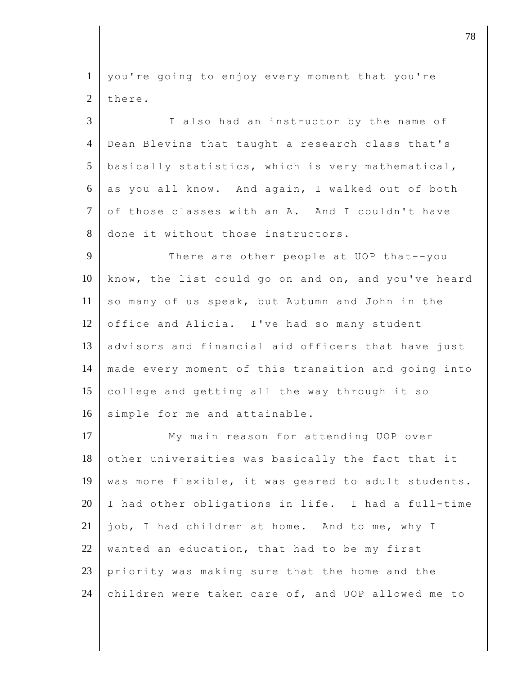1 you're going to enjoy every moment that you're  $2$  there.

3 I also had an instructor by the name of 4 Dean Blevins that taught a research class that's 5 basically statistics, which is very mathematical,  $6$  as you all know. And again, I walked out of both 7 of those classes with an A. And I couldn't have 8 done it without those instructors.

9 There are other people at UOP that--you 10 know, the list could go on and on, and you've heard 11 so many of us speak, but Autumn and John in the 12 office and Alicia. I've had so many student 13 advisors and financial aid officers that have just 14 made every moment of this transition and going into 15 college and getting all the way through it so 16 simple for me and attainable.

17 My main reason for attending UOP over 18 other universities was basically the fact that it 19 | was more flexible, it was geared to adult students.  $20$  I had other obligations in life. I had a full-time 21 job, I had children at home. And to me, why I 22 wanted an education, that had to be my first 23 priority was making sure that the home and the 24 children were taken care of, and UOP allowed me to

djective terms of  $\overline{a}$  78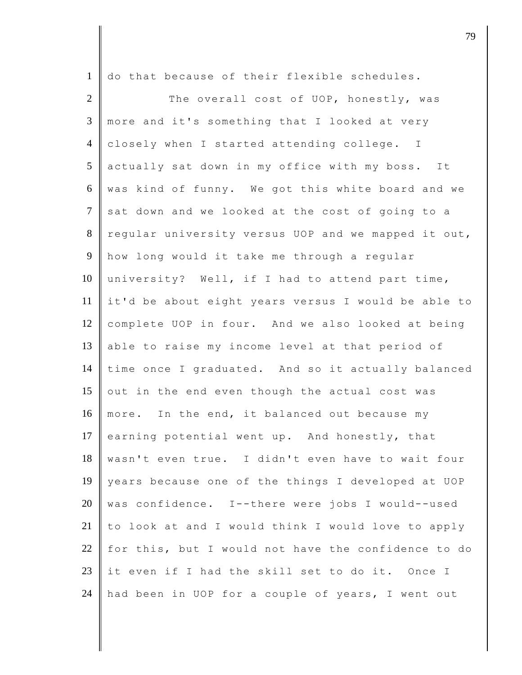1 do that because of their flexible schedules.

2 The overall cost of UOP, honestly, was 3 more and it's something that I looked at very 4 closely when I started attending college. I 5 actually sat down in my office with my boss. It  $6$  was kind of funny. We got this white board and we  $7$  sat down and we looked at the cost of going to a 8 regular university versus UOP and we mapped it out, 9 how long would it take me through a regular 10 university? Well, if I had to attend part time, 11 it'd be about eight years versus I would be able to 12 complete UOP in four. And we also looked at being 13 able to raise my income level at that period of 14 time once I graduated. And so it actually balanced 15 out in the end even though the actual cost was 16 more. In the end, it balanced out because my 17 earning potential went up. And honestly, that 18 wasn't even true. I didn't even have to wait four 19 years because one of the things I developed at UOP 20  $\parallel$  was confidence. I--there were jobs I would--used 21 to look at and I would think I would love to apply 22 for this, but I would not have the confidence to do 23 it even if I had the skill set to do it. Once I 24  $\parallel$  had been in UOP for a couple of years, I went out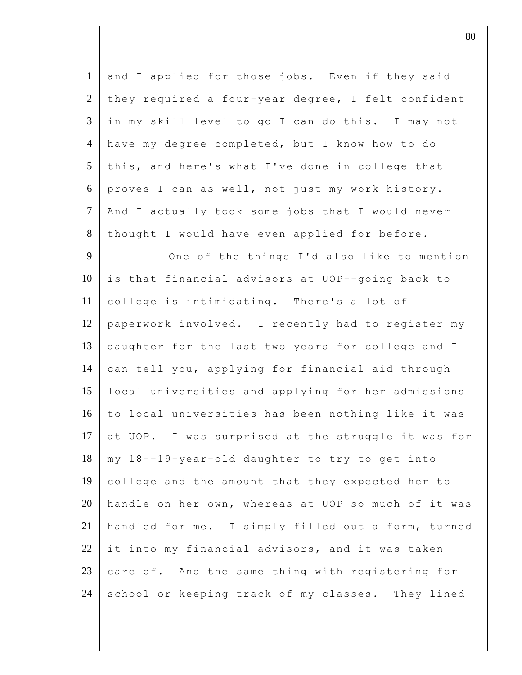| $\mathbf{1}$   | and I applied for those jobs. Even if they said     |
|----------------|-----------------------------------------------------|
| $\overline{2}$ | they required a four-year degree, I felt confident  |
| 3              | in my skill level to go I can do this. I may not    |
| $\overline{4}$ | have my degree completed, but I know how to do      |
| 5              | this, and here's what I've done in college that     |
| 6              | proves I can as well, not just my work history.     |
| $\overline{7}$ | And I actually took some jobs that I would never    |
| 8              | thought I would have even applied for before.       |
| 9              | One of the things I'd also like to mention          |
| 10             | is that financial advisors at UOP--going back to    |
| 11             | college is intimidating. There's a lot of           |
| 12             | paperwork involved. I recently had to register my   |
| 13             | daughter for the last two years for college and I   |
| 14             | can tell you, applying for financial aid through    |
| 15             | local universities and applying for her admissions  |
| 16             | to local universities has been nothing like it was  |
| 17             | at UOP. I was surprised at the struggle it was for  |
| 18             | my 18--19-year-old daughter to try to get into      |
| 19             | college and the amount that they expected her to    |
| 20             | handle on her own, whereas at UOP so much of it was |
| 21             | handled for me. I simply filled out a form, turned  |
| 22             | it into my financial advisors, and it was taken     |
| 23             | care of. And the same thing with registering for    |
| 24             | school or keeping track of my classes. They lined   |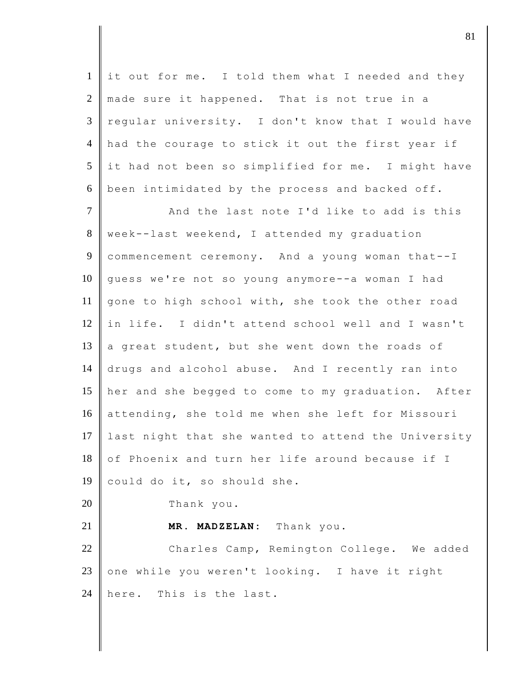$1$  it out for me. I told them what I needed and they 2 made sure it happened. That is not true in a 3 regular university. I don't know that I would have 4 had the courage to stick it out the first year if  $5$  it had not been so simplified for me. I might have 6 been intimidated by the process and backed off. 7 And the last note I'd like to add is this 8 week--last weekend, I attended my graduation 9 commencement ceremony. And a young woman that--I 10 guess we're not so young anymore--a woman I had 11 gone to high school with, she took the other road 12 in life. I didn't attend school well and I wasn't 13 a great student, but she went down the roads of 14 drugs and alcohol abuse. And I recently ran into 15 her and she begged to come to my graduation. After 16 attending, she told me when she left for Missouri 17 last night that she wanted to attend the University  $18 \parallel$  of Phoenix and turn her life around because if I 19 could do it, so should she. 20 Thank you. 21 **MR. MADZELAN:** Thank you. 22 Charles Camp, Remington College. We added 23 one while you weren't looking. I have it right 24 here. This is the last.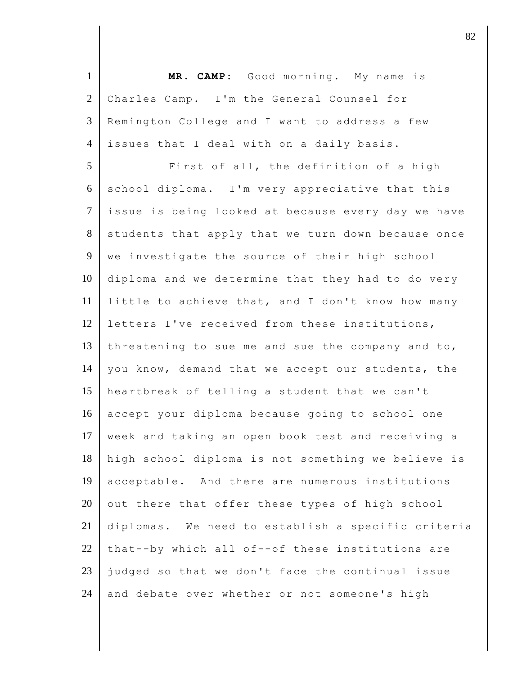| $\mathbf{1}$   | MR. CAMP: Good morning. My name is                 |
|----------------|----------------------------------------------------|
| $\overline{2}$ | Charles Camp. I'm the General Counsel for          |
| 3              | Remington College and I want to address a few      |
| $\overline{4}$ | issues that I deal with on a daily basis.          |
| 5              | First of all, the definition of a high             |
| 6              | school diploma. I'm very appreciative that this    |
| $\overline{7}$ | issue is being looked at because every day we have |
| 8              | students that apply that we turn down because once |
| 9              | we investigate the source of their high school     |
| 10             | diploma and we determine that they had to do very  |
| 11             | little to achieve that, and I don't know how many  |
| 12             | letters I've received from these institutions,     |
| 13             | threatening to sue me and sue the company and to,  |
| 14             | you know, demand that we accept our students, the  |
| 15             | heartbreak of telling a student that we can't      |
| 16             | accept your diploma because going to school one    |
| 17             | week and taking an open book test and receiving a  |
| 18             | high school diploma is not something we believe is |
| 19             | acceptable. And there are numerous institutions    |
| 20             | out there that offer these types of high school    |
| 21             | diplomas. We need to establish a specific criteria |
| 22             | that--by which all of--of these institutions are   |
| 23             | judged so that we don't face the continual issue   |
| 24             | and debate over whether or not someone's high      |

 $\vert$  82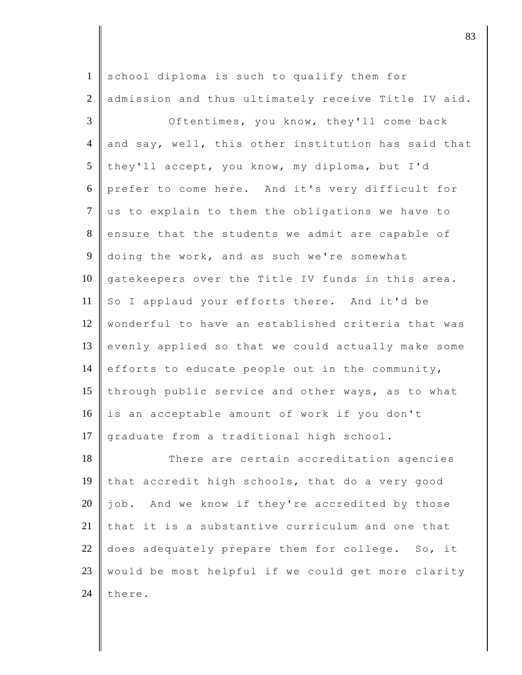| $\mathbf{1}$   | school diploma is such to qualify them for          |
|----------------|-----------------------------------------------------|
| $\overline{2}$ | admission and thus ultimately receive Title IV aid. |
| 3              | Oftentimes, you know, they'll come back             |
| $\overline{4}$ | and say, well, this other institution has said that |
| 5              | they'll accept, you know, my diploma, but I'd       |
| 6              | prefer to come here. And it's very difficult for    |
| $\tau$         | us to explain to them the obligations we have to    |
| 8              | ensure that the students we admit are capable of    |
| 9              | doing the work, and as such we're somewhat          |
| 10             | gatekeepers over the Title IV funds in this area.   |
| 11             | So I applaud your efforts there. And it'd be        |
| 12             | wonderful to have an established criteria that was  |
| 13             | evenly applied so that we could actually make some  |
| 14             | efforts to educate people out in the community,     |
| 15             | through public service and other ways, as to what   |
| 16             | is an acceptable amount of work if you don't        |
| 17             | graduate from a traditional high school.            |
| 18             | There are certain accreditation agencies            |
| 19             | that accredit high schools, that do a very good     |
| 20             | job. And we know if they're accredited by those     |
| 21             | that it is a substantive curriculum and one that    |
| 22             | does adequately prepare them for college. So, it    |
| 23             | would be most helpful if we could get more clarity  |
| 24             | there.                                              |

 $\vert$  83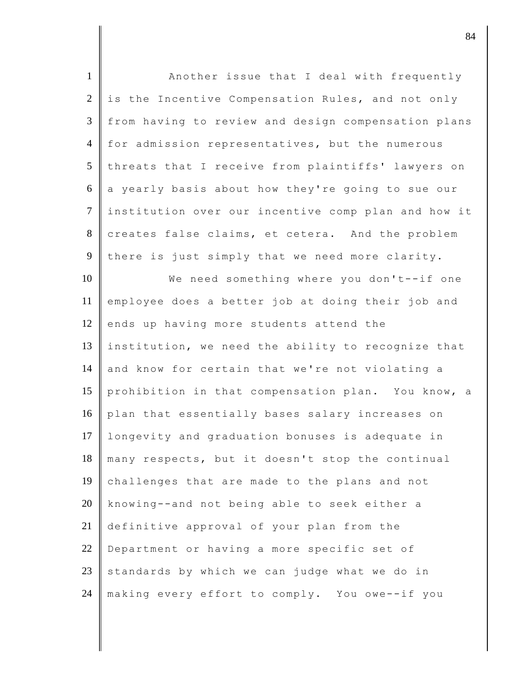| $\mathbf{1}$   | Another issue that I deal with frequently           |
|----------------|-----------------------------------------------------|
| $\overline{2}$ | is the Incentive Compensation Rules, and not only   |
| 3              | from having to review and design compensation plans |
| $\overline{4}$ | for admission representatives, but the numerous     |
| 5              | threats that I receive from plaintiffs' lawyers on  |
| 6              | a yearly basis about how they're going to sue our   |
| $\tau$         | institution over our incentive comp plan and how it |
| 8              | creates false claims, et cetera. And the problem    |
| 9              | there is just simply that we need more clarity.     |
| 10             | We need something where you don't--if one           |
| 11             | employee does a better job at doing their job and   |
| 12             | ends up having more students attend the             |
| 13             | institution, we need the ability to recognize that  |
| 14             | and know for certain that we're not violating a     |
| 15             | prohibition in that compensation plan. You know, a  |
| 16             | plan that essentially bases salary increases on     |
| 17             | longevity and graduation bonuses is adequate in     |
| 18             | many respects, but it doesn't stop the continual    |
| 19             | challenges that are made to the plans and not       |
| 20             | knowing--and not being able to seek either a        |
| 21             | definitive approval of your plan from the           |
| 22             | Department or having a more specific set of         |
| 23             | standards by which we can judge what we do in       |
| 24             | making every effort to comply. You owe--if you      |

djective terms of  $\overline{84}$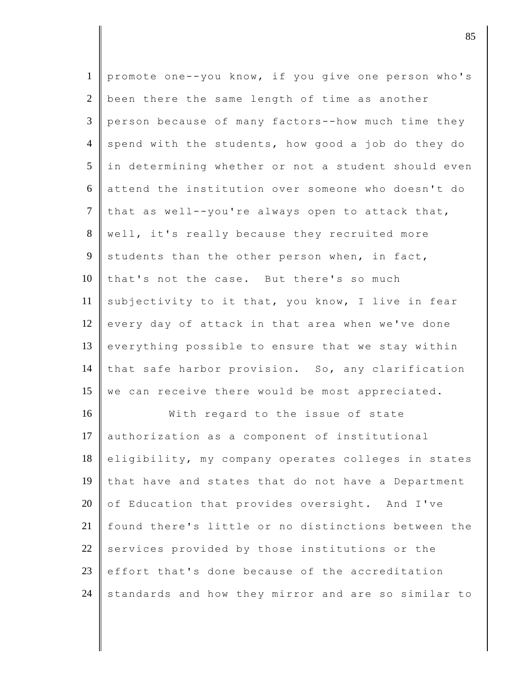| $\mathbf{1}$    | promote one--you know, if you give one person who's |
|-----------------|-----------------------------------------------------|
| $\overline{2}$  | been there the same length of time as another       |
| $\mathfrak{Z}$  | person because of many factors--how much time they  |
| $\overline{4}$  | spend with the students, how good a job do they do  |
| $5\overline{)}$ | in determining whether or not a student should even |
| 6               | attend the institution over someone who doesn't do  |
| $\tau$          | that as well--you're always open to attack that,    |
| 8               | well, it's really because they recruited more       |
| 9               | students than the other person when, in fact,       |
| 10              | that's not the case. But there's so much            |
| 11              | subjectivity to it that, you know, I live in fear   |
| 12              | every day of attack in that area when we've done    |
| 13              | everything possible to ensure that we stay within   |
| 14              | that safe harbor provision. So, any clarification   |
| 15              | we can receive there would be most appreciated.     |
| 16              | With regard to the issue of state                   |
| 17              | authorization as a component of institutional       |
| 18              | eligibility, my company operates colleges in states |
| 19              | that have and states that do not have a Department  |
| 20              | of Education that provides oversight. And I've      |
| 21              | found there's little or no distinctions between the |
| 22              | services provided by those institutions or the      |
| 23              | effort that's done because of the accreditation     |
| 24              | standards and how they mirror and are so similar to |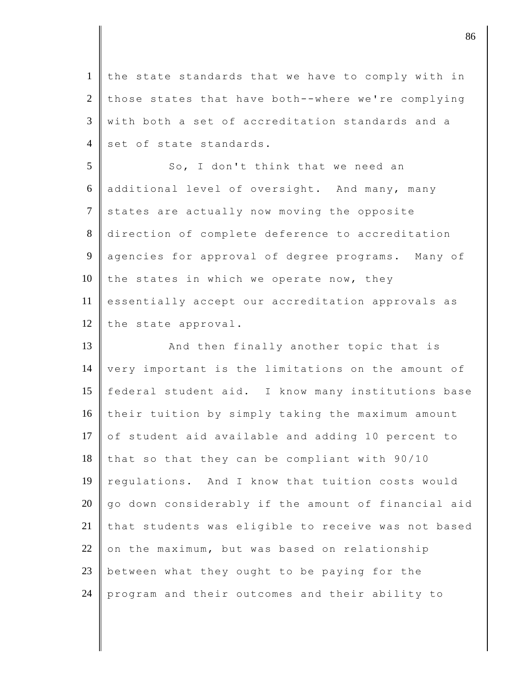1 the state standards that we have to comply with in  $2 \parallel$  those states that have both--where we're complying  $3 \parallel$  with both a set of accreditation standards and a  $4 \parallel$  set of state standards.

5 So, I don't think that we need an 6 additional level of oversight. And many, many 7 states are actually now moving the opposite 8 direction of complete deference to accreditation 9 agencies for approval of degree programs. Many of 10 the states in which we operate now, they 11 essentially accept our accreditation approvals as 12 the state approval.

13 And then finally another topic that is 14 very important is the limitations on the amount of 15 | federal student aid. I know many institutions base 16 their tuition by simply taking the maximum amount 17 of student aid available and adding 10 percent to  $18$  that so that they can be compliant with 90/10 19 regulations. And I know that tuition costs would  $20$  go down considerably if the amount of financial aid 21 that students was eligible to receive was not based  $22$  on the maximum, but was based on relationship 23 between what they ought to be paying for the 24 program and their outcomes and their ability to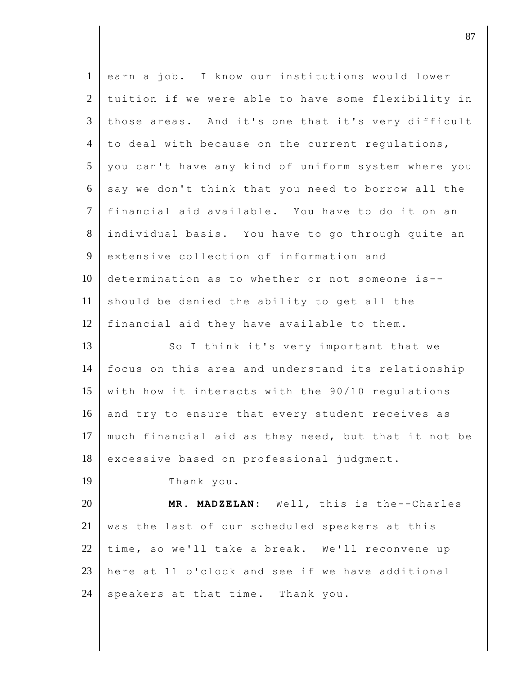| $\mathbf{1}$   | earn a job. I know our institutions would lower     |
|----------------|-----------------------------------------------------|
| $\overline{2}$ | tuition if we were able to have some flexibility in |
| $\mathfrak{Z}$ | those areas. And it's one that it's very difficult  |
| $\overline{4}$ | to deal with because on the current regulations,    |
| 5              | you can't have any kind of uniform system where you |
| 6              | say we don't think that you need to borrow all the  |
| $\tau$         | financial aid available. You have to do it on an    |
| 8              | individual basis. You have to go through quite an   |
| 9              | extensive collection of information and             |
| 10             | determination as to whether or not someone is--     |
| 11             | should be denied the ability to get all the         |
| 12             | financial aid they have available to them.          |
| 13             | So I think it's very important that we              |
| 14             | focus on this area and understand its relationship  |
| 15             | with how it interacts with the 90/10 regulations    |
| 16             | and try to ensure that every student receives as    |
| 17             | much financial aid as they need, but that it not be |
| 18             | excessive based on professional judgment.           |
| 19             | Thank you.                                          |
| 20             | MR. MADZELAN: Well, this is the--Charles            |
| 21             | was the last of our scheduled speakers at this      |
| 22             | time, so we'll take a break. We'll reconvene up     |
| 23             | here at 11 o'clock and see if we have additional    |
| 24             | speakers at that time. Thank you.                   |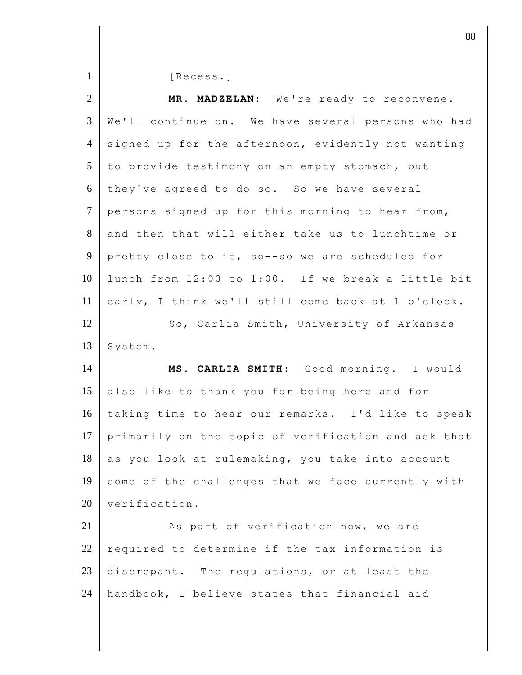| $\mathbf{1}$         | [Recess.]                                           |
|----------------------|-----------------------------------------------------|
| $\overline{2}$       | MR. MADZELAN: We're ready to reconvene.             |
| 3                    | We'll continue on. We have several persons who had  |
| $\overline{4}$       | signed up for the afternoon, evidently not wanting  |
| 5                    | to provide testimony on an empty stomach, but       |
| 6                    | they've agreed to do so. So we have several         |
| $\overline{7}$       | persons signed up for this morning to hear from,    |
| $8\,$                | and then that will either take us to lunchtime or   |
| $\overline{9}$       | pretty close to it, so--so we are scheduled for     |
| 10                   | lunch from 12:00 to 1:00. If we break a little bit  |
| 11                   | early, I think we'll still come back at 1 o'clock.  |
| 12                   | So, Carlia Smith, University of Arkansas            |
|                      |                                                     |
|                      | System.                                             |
| 13<br>14             | MS. CARLIA SMITH: Good morning. I would             |
| 15                   | also like to thank you for being here and for       |
| 16                   | taking time to hear our remarks. I'd like to speak  |
|                      | primarily on the topic of verification and ask that |
| 18                   | as you look at rulemaking, you take into account    |
|                      | some of the challenges that we face currently with  |
|                      | verification.                                       |
| 17<br>19<br>20<br>21 | As part of verification now, we are                 |
| 22                   | required to determine if the tax information is     |
| 23                   | discrepant. The regulations, or at least the        |
| 24                   | handbook, I believe states that financial aid       |

djective the set of  $\sim$  88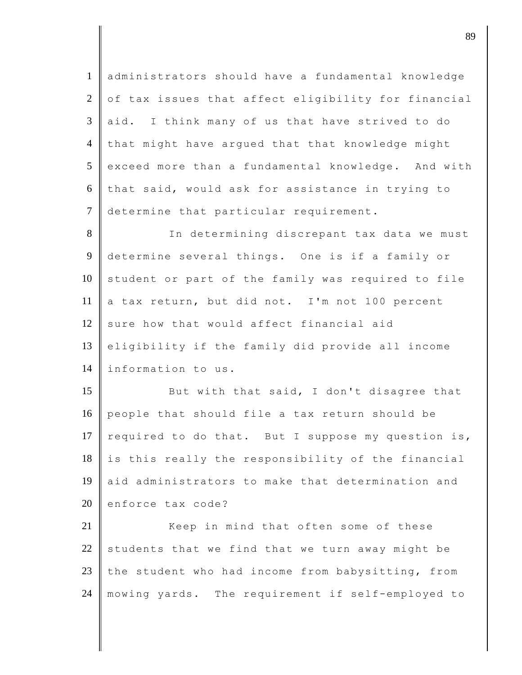1 administrators should have a fundamental knowledge  $2 \parallel$  of tax issues that affect eligibility for financial  $3$  aid. I think many of us that have strived to do 4 that might have argued that that knowledge might 5 exceed more than a fundamental knowledge. And with  $6$  that said, would ask for assistance in trying to 7 determine that particular requirement.

8 In determining discrepant tax data we must determine several things. One is if a family or student or part of the family was required to file a tax return, but did not. I'm not 100 percent sure how that would affect financial aid eligibility if the family did provide all income 14 | information to us.

15 But with that said, I don't disagree that 16 people that should file a tax return should be 17 required to do that. But I suppose my question is,  $18$  is this really the responsibility of the financial 19 aid administrators to make that determination and  $20$  enforce tax code?

21 Keep in mind that often some of these 22 students that we find that we turn away might be 23 the student who had income from babysitting, from 24 mowing yards. The requirement if self-employed to

djective terms of  $\overline{89}$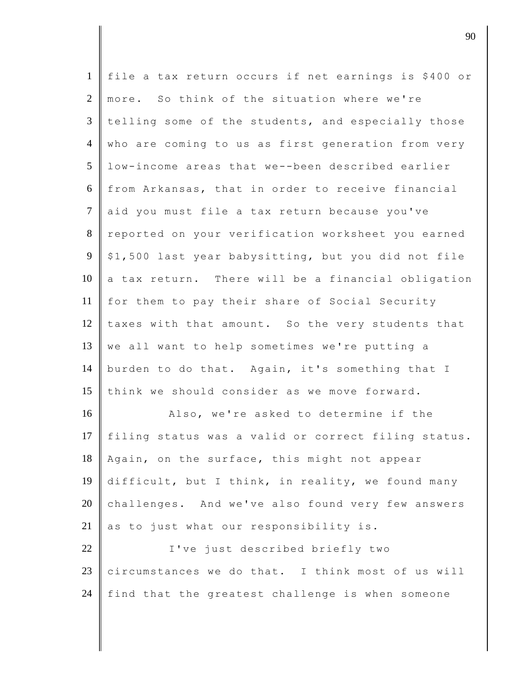| $\mathbf{1}$    | file a tax return occurs if net earnings is \$400 or |
|-----------------|------------------------------------------------------|
| $\overline{2}$  | more. So think of the situation where we're          |
| $\overline{3}$  | telling some of the students, and especially those   |
| $\overline{4}$  | who are coming to us as first generation from very   |
| $5\overline{)}$ | low-income areas that we--been described earlier     |
| 6               | from Arkansas, that in order to receive financial    |
| $\tau$          | aid you must file a tax return because you've        |
| 8               | reported on your verification worksheet you earned   |
| $\overline{9}$  | \$1,500 last year babysitting, but you did not file  |
| 10              | a tax return. There will be a financial obligation   |
| 11              | for them to pay their share of Social Security       |
| 12              | taxes with that amount. So the very students that    |
| 13              | we all want to help sometimes we're putting a        |
| 14              | burden to do that. Again, it's something that I      |
| 15              | think we should consider as we move forward.         |
| 16              | Also, we're asked to determine if the                |
| 17              | filing status was a valid or correct filing status.  |
| 18              | Again, on the surface, this might not appear         |
| 19              | difficult, but I think, in reality, we found many    |
| 20              | challenges. And we've also found very few answers    |
| 21              | as to just what our responsibility is.               |
| 22              | I've just described briefly two                      |
| 23              | circumstances we do that. I think most of us will    |
| 24              | find that the greatest challenge is when someone     |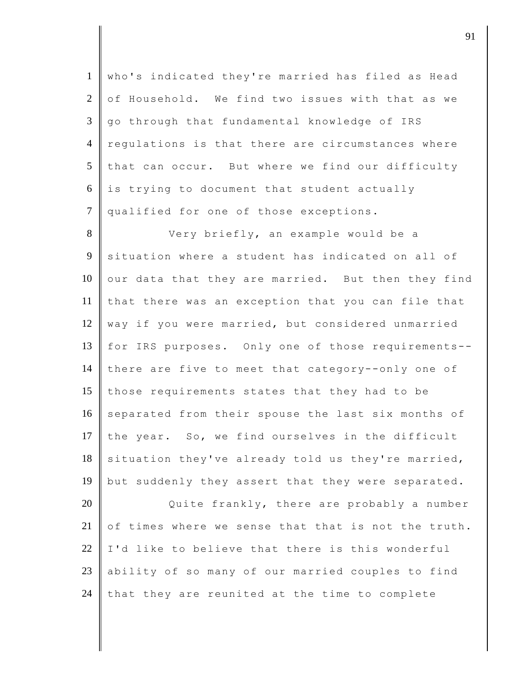| $\mathbf{1}$   | who's indicated they're married has filed as Head   |
|----------------|-----------------------------------------------------|
| $\overline{2}$ | of Household. We find two issues with that as we    |
| $\overline{3}$ | go through that fundamental knowledge of IRS        |
| $\overline{4}$ | regulations is that there are circumstances where   |
| 5              | that can occur. But where we find our difficulty    |
| 6              | is trying to document that student actually         |
| $\overline{7}$ | qualified for one of those exceptions.              |
| 8              | Very briefly, an example would be a                 |
| 9              | situation where a student has indicated on all of   |
| 10             | our data that they are married. But then they find  |
| 11             | that there was an exception that you can file that  |
| 12             | way if you were married, but considered unmarried   |
| 13             | for IRS purposes. Only one of those requirements--  |
| 14             | there are five to meet that category--only one of   |
| 15             | those requirements states that they had to be       |
| 16             | separated from their spouse the last six months of  |
| 17             | the year. So, we find ourselves in the difficult    |
| 18             | situation they've already told us they're married,  |
| 19             | but suddenly they assert that they were separated.  |
| 20             | Quite frankly, there are probably a number          |
| 21             | of times where we sense that that is not the truth. |
| 22             | I'd like to believe that there is this wonderful    |
| 23             | ability of so many of our married couples to find   |
|                |                                                     |

24 that they are reunited at the time to complete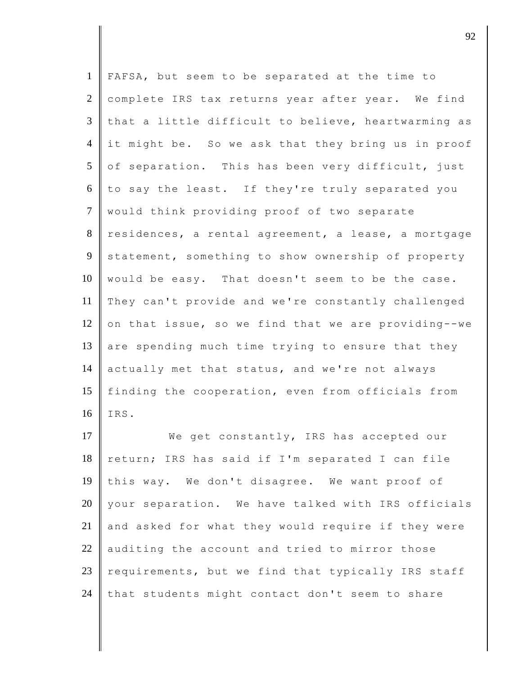| $\mathbf{1}$   | FAFSA, but seem to be separated at the time to      |
|----------------|-----------------------------------------------------|
| $\overline{2}$ | complete IRS tax returns year after year. We find   |
| 3              | that a little difficult to believe, heartwarming as |
| $\overline{4}$ | it might be. So we ask that they bring us in proof  |
| 5              | of separation. This has been very difficult, just   |
| 6              | to say the least. If they're truly separated you    |
| $\tau$         | would think providing proof of two separate         |
| $8\,$          | residences, a rental agreement, a lease, a mortgage |
| 9              | statement, something to show ownership of property  |
| 10             | would be easy. That doesn't seem to be the case.    |
| 11             | They can't provide and we're constantly challenged  |
| 12             | on that issue, so we find that we are providing--we |
| 13             | are spending much time trying to ensure that they   |
| 14             | actually met that status, and we're not always      |
| 15             | finding the cooperation, even from officials from   |
| 16             | IRS.                                                |
| 17             | We get constantly, IRS has accepted our             |
| 18             | return; IRS has said if I'm separated I can file    |
| 19             | this way. We don't disagree. We want proof of       |
| 20             | your separation. We have talked with IRS officials  |
| 21             | and asked for what they would require if they were  |
| 22             | auditing the account and tried to mirror those      |
| 23             | requirements, but we find that typically IRS staff  |
| 24             | that students might contact don't seem to share     |

 $\vert$  92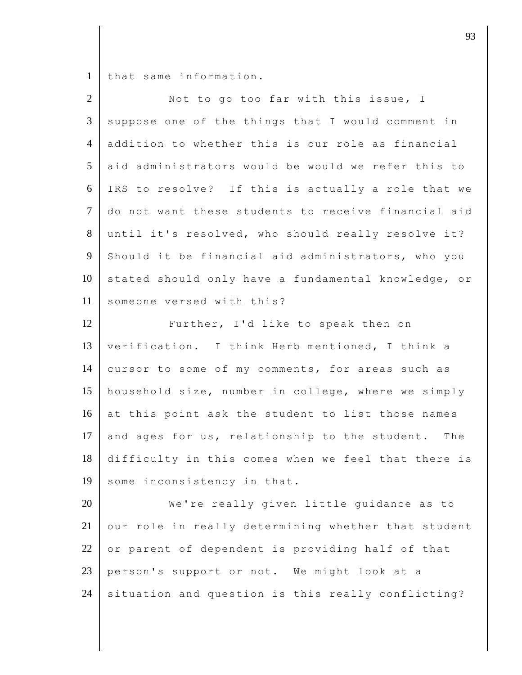1 that same information.

| $\overline{2}$ | Not to go too far with this issue, I                |
|----------------|-----------------------------------------------------|
| $\mathfrak{Z}$ | suppose one of the things that I would comment in   |
| $\overline{4}$ | addition to whether this is our role as financial   |
| 5              | aid administrators would be would we refer this to  |
| 6              | IRS to resolve? If this is actually a role that we  |
| $\tau$         | do not want these students to receive financial aid |
| 8              | until it's resolved, who should really resolve it?  |
| 9              | Should it be financial aid administrators, who you  |
| 10             | stated should only have a fundamental knowledge, or |
| 11             | someone versed with this?                           |
| 12             | Further, I'd like to speak then on                  |
| 13             | verification. I think Herb mentioned, I think a     |
| 14             | cursor to some of my comments, for areas such as    |
| 15             | household size, number in college, where we simply  |
| 16             | at this point ask the student to list those names   |
| 17             | and ages for us, relationship to the student. The   |
| 18             | difficulty in this comes when we feel that there is |
| 19             | some inconsistency in that.                         |
| 20             | We're really given little guidance as to            |
| 21             | our role in really determining whether that student |
| 22             | or parent of dependent is providing half of that    |
| 23             | person's support or not. We might look at a         |
| 24             | situation and question is this really conflicting?  |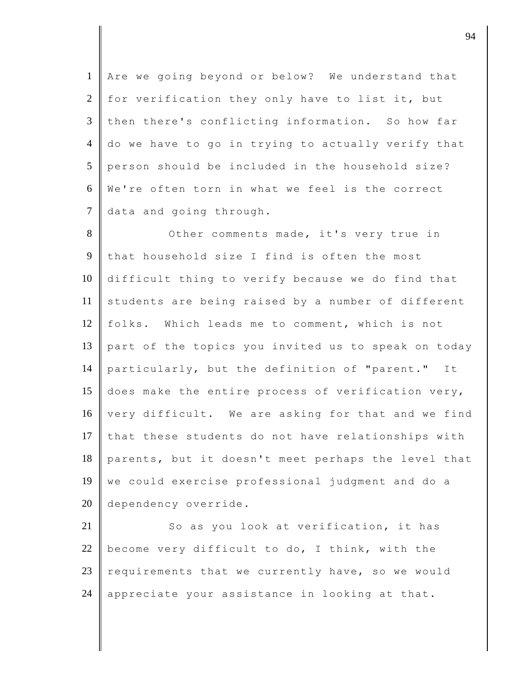1 Are we going beyond or below? We understand that 2 for verification they only have to list it, but  $3$  then there's conflicting information. So how far 4 do we have to go in trying to actually verify that 5 person should be included in the household size? 6 We're often torn in what we feel is the correct 7 data and going through.

8 Other comments made, it's very true in 9 that household size I find is often the most 10 difficult thing to verify because we do find that 11 students are being raised by a number of different 12 folks. Which leads me to comment, which is not 13 part of the topics you invited us to speak on today 14 particularly, but the definition of "parent." It 15  $\parallel$  does make the entire process of verification very, 16 | very difficult. We are asking for that and we find 17 that these students do not have relationships with 18 parents, but it doesn't meet perhaps the level that 19 we could exercise professional judgment and do a 20 dependency override.

21 So as you look at verification, it has 22 | become very difficult to do, I think, with the 23 requirements that we currently have, so we would 24  $\parallel$  appreciate your assistance in looking at that.

djective to the contract of  $\theta$  94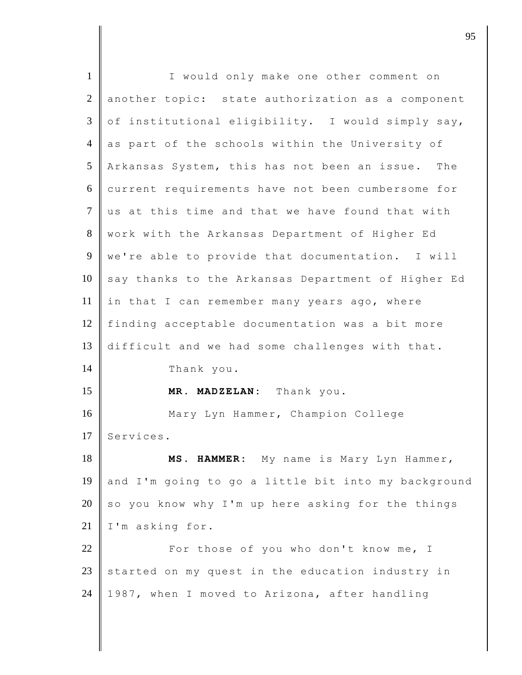| $\mathbf{1}$   | I would only make one other comment on              |
|----------------|-----------------------------------------------------|
| $\overline{2}$ | another topic: state authorization as a component   |
| 3              | of institutional eligibility. I would simply say,   |
| $\overline{4}$ | as part of the schools within the University of     |
| 5              | Arkansas System, this has not been an issue. The    |
| 6              | current requirements have not been cumbersome for   |
| $\tau$         | us at this time and that we have found that with    |
| $8\,$          | work with the Arkansas Department of Higher Ed      |
| 9              | we're able to provide that documentation. I will    |
| 10             | say thanks to the Arkansas Department of Higher Ed  |
| 11             | in that I can remember many years ago, where        |
| 12             | finding acceptable documentation was a bit more     |
| 13             | difficult and we had some challenges with that.     |
| 14             | Thank you.                                          |
| 15             | MR. MADZELAN: Thank you.                            |
| 16             | Mary Lyn Hammer, Champion College                   |
| 17             | Services.                                           |
| 18             | MS. HAMMER: My name is Mary Lyn Hammer,             |
| 19             | and I'm going to go a little bit into my background |
| 20             | so you know why I'm up here asking for the things   |
| 21             | I'm asking for.                                     |
| 22             | For those of you who don't know me, I               |
| 23             | started on my quest in the education industry in    |
| 24             | 1987, when I moved to Arizona, after handling       |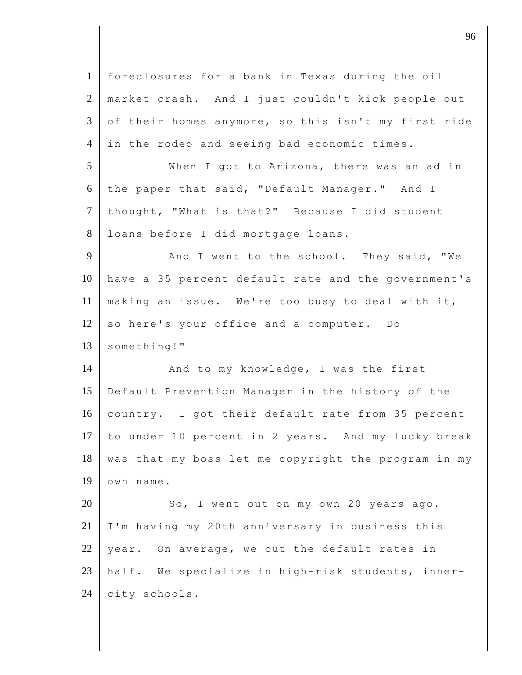1 foreclosures for a bank in Texas during the oil 2 market crash. And I just couldn't kick people out 3 of their homes anymore, so this isn't my first ride 4 in the rodeo and seeing bad economic times. 5 When I got to Arizona, there was an ad in 6 the paper that said, "Default Manager." And I 7 thought, "What is that?" Because I did student 8 loans before I did mortgage loans. 9 And I went to the school. They said, "We 10 have a 35 percent default rate and the government's 11 making an issue. We're too busy to deal with it, 12 so here's your office and a computer. Do 13 something!" 14 **And to my knowledge, I was the first** 15 Default Prevention Manager in the history of the 16 country. I got their default rate from 35 percent 17 to under 10 percent in 2 years. And my lucky break  $18$  was that my boss let me copyright the program in my 19 own name. 20 So, I went out on my own 20 years ago. 21 | I'm having my 20th anniversary in business this 22 year. On average, we cut the default rates in 23 half. We specialize in high-risk students, inner- $24$  city schools.

discrete the contract of  $\overline{96}$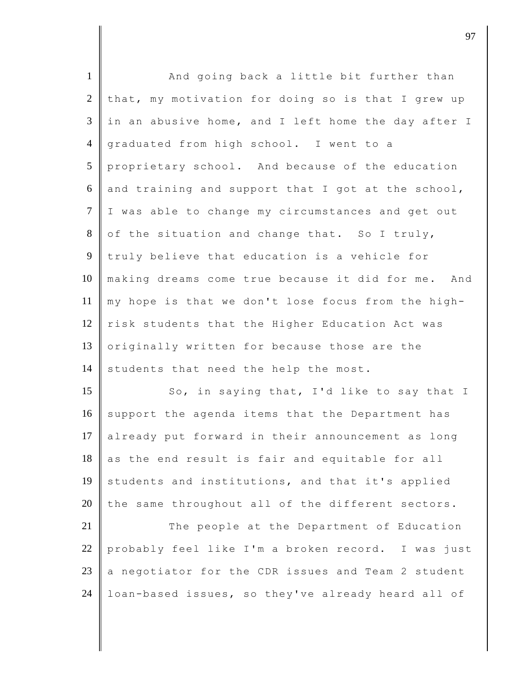| $\mathbf{1}$   | And going back a little bit further than             |
|----------------|------------------------------------------------------|
| $\overline{2}$ | that, my motivation for doing so is that I grew up   |
| 3              | in an abusive home, and I left home the day after I  |
| $\overline{4}$ | graduated from high school. I went to a              |
| 5              | proprietary school. And because of the education     |
| 6              | and training and support that I got at the school,   |
| $\overline{7}$ | I was able to change my circumstances and get out    |
| $8\,$          | of the situation and change that. So I truly,        |
| 9              | truly believe that education is a vehicle for        |
| 10             | making dreams come true because it did for me. And   |
| 11             | my hope is that we don't lose focus from the high-   |
| 12             | risk students that the Higher Education Act was      |
| 13             | originally written for because those are the         |
| 14             | students that need the help the most.                |
| 15             | So, in saying that, I'd like to say that I           |
| 16             | support the agenda items that the Department has     |
| 17             | already put forward in their announcement as<br>long |
| 18             | as the end result is fair and equitable for all      |
| 19             | students and institutions, and that it's applied     |
| 20             | the same throughout all of the different sectors.    |
| 21             | The people at the Department of Education            |
| 22             | probably feel like I'm a broken record. I was just   |
| 23             | a negotiator for the CDR issues and Team 2 student   |
| 24             | loan-based issues, so they've already heard all of   |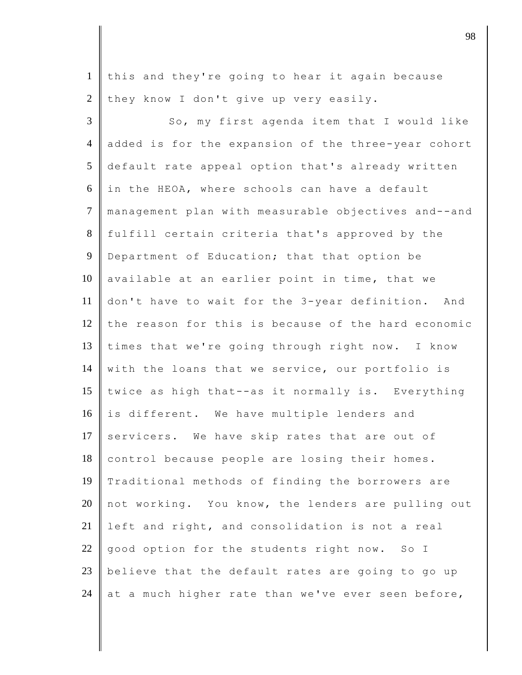1 this and they're going to hear it again because  $2 \parallel$  they know I don't give up very easily.

3 So, my first agenda item that I would like 4 added is for the expansion of the three-year cohort 5 default rate appeal option that's already written 6 in the HEOA, where schools can have a default 7 management plan with measurable objectives and--and 8 fulfill certain criteria that's approved by the 9 Department of Education; that that option be 10 available at an earlier point in time, that we 11 don't have to wait for the 3-year definition. And 12 the reason for this is because of the hard economic 13 times that we're going through right now. I know 14 with the loans that we service, our portfolio is 15 twice as high that--as it normally is. Everything 16 is different. We have multiple lenders and 17 servicers. We have skip rates that are out of 18 control because people are losing their homes. 19 Traditional methods of finding the borrowers are 20 not working. You know, the lenders are pulling out 21 left and right, and consolidation is not a real  $22$  good option for the students right now. So I 23 believe that the default rates are going to go up 24 at a much higher rate than we've ever seen before,

djective terms of  $\overline{98}$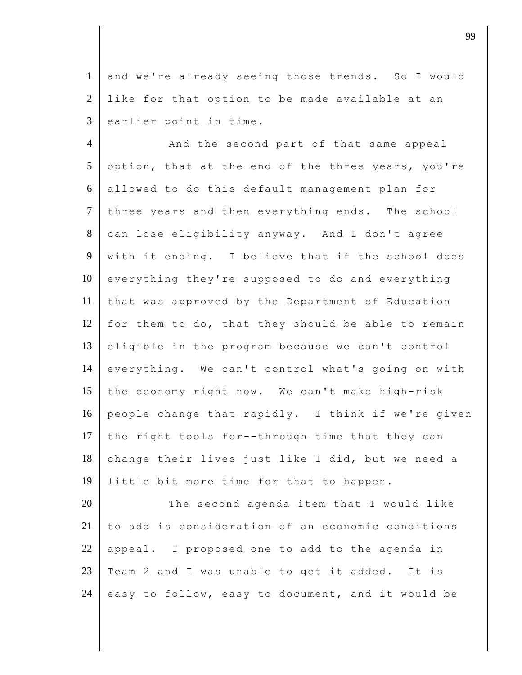1 and we're already seeing those trends. So I would 2 like for that option to be made available at an  $3$  earlier point in time.

4 And the second part of that same appeal 5 option, that at the end of the three years, you're 6 allowed to do this default management plan for  $7$  three years and then everything ends. The school 8 can lose eligibility anyway. And I don't agree 9 with it ending. I believe that if the school does 10 everything they're supposed to do and everything 11 that was approved by the Department of Education 12  $\parallel$  for them to do, that they should be able to remain 13 eligible in the program because we can't control 14 everything. We can't control what's going on with 15 the economy right now. We can't make high-risk 16 people change that rapidly. I think if we're given 17 the right tools for--through time that they can 18 change their lives just like I did, but we need a 19 | little bit more time for that to happen.

20 The second agenda item that I would like 21 to add is consideration of an economic conditions 22 appeal. I proposed one to add to the agenda in 23  $\parallel$  Team 2 and I was unable to get it added. It is 24 easy to follow, easy to document, and it would be

djective to the contract of the contract of the contract of the contract of the contract of the contract of the contract of the contract of the contract of the contract of the contract of the contract of the contract of t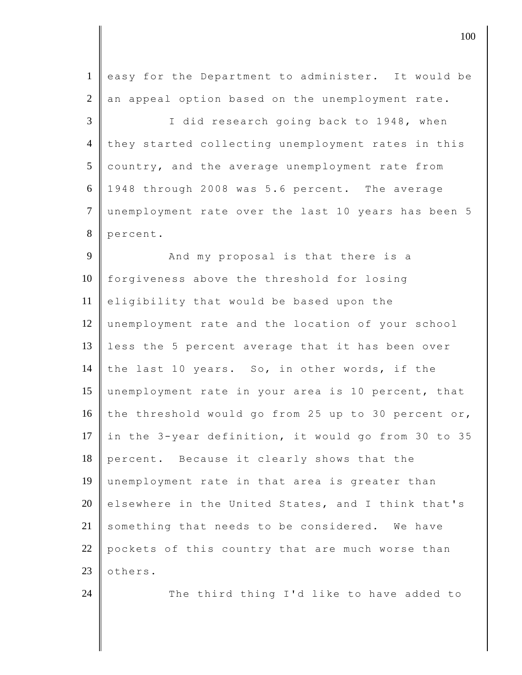1 easy for the Department to administer. It would be  $2 \parallel$  an appeal option based on the unemployment rate. 3 || I did research going back to 1948, when 4 they started collecting unemployment rates in this  $5$  country, and the average unemployment rate from 6 1948 through 2008 was 5.6 percent. The average 7 unemployment rate over the last 10 years has been 5 8 percent. 9 And my proposal is that there is a 10 forgiveness above the threshold for losing 11 eligibility that would be based upon the 12 unemployment rate and the location of your school 13 less the 5 percent average that it has been over 14 the last 10 years. So, in other words, if the 15 unemployment rate in your area is 10 percent, that 16 the threshold would go from 25 up to 30 percent or, 17 in the 3-year definition, it would go from 30 to 35 18 percent. Because it clearly shows that the 19 unemployment rate in that area is greater than 20 elsewhere in the United States, and I think that's  $21$  something that needs to be considered. We have 22 pockets of this country that are much worse than 23 **others.** 24 The third thing I'd like to have added to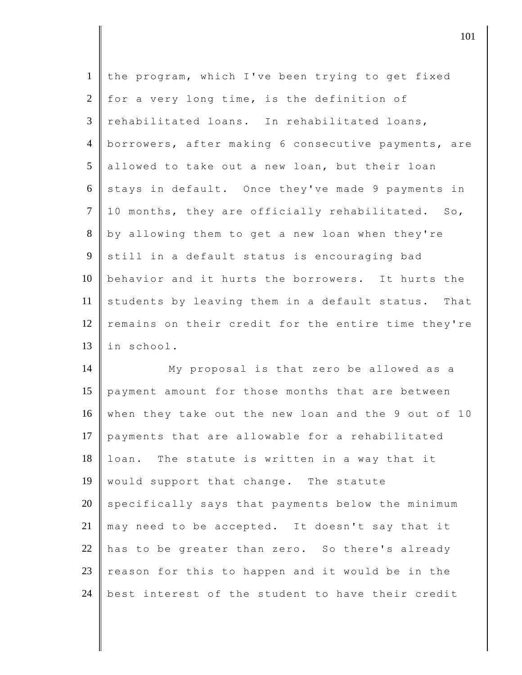| $\mathbf{1}$                                 | the program, which I've been trying to get fixed    |
|----------------------------------------------|-----------------------------------------------------|
| $\overline{2}$                               | for a very long time, is the definition of          |
| $\mathfrak{Z}$                               | rehabilitated loans. In rehabilitated loans,        |
| $\overline{4}$                               | borrowers, after making 6 consecutive payments, are |
| 5                                            | allowed to take out a new loan, but their loan      |
| 6                                            | stays in default. Once they've made 9 payments in   |
| $\tau$                                       | 10 months, they are officially rehabilitated. So,   |
| 8                                            | by allowing them to get a new loan when they're     |
| 9                                            | still in a default status is encouraging bad        |
| 10                                           | behavior and it hurts the borrowers. It hurts the   |
| 11                                           | students by leaving them in a default status. That  |
| 12                                           | remains on their credit for the entire time they're |
| 13                                           | in school.                                          |
| 14                                           | My proposal is that zero be allowed as a            |
|                                              |                                                     |
|                                              | payment amount for those months that are between    |
|                                              | when they take out the new loan and the 9 out of 10 |
|                                              | payments that are allowable for a rehabilitated     |
|                                              | loan. The statute is written in a way that it       |
|                                              | would support that change. The statute              |
|                                              | specifically says that payments below the minimum   |
|                                              | may need to be accepted. It doesn't say that it     |
| 15<br>16<br>17<br>18<br>19<br>20<br>21<br>22 | has to be greater than zero. So there's already     |
| 23                                           | reason for this to happen and it would be in the    |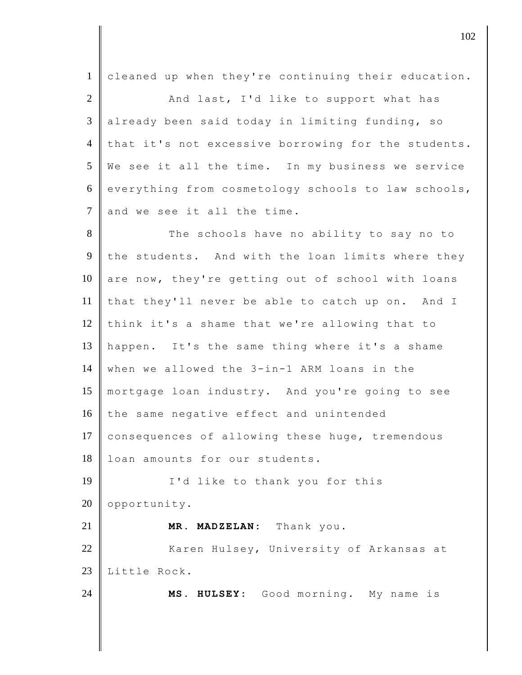| $\mathbf{1}$   | cleaned up when they're continuing their education. |
|----------------|-----------------------------------------------------|
| $\overline{2}$ | And last, I'd like to support what has              |
| $\mathfrak{Z}$ | already been said today in limiting funding, so     |
| $\overline{4}$ | that it's not excessive borrowing for the students. |
| 5              | We see it all the time. In my business we service   |
| 6              | everything from cosmetology schools to law schools, |
| $\overline{7}$ | and we see it all the time.                         |
| 8              | The schools have no ability to say no to            |
| $\overline{9}$ | the students. And with the loan limits where they   |
| 10             | are now, they're getting out of school with loans   |
| 11             | that they'll never be able to catch up on. And I    |
| 12             | think it's a shame that we're allowing that to      |
| 13             | happen. It's the same thing where it's a shame      |
| 14             | when we allowed the 3-in-1 ARM loans in the         |
| 15             | mortgage loan industry. And you're going to see     |
| 16             | the same negative effect and unintended             |
| 17             | consequences of allowing these huge, tremendous     |
| 18             | loan amounts for our students.                      |
| 19             | I'd like to thank you for this                      |
| 20             | opportunity.                                        |
| 21             | MR. MADZELAN: Thank you.                            |
| 22             | Karen Hulsey, University of Arkansas at             |
| 23             | Little Rock.                                        |
| 24             | MS. HULSEY: Good morning. My name is                |
|                |                                                     |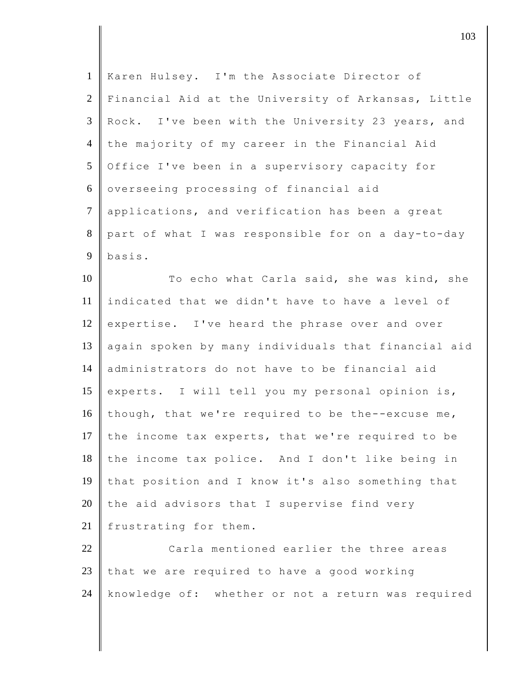| Karen Hulsey. I'm the Associate Director of         |
|-----------------------------------------------------|
| Financial Aid at the University of Arkansas, Little |
| Rock. I've been with the University 23 years, and   |
| the majority of my career in the Financial Aid      |
| Office I've been in a supervisory capacity for      |
| overseeing processing of financial aid              |
| applications, and verification has been a great     |
| part of what I was responsible for on a day-to-day  |
| basis.                                              |
| To echo what Carla said, she was kind, she          |
| indicated that we didn't have to have a level of    |
| expertise. I've heard the phrase over and over      |
| again spoken by many individuals that financial aid |
| administrators do not have to be financial aid      |
| experts. I will tell you my personal opinion is,    |
| though, that we're required to be the--excuse me,   |
| the income tax experts, that we're required to be   |
| the income tax police. And I don't like being in    |
| that position and I know it's also something that   |
| the aid advisors that I supervise find very         |
| frustrating for them.                               |
| Carla mentioned earlier the three areas             |
| that we are required to have a good working         |
| knowledge of: whether or not a return was required  |
|                                                     |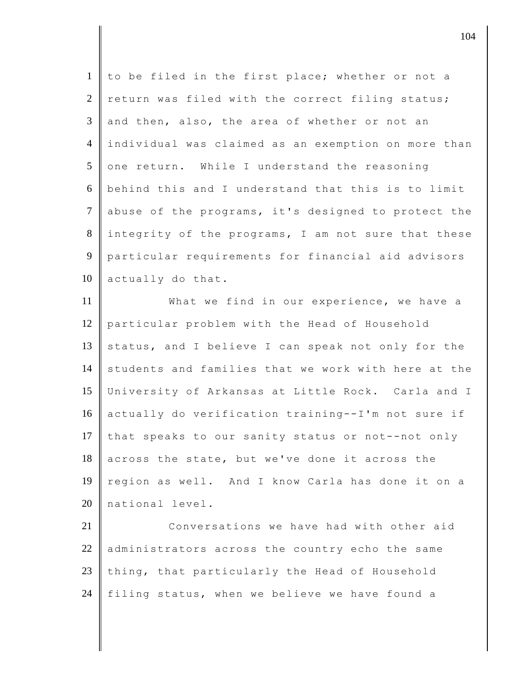| $\mathbf{1}$   | to be filed in the first place; whether or not a    |
|----------------|-----------------------------------------------------|
| 2              | return was filed with the correct filing status;    |
| 3              | and then, also, the area of whether or not an       |
| $\overline{4}$ | individual was claimed as an exemption on more than |
| 5              | one return. While I understand the reasoning        |
| 6              | behind this and I understand that this is to limit  |
| $\tau$         | abuse of the programs, it's designed to protect the |
| 8              | integrity of the programs, I am not sure that these |
| 9              | particular requirements for financial aid advisors  |
| 10             | actually do that.                                   |
| 11             | What we find in our experience, we have a           |
| 12             | particular problem with the Head of Household       |
| 13             | status, and I believe I can speak not only for the  |
| 14             | students and families that we work with here at the |
| 15             | University of Arkansas at Little Rock. Carla and I  |
| 16             | actually do verification training--I'm not sure if  |
| 17             | that speaks to our sanity status or not--not only   |
| 18             | across the state, but we've done it across the      |
| 19             | region as well. And I know Carla has done it on a   |
| 20             | national level.                                     |
| 21             | Conversations we have had with other aid            |
| 22             | administrators across the country echo the same     |
| 23             | thing, that particularly the Head of Household      |
| 24             | filing status, when we believe we have found a      |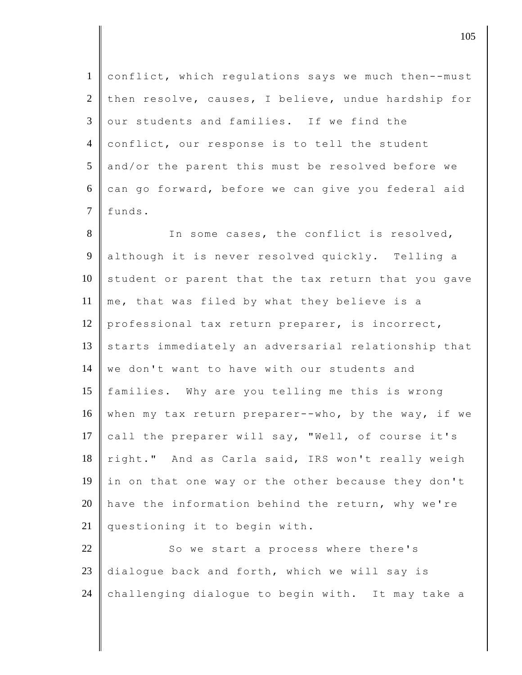1 conflict, which regulations says we much then--must 2 then resolve, causes, I believe, undue hardship for 3 our students and families. If we find the 4 conflict, our response is to tell the student 5 and/or the parent this must be resolved before we  $6$  can go forward, before we can give you federal aid 7 funds.

8 In some cases, the conflict is resolved, 9 although it is never resolved quickly. Telling a  $10$  student or parent that the tax return that you gave 11 me, that was filed by what they believe is a 12 professional tax return preparer, is incorrect, 13 starts immediately an adversarial relationship that 14 we don't want to have with our students and 15 families. Why are you telling me this is wrong 16 when my tax return preparer--who, by the way, if we 17 call the preparer will say, "Well, of course it's 18 right." And as Carla said, IRS won't really weigh 19 in on that one way or the other because they don't 20  $\parallel$  have the information behind the return, why we're 21 questioning it to begin with.

22 So we start a process where there's  $23$  dialogue back and forth, which we will say is 24 challenging dialogue to begin with. It may take a

 $\vert$  105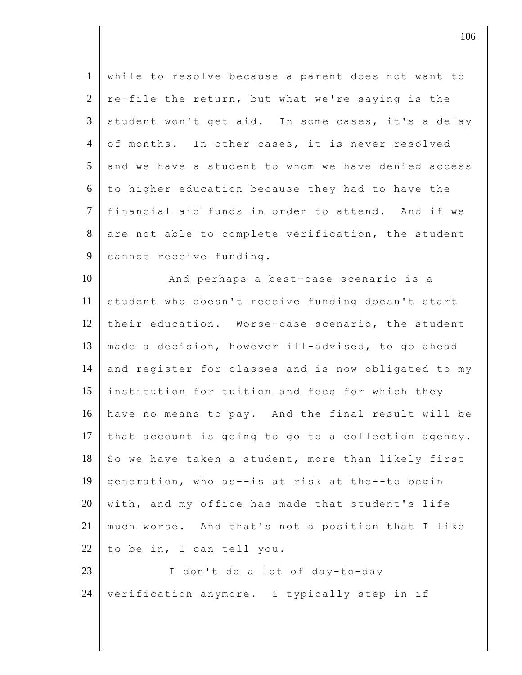| $\mathbf{1}$   | while to resolve because a parent does not want to  |
|----------------|-----------------------------------------------------|
| $\overline{2}$ | re-file the return, but what we're saying is the    |
| 3              | student won't get aid. In some cases, it's a delay  |
| $\overline{4}$ | of months. In other cases, it is never resolved     |
| 5              | and we have a student to whom we have denied access |
| 6              | to higher education because they had to have the    |
| $\tau$         | financial aid funds in order to attend. And if we   |
| 8              | are not able to complete verification, the student  |
| 9              | cannot receive funding.                             |
| 10             | And perhaps a best-case scenario is a               |
| 11             | student who doesn't receive funding doesn't start   |
| 12             | their education. Worse-case scenario, the student   |
| 13             | made a decision, however ill-advised, to go ahead   |
| 14             | and register for classes and is now obligated to my |
| 15             | institution for tuition and fees for which they     |
| 16             | have no means to pay. And the final result will be  |
| 17             | that account is going to go to a collection agency. |
| 18             | So we have taken a student, more than likely first  |
| 19             | generation, who as--is at risk at the--to begin     |
| 20             | with, and my office has made that student's life    |
| 21             | much worse. And that's not a position that I like   |
| 22             | to be in, I can tell you.                           |
| 23             | I don't do a lot of day-to-day                      |
| 24             | verification anymore. I typically step in if        |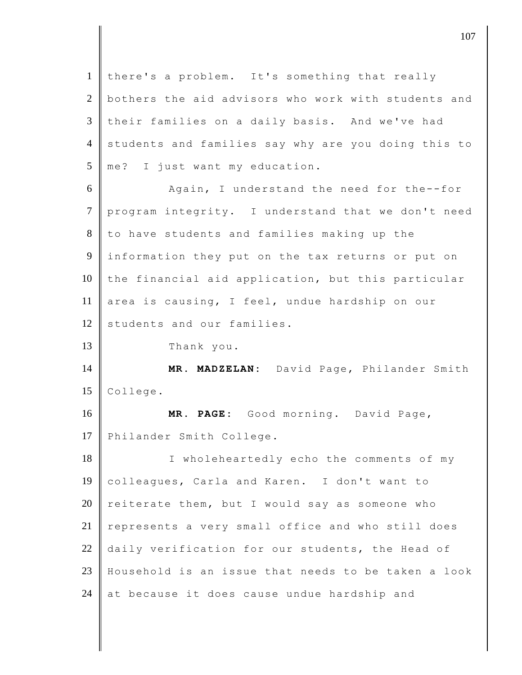1 | there's a problem. It's something that really 2 bothers the aid advisors who work with students and 3 their families on a daily basis. And we've had 4 students and families say why are you doing this to 5 me? I just want my education. 6 Again, I understand the need for the--for 7 program integrity. I understand that we don't need 8 to have students and families making up the 9 information they put on the tax returns or put on  $10$  the financial aid application, but this particular 11 area is causing, I feel, undue hardship on our 12 students and our families. 13 Thank you. 14 **MR. MADZELAN:** David Page, Philander Smith 15 College. 16 **MR. PAGE:** Good morning. David Page, 17 Philander Smith College. 18 I wholeheartedly echo the comments of my 19 colleagues, Carla and Karen. I don't want to 20 reiterate them, but I would say as someone who  $21$  represents a very small office and who still does 22 daily verification for our students, the Head of 23 Household is an issue that needs to be taken a look 24  $\parallel$  at because it does cause undue hardship and

 $\vert$  107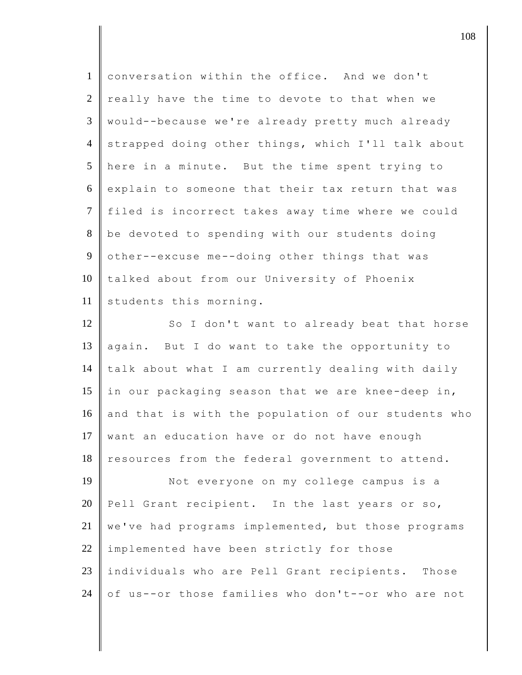| $\mathbf{1}$   | conversation within the office. And we don't        |
|----------------|-----------------------------------------------------|
| $\overline{2}$ | really have the time to devote to that when we      |
| 3              | would--because we're already pretty much already    |
| $\overline{4}$ | strapped doing other things, which I'll talk about  |
| 5              | here in a minute. But the time spent trying to      |
| 6              | explain to someone that their tax return that was   |
| $\tau$         | filed is incorrect takes away time where we could   |
| 8              | be devoted to spending with our students doing      |
| 9              | other--excuse me--doing other things that was       |
| 10             | talked about from our University of Phoenix         |
| 11             | students this morning.                              |
| 12             | So I don't want to already beat that horse          |
| 13             | again. But I do want to take the opportunity to     |
| 14             | talk about what I am currently dealing with daily   |
| 15             | in our packaging season that we are knee-deep in,   |
| 16             | and that is with the population of our students who |
| 17             | want an education have or do not have enough        |
| 18             | resources from the federal government to attend.    |
| 19             | Not everyone on my college campus is a              |
| 20             | Pell Grant recipient. In the last years or so,      |
| 21             | we've had programs implemented, but those programs  |
| 22             | implemented have been strictly for those            |
| 23             | individuals who are Pell Grant recipients. Those    |
| 24             | of us--or those families who don't--or who are not  |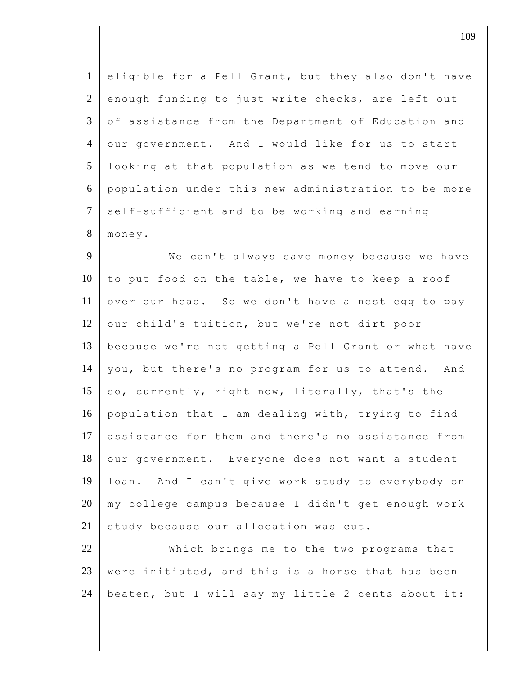| $\mathbf{1}$   | eligible for a Pell Grant, but they also don't have |
|----------------|-----------------------------------------------------|
| $\overline{2}$ | enough funding to just write checks, are left out   |
| 3              | of assistance from the Department of Education and  |
| $\overline{4}$ | our government. And I would like for us to start    |
| 5              | looking at that population as we tend to move our   |
| 6              | population under this new administration to be more |
| $\tau$         | self-sufficient and to be working and earning       |
| $8\,$          | money.                                              |
| 9              | We can't always save money because we have          |
| 10             | to put food on the table, we have to keep a roof    |
| 11             | over our head. So we don't have a nest egg to pay   |
| 12             | our child's tuition, but we're not dirt poor        |
| 13             | because we're not getting a Pell Grant or what have |
| 14             | you, but there's no program for us to attend. And   |
| 15             | so, currently, right now, literally, that's the     |
| 16             | population that I am dealing with, trying to find   |
| 17             | assistance for them and there's no assistance from  |
| 18             | our government. Everyone does not want a student    |
| 19             | loan. And I can't give work study to everybody on   |
| 20             | my college campus because I didn't get enough work  |
| 21             | study because our allocation was cut.               |
| 22             | Which brings me to the two programs that            |
| 23             | were initiated, and this is a horse that has been   |

24  $\parallel$  beaten, but I will say my little 2 cents about it: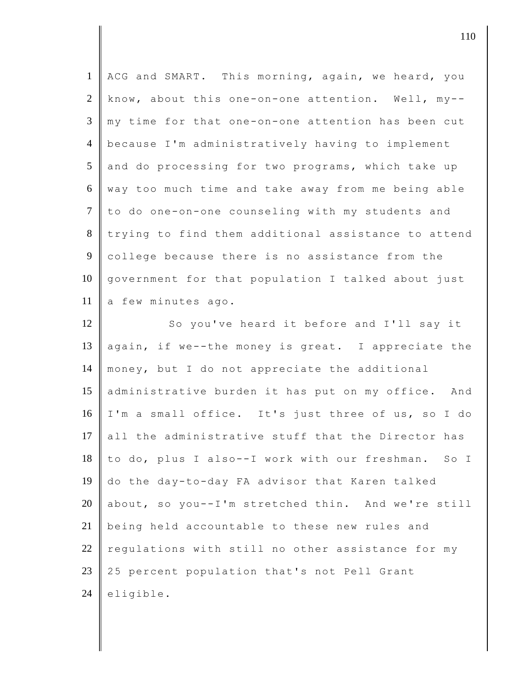| $\mathbf{1}$   | ACG and SMART. This morning, again, we heard, you   |
|----------------|-----------------------------------------------------|
| $\overline{2}$ | know, about this one-on-one attention. Well, my--   |
| 3              | my time for that one-on-one attention has been cut  |
| $\overline{4}$ | because I'm administratively having to implement    |
| 5              | and do processing for two programs, which take up   |
| 6              | way too much time and take away from me being able  |
| $\overline{7}$ |                                                     |
|                | to do one-on-one counseling with my students and    |
| 8              | trying to find them additional assistance to attend |
| 9              | college because there is no assistance from the     |
| 10             | government for that population I talked about just  |
| 11             | a few minutes ago.                                  |
| 12             | So you've heard it before and I'll say it           |
| 13             | again, if we--the money is great. I appreciate the  |
| 14             | money, but I do not appreciate the additional       |
| 15             | administrative burden it has put on my office. And  |
| 16             | I'm a small office. It's just three of us, so I do  |
| 17             | all the administrative stuff that the Director has  |
| 18             | to do, plus I also--I work with our freshman. So I  |
| 19             |                                                     |
|                | do the day-to-day FA advisor that Karen talked      |
| 20             | about, so you--I'm stretched thin. And we're still  |
| 21             | being held accountable to these new rules and       |
| 22             | regulations with still no other assistance for my   |
| 23             | 25 percent population that's not Pell Grant         |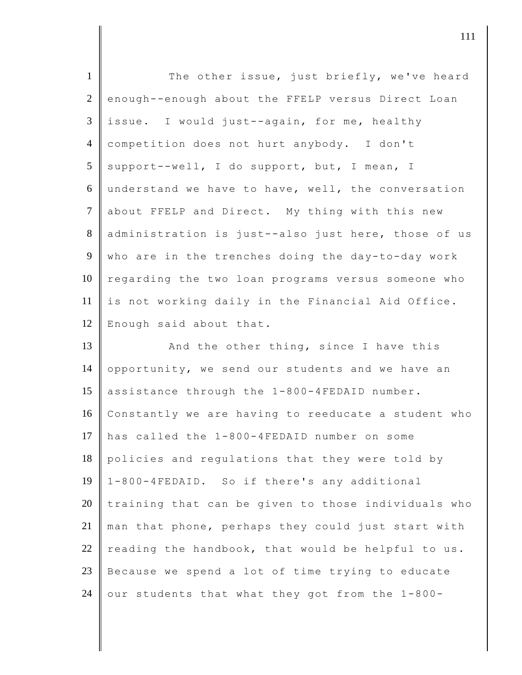| $\mathbf{1}$    | The other issue, just briefly, we've heard          |
|-----------------|-----------------------------------------------------|
| $\overline{2}$  | enough--enough about the FFELP versus Direct Loan   |
| 3               | issue. I would just--again, for me, healthy         |
| $\overline{4}$  | competition does not hurt anybody. I don't          |
| $5\overline{)}$ | support--well, I do support, but, I mean, I         |
| 6               | understand we have to have, well, the conversation  |
| $\overline{7}$  | about FFELP and Direct. My thing with this new      |
| 8               | administration is just--also just here, those of us |
| 9               | who are in the trenches doing the day-to-day work   |
| 10              | regarding the two loan programs versus someone who  |
| 11              | is not working daily in the Financial Aid Office.   |
| 12              | Enough said about that.                             |
| 13              | And the other thing, since I have this              |
| 14              | opportunity, we send our students and we have an    |
| 15              | assistance through the 1-800-4FEDAID number.        |
| 16              | Constantly we are having to reeducate a student who |
| 17              | has called the 1-800-4FEDAID number on some         |
| 18              | policies and regulations that they were told by     |
| 19              | 1-800-4FEDAID. So if there's any additional         |
| 20              | training that can be given to those individuals who |
| 21              | man that phone, perhaps they could just start with  |
| 22              | reading the handbook, that would be helpful to us.  |
| 23              | Because we spend a lot of time trying to educate    |
|                 |                                                     |

24 our students that what they got from the  $1-800-$ 

djecamental in the contract of  $\mathbf{111}$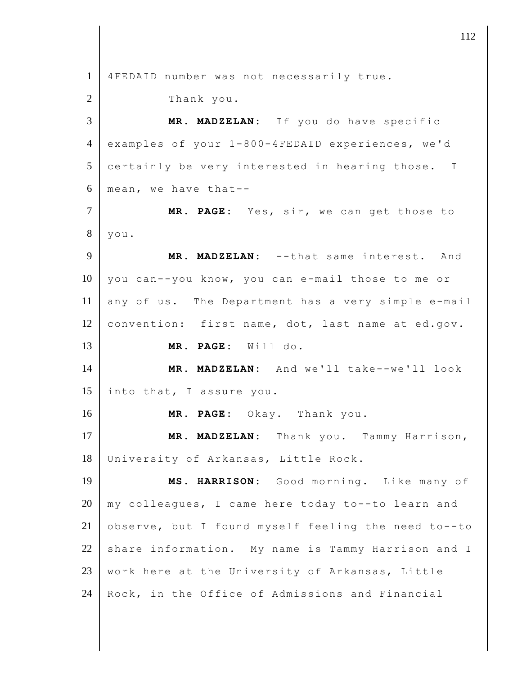4FEDAID number was not necessarily true. 2 Thank you. **MR. MADZELAN:** If you do have specific examples of your 1-800-4FEDAID experiences, we'd certainly be very interested in hearing those. I 6 mean, we have that-- **MR. PAGE:** Yes, sir, we can get those to you. **MR. MADZELAN:** --that same interest. And 10 you can--you know, you can e-mail those to me or any of us. The Department has a very simple e-mail 12 convention: first name, dot, last name at ed.gov. **MR. PAGE:** Will do. **MR. MADZELAN:** And we'll take--we'll look  $\parallel$  into that, I assure you. **MR. PAGE:** Okay. Thank you. **MR. MADZELAN:** Thank you. Tammy Harrison, University of Arkansas, Little Rock. **MS. HARRISON:** Good morning. Like many of my colleagues, I came here today to--to learn and 21 observe, but I found myself feeling the need to--to share information. My name is Tammy Harrison and I 23 | work here at the University of Arkansas, Little 24 Rock, in the Office of Admissions and Financial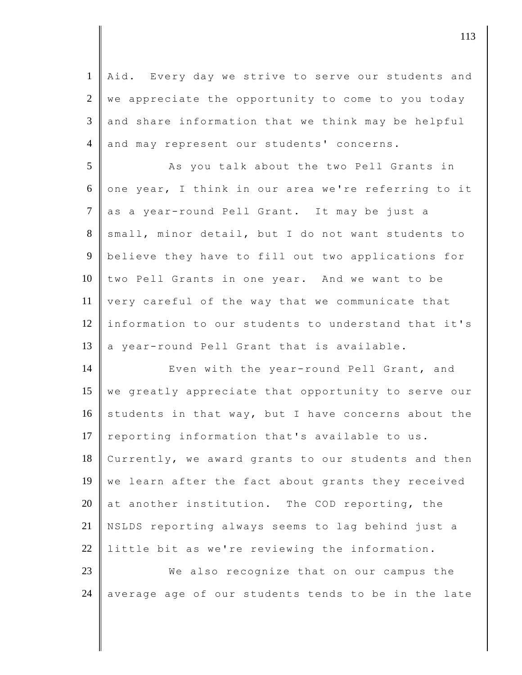1 Aid. Every day we strive to serve our students and  $2 \parallel$  we appreciate the opportunity to come to you today  $3 \parallel$  and share information that we think may be helpful 4 and may represent our students' concerns.

5 As you talk about the two Pell Grants in 6 one year, I think in our area we're referring to it 7 as a year-round Pell Grant. It may be just a 8 small, minor detail, but I do not want students to 9 believe they have to fill out two applications for 10 two Pell Grants in one year. And we want to be 11 very careful of the way that we communicate that 12 information to our students to understand that it's 13  $\parallel$  a year-round Pell Grant that is available.

14 Even with the year-round Pell Grant, and 15 we greatly appreciate that opportunity to serve our 16 students in that way, but I have concerns about the 17 | reporting information that's available to us. 18 Currently, we award grants to our students and then 19 we learn after the fact about grants they received 20 at another institution. The COD reporting, the 21 NSLDS reporting always seems to lag behind just a 22 I little bit as we're reviewing the information.

23 We also recognize that on our campus the 24 average age of our students tends to be in the late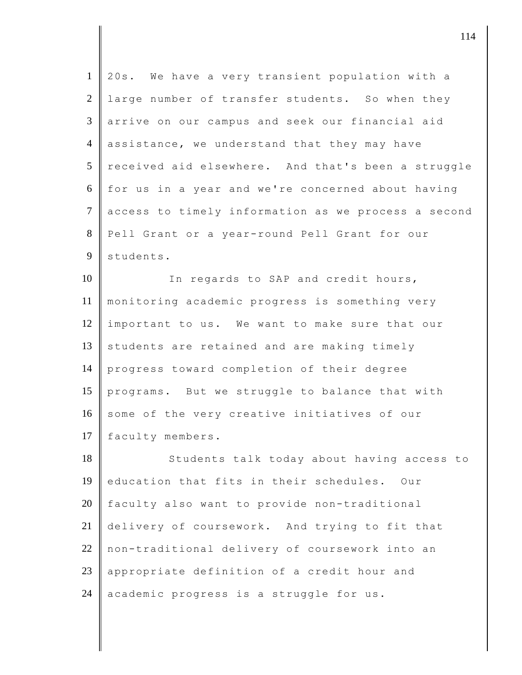| $\mathbf{1}$   | 20s. We have a very transient population with a     |
|----------------|-----------------------------------------------------|
| $\overline{2}$ | large number of transfer students. So when they     |
| 3              | arrive on our campus and seek our financial aid     |
| $\overline{4}$ | assistance, we understand that they may have        |
| 5              | received aid elsewhere. And that's been a struggle  |
| 6              | for us in a year and we're concerned about having   |
| $\tau$         | access to timely information as we process a second |
| 8              | Pell Grant or a year-round Pell Grant for our       |
| 9              | students.                                           |
| 10             | In regards to SAP and credit hours,                 |
| 11             | monitoring academic progress is something very      |
| 12             | important to us. We want to make sure that our      |
| 13             | students are retained and are making timely         |
| 14             | progress toward completion of their degree          |
| 15             | programs. But we struggle to balance that with      |
| 16             | some of the very creative initiatives of our        |
| 17             | faculty members.                                    |
| 18             | Students talk today about having access to          |
| 19             | education that fits in their schedules.<br>Our      |
| 20             | faculty also want to provide non-traditional        |
| 21             | delivery of coursework. And trying to fit that      |
| 22             | non-traditional delivery of coursework into an      |
| 23             | appropriate definition of a credit hour and         |
| 24             | academic progress is a struggle for us.             |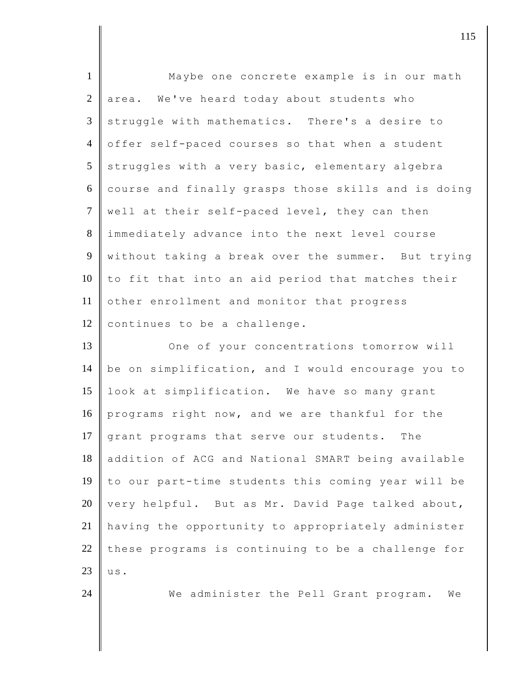| $\mathbf{1}$   | Maybe one concrete example is in our math           |
|----------------|-----------------------------------------------------|
| 2              | area. We've heard today about students who          |
| 3              | struggle with mathematics. There's a desire to      |
| $\overline{4}$ | offer self-paced courses so that when a student     |
| 5              | struggles with a very basic, elementary algebra     |
| 6              | course and finally grasps those skills and is doing |
| $\tau$         | well at their self-paced level, they can then       |
| 8              | immediately advance into the next level course      |
| 9              | without taking a break over the summer. But trying  |
| 10             | to fit that into an aid period that matches their   |
| 11             | other enrollment and monitor that progress          |
| 12             | continues to be a challenge.                        |
| 13             | One of your concentrations tomorrow will            |
| 14             | be on simplification, and I would encourage you to  |
| 15             | look at simplification. We have so many grant       |
| 16             | programs right now, and we are thankful for the     |
| 17             | grant programs that serve our students. The         |
| 18             | addition of ACG and National SMART being available  |
| 19             | to our part-time students this coming year will be  |
| 20             | very helpful. But as Mr. David Page talked about,   |
| 21             | having the opportunity to appropriately administer  |
| 22             | these programs is continuing to be a challenge for  |
| 23             | us.                                                 |
| 24             | We administer the Pell Grant program.<br>We         |
|                |                                                     |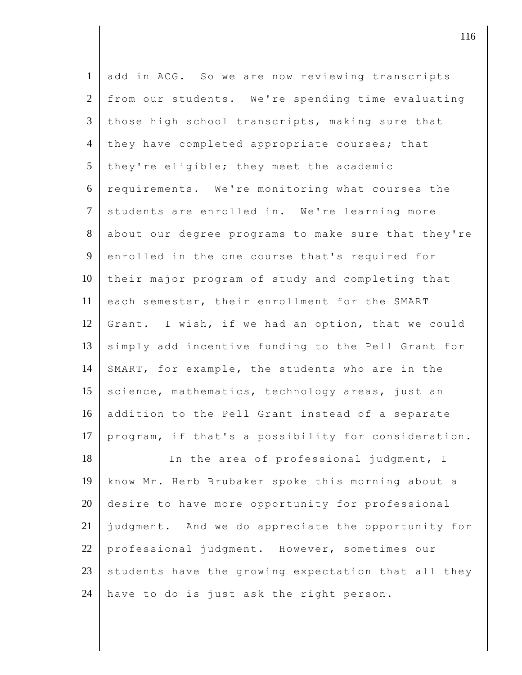| $\mathbf{1}$   | add in ACG. So we are now reviewing transcripts     |
|----------------|-----------------------------------------------------|
| $\overline{2}$ | from our students. We're spending time evaluating   |
| 3              | those high school transcripts, making sure that     |
| $\overline{4}$ | they have completed appropriate courses; that       |
| 5              | they're eligible; they meet the academic            |
| 6              | requirements. We're monitoring what courses the     |
| $\overline{7}$ | students are enrolled in. We're learning more       |
| 8              | about our degree programs to make sure that they're |
| 9              | enrolled in the one course that's required for      |
| 10             | their major program of study and completing that    |
| 11             | each semester, their enrollment for the SMART       |
| 12             | Grant. I wish, if we had an option, that we could   |
| 13             | simply add incentive funding to the Pell Grant for  |
| 14             | SMART, for example, the students who are in the     |
| 15             | science, mathematics, technology areas, just an     |
| 16             | addition to the Pell Grant instead of a separate    |
| 17             | program, if that's a possibility for consideration. |
| 18             | In the area of professional judgment, I             |
| 19             | know Mr. Herb Brubaker spoke this morning about a   |
| 20             | desire to have more opportunity for professional    |
| 21             | judgment. And we do appreciate the opportunity for  |
| 22             | professional judgment. However, sometimes our       |
| 23             | students have the growing expectation that all they |
| 24             | have to do is just ask the right person.            |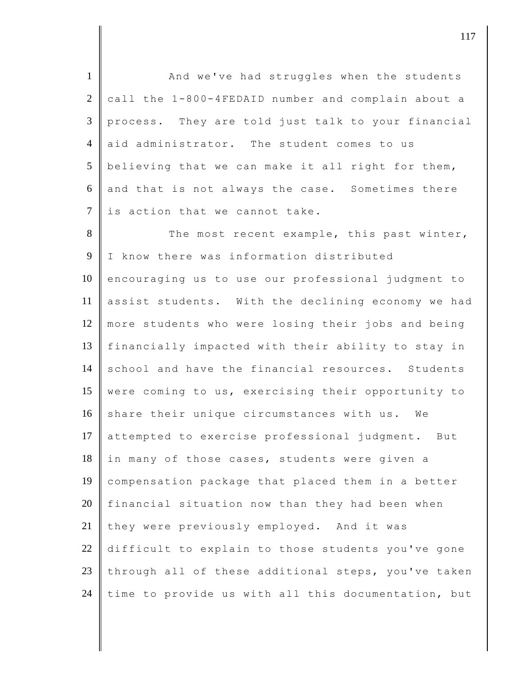1 | And we've had struggles when the students  $2$  call the 1-800-4FEDAID number and complain about a 3 process. They are told just talk to your financial 4 aid administrator. The student comes to us 5 believing that we can make it all right for them, 6 and that is not always the case. Sometimes there  $7$  is action that we cannot take. 8 The most recent example, this past winter, 9 I know there was information distributed 10 encouraging us to use our professional judgment to 11 assist students. With the declining economy we had 12 more students who were losing their jobs and being 13 financially impacted with their ability to stay in 14 school and have the financial resources. Students 15 were coming to us, exercising their opportunity to 16 share their unique circumstances with us. We 17 attempted to exercise professional judgment. But 18 in many of those cases, students were given a 19 compensation package that placed them in a better  $20$  financial situation now than they had been when 21 they were previously employed. And it was 22 difficult to explain to those students you've gone 23 through all of these additional steps, you've taken 24 time to provide us with all this documentation, but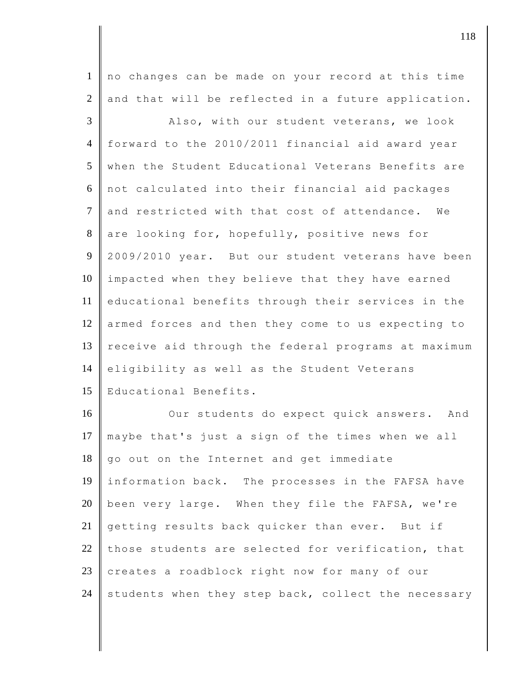1 no changes can be made on your record at this time  $2$  and that will be reflected in a future application.

3 Also, with our student veterans, we look 4 forward to the 2010/2011 financial aid award year 5 when the Student Educational Veterans Benefits are 6 not calculated into their financial aid packages 7 and restricted with that cost of attendance. We 8 are looking for, hopefully, positive news for 9 2009/2010 year. But our student veterans have been 10 impacted when they believe that they have earned 11 educational benefits through their services in the 12 armed forces and then they come to us expecting to 13 receive aid through the federal programs at maximum 14 eligibility as well as the Student Veterans 15 Educational Benefits.

16 Our students do expect quick answers. And 17 maybe that's just a sign of the times when we all  $18$   $\parallel$  go out on the Internet and get immediate 19 information back. The processes in the FAFSA have  $20$  been very large. When they file the FAFSA, we're 21 getting results back quicker than ever. But if 22 those students are selected for verification, that 23 creates a roadblock right now for many of our 24 students when they step back, collect the necessary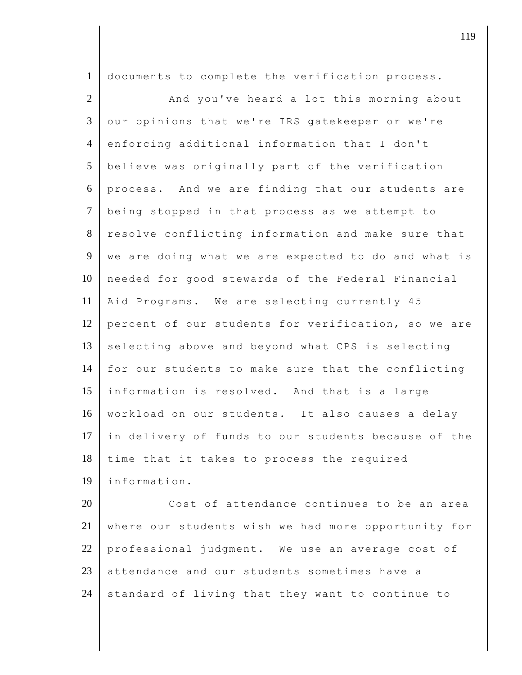| $\mathbf{1}$   | documents to complete the verification process.     |
|----------------|-----------------------------------------------------|
| 2              | And you've heard a lot this morning about           |
| $\overline{3}$ | our opinions that we're IRS gatekeeper or we're     |
| $\overline{4}$ | enforcing additional information that I don't       |
| 5              | believe was originally part of the verification     |
| 6              | process. And we are finding that our students are   |
| $\overline{7}$ | being stopped in that process as we attempt to      |
| 8              | resolve conflicting information and make sure that  |
| 9              | we are doing what we are expected to do and what is |
| 10             | needed for good stewards of the Federal Financial   |
| 11             | Aid Programs. We are selecting currently 45         |
| 12             | percent of our students for verification, so we are |
| 13             | selecting above and beyond what CPS is selecting    |
| 14             | for our students to make sure that the conflicting  |
| 15             | information is resolved. And that is a large        |
| 16             | workload on our students. It also causes a delay    |
| 17             | in delivery of funds to our students because of the |
| 18             | time that it takes to process the required          |
| 19             | information.                                        |
| $20^{\circ}$   | $0.001 + 0.5 + 0.020000$                            |

20 | Cost of attendance continues to be an area where our students wish we had more opportunity for 22 professional judgment. We use an average cost of 23 attendance and our students sometimes have a standard of living that they want to continue to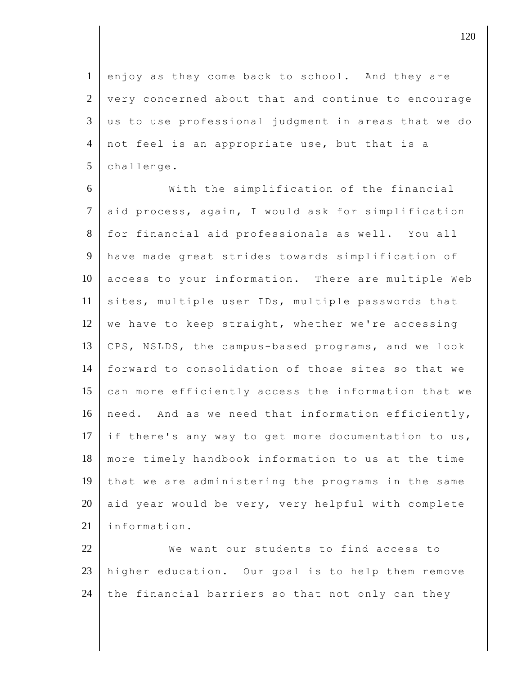1 enjoy as they come back to school. And they are 2 | very concerned about that and continue to encourage  $3 \parallel$  us to use professional judgment in areas that we do 4 not feel is an appropriate use, but that is a  $5$  challenge.

6 With the simplification of the financial 7 aid process, again, I would ask for simplification 8 for financial aid professionals as well. You all 9 have made great strides towards simplification of 10 access to your information. There are multiple Web 11 sites, multiple user IDs, multiple passwords that 12 we have to keep straight, whether we're accessing 13 CPS, NSLDS, the campus-based programs, and we look 14 forward to consolidation of those sites so that we 15 can more efficiently access the information that we 16 need. And as we need that information efficiently, 17 if there's any way to get more documentation to us, 18 more timely handbook information to us at the time 19 that we are administering the programs in the same 20 aid year would be very, very helpful with complete 21 linformation.

22 We want our students to find access to 23 higher education. Our goal is to help them remove 24 the financial barriers so that not only can they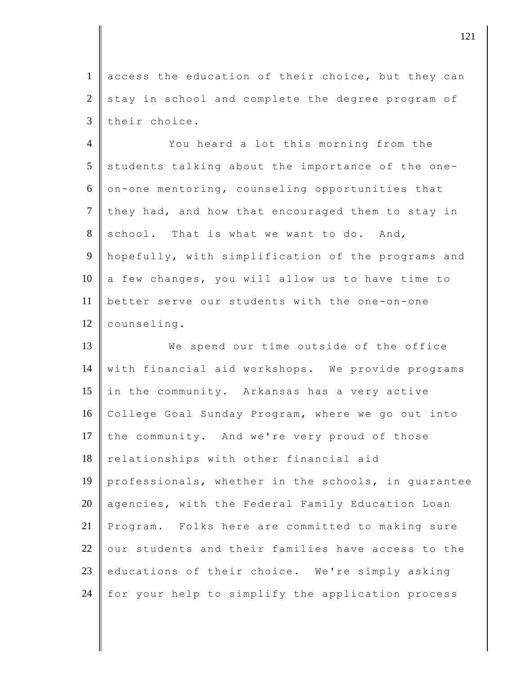1 access the education of their choice, but they can  $2 \parallel$  stay in school and complete the degree program of 3 their choice.

 You heard a lot this morning from the students talking about the importance of the one- $6 \parallel$  on-one mentoring, counseling opportunities that they had, and how that encouraged them to stay in school. That is what we want to do. And, hopefully, with simplification of the programs and a few changes, you will allow us to have time to better serve our students with the one-on-one 12 counseling.

13 We spend our time outside of the office 14 with financial aid workshops. We provide programs 15 in the community. Arkansas has a very active 16 College Goal Sunday Program, where we go out into 17 the community. And we're very proud of those 18 relationships with other financial aid 19 professionals, whether in the schools, in guarantee 20 agencies, with the Federal Family Education Loan 21 Program. Folks here are committed to making sure  $22$  our students and their families have access to the 23 educations of their choice. We're simply asking 24 for your help to simplify the application process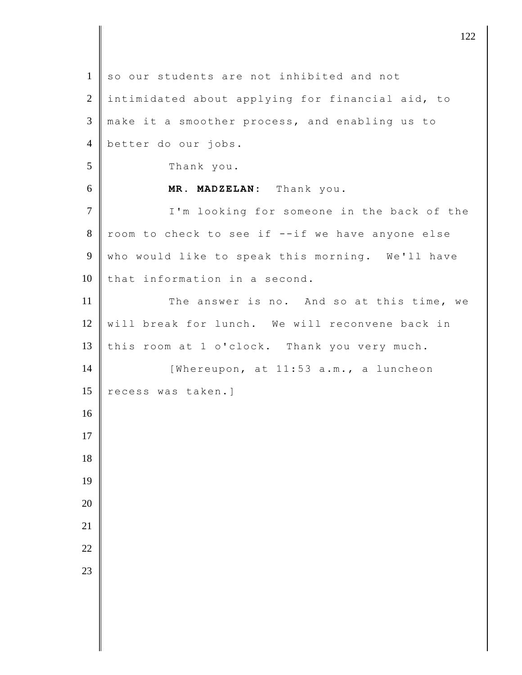| $\mathbf{1}$   | so our students are not inhibited and not        |
|----------------|--------------------------------------------------|
| $\overline{2}$ | intimidated about applying for financial aid, to |
| $\mathfrak{Z}$ | make it a smoother process, and enabling us to   |
| $\overline{4}$ | better do our jobs.                              |
| 5              | Thank you.                                       |
| 6              | MR. MADZELAN: Thank you.                         |
| $\tau$         | I'm looking for someone in the back of the       |
| $8\,$          | room to check to see if --if we have anyone else |
| 9              | who would like to speak this morning. We'll have |
| 10             | that information in a second.                    |
| 11             | The answer is no. And so at this time, we        |
| 12             | will break for lunch. We will reconvene back in  |
| 13             | this room at 1 o'clock. Thank you very much.     |
| 14             | [Whereupon, at 11:53 a.m., a luncheon            |
| 15             | recess was taken.]                               |
| 16             |                                                  |
| 17             |                                                  |
| 18             |                                                  |
| 19             |                                                  |
| 20             |                                                  |
| 21             |                                                  |
| 22             |                                                  |
| 23             |                                                  |
|                |                                                  |
|                |                                                  |
|                |                                                  |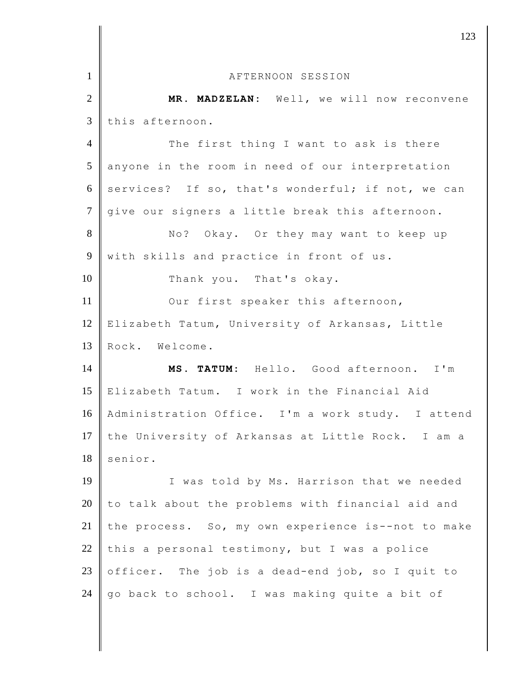|                | 123                                                |
|----------------|----------------------------------------------------|
| $\mathbf{1}$   | AFTERNOON SESSION                                  |
| $\overline{2}$ | MR. MADZELAN: Well, we will now reconvene          |
| 3              | this afternoon.                                    |
| $\overline{4}$ | The first thing I want to ask is there             |
| 5              |                                                    |
|                | anyone in the room in need of our interpretation   |
| 6              | services? If so, that's wonderful; if not, we can  |
| $\overline{7}$ | give our signers a little break this afternoon.    |
| 8              | No? Okay. Or they may want to keep up              |
| 9              | with skills and practice in front of us.           |
| 10             | Thank you. That's okay.                            |
| 11             | Our first speaker this afternoon,                  |
| 12             | Elizabeth Tatum, University of Arkansas, Little    |
| 13             | Rock. Welcome.                                     |
| 14             | MS. TATUM: Hello. Good afternoon. I'm              |
| 15             | Elizabeth Tatum. I work in the Financial Aid       |
| 16             | Administration Office. I'm a work study. I attend  |
| 17             | the University of Arkansas at Little Rock. I am a  |
| 18             | senior.                                            |
| 19             | I was told by Ms. Harrison that we needed          |
| 20             | to talk about the problems with financial aid and  |
| 21             | the process. So, my own experience is--not to make |
| 22             | this a personal testimony, but I was a police      |
| 23             | officer. The job is a dead-end job, so I quit to   |
| 24             | go back to school. I was making quite a bit of     |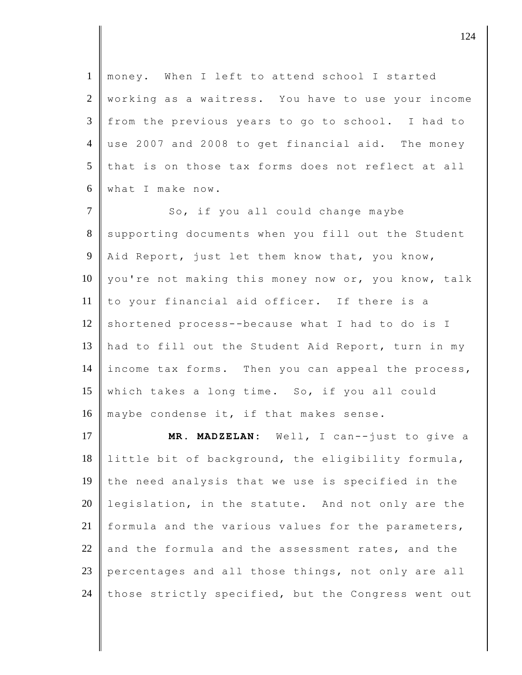1 money. When I left to attend school I started 2 working as a waitress. You have to use your income 3 from the previous years to go to school. I had to 4 use 2007 and 2008 to get financial aid. The money 5 that is on those tax forms does not reflect at all 6 what I make now.

7 So, if you all could change maybe 8 supporting documents when you fill out the Student  $9$  Aid Report, just let them know that, you know, 10 you're not making this money now or, you know, talk 11 to your financial aid officer. If there is a 12 shortened process--because what I had to do is I 13 had to fill out the Student Aid Report, turn in my 14 income tax forms. Then you can appeal the process, 15 which takes a long time. So, if you all could 16  $\parallel$  maybe condense it, if that makes sense.

17 **MR. MADZELAN:** Well, I can--just to give a 18 little bit of background, the eligibility formula, 19 the need analysis that we use is specified in the 20 legislation, in the statute. And not only are the 21 formula and the various values for the parameters, 22  $\parallel$  and the formula and the assessment rates, and the 23 percentages and all those things, not only are all 24 those strictly specified, but the Congress went out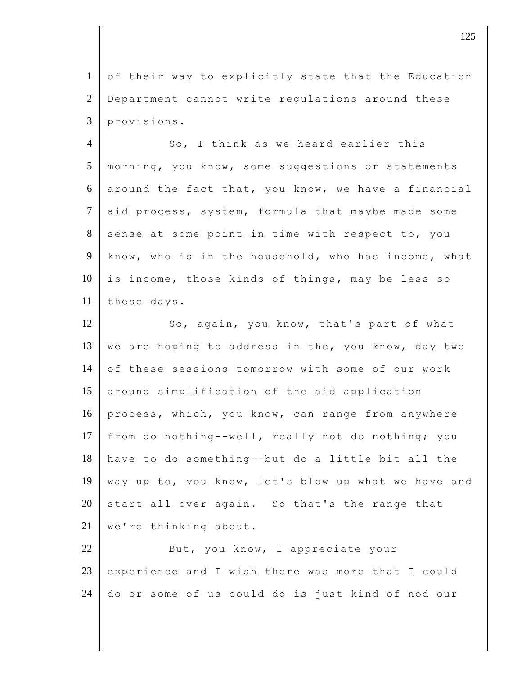1 of their way to explicitly state that the Education 2 Department cannot write regulations around these 3 provisions.

4 So, I think as we heard earlier this 5 morning, you know, some suggestions or statements 6 around the fact that, you know, we have a financial 7 aid process, system, formula that maybe made some  $8$  sense at some point in time with respect to, you 9 know, who is in the household, who has income, what  $10$  is income, those kinds of things, may be less so 11 these days.

12 So, again, you know, that's part of what 13 we are hoping to address in the, you know, day two 14 of these sessions tomorrow with some of our work 15 around simplification of the aid application 16 process, which, you know, can range from anywhere 17 from do nothing--well, really not do nothing; you 18 have to do something--but do a little bit all the 19 way up to, you know, let's blow up what we have and 20 start all over again. So that's the range that 21 | we're thinking about.

22 But, you know, I appreciate your 23 experience and I wish there was more that I could 24 do or some of us could do is just kind of nod our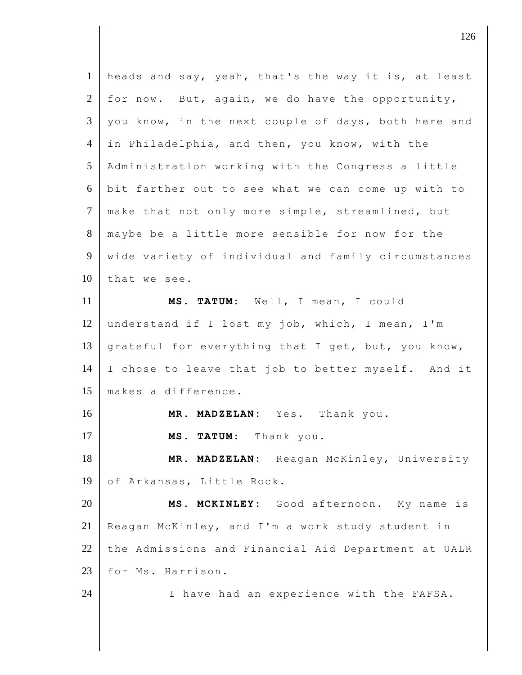| $\mathbf{1}$   | heads and say, yeah, that's the way it is, at least |
|----------------|-----------------------------------------------------|
| 2              | for now. But, again, we do have the opportunity,    |
| 3              | you know, in the next couple of days, both here and |
| $\overline{4}$ | in Philadelphia, and then, you know, with the       |
| 5              | Administration working with the Congress a little   |
| 6              | bit farther out to see what we can come up with to  |
| $\tau$         | make that not only more simple, streamlined, but    |
| 8              | maybe be a little more sensible for now for the     |
| 9              | wide variety of individual and family circumstances |
| 10             | that we see.                                        |
| 11             | MS. TATUM: Well, I mean, I could                    |
| 12             | understand if I lost my job, which, I mean, I'm     |
| 13             | grateful for everything that I get, but, you know,  |
| 14             | I chose to leave that job to better myself. And it  |
| 15             | makes a difference.                                 |
| 16             | MR. MADZELAN: Yes. Thank you.                       |
| 17             | TATUM: Thank you.<br>MS.                            |
| 18             | MR. MADZELAN: Reagan McKinley, University           |
| 19             | of Arkansas, Little Rock.                           |
| 20             | MCKINLEY: Good afternoon. My name is<br>MS.         |
| 21             | Reagan McKinley, and I'm a work study student in    |
| 22             | the Admissions and Financial Aid Department at UALR |
| 23             | for Ms. Harrison.                                   |
| 24             | I have had an experience with the FAFSA.            |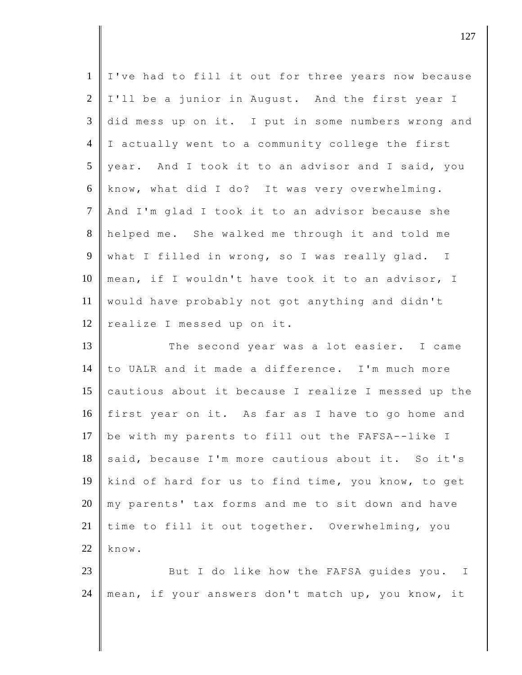| $\mathbf{1}$    | I've had to fill it out for three years now because |
|-----------------|-----------------------------------------------------|
| $\overline{2}$  | I'll be a junior in August. And the first year I    |
| $\mathfrak{Z}$  | did mess up on it. I put in some numbers wrong and  |
| $\overline{4}$  | I actually went to a community college the first    |
| $5\overline{)}$ | year. And I took it to an advisor and I said, you   |
| 6               | know, what did I do? It was very overwhelming.      |
| $\tau$          | And I'm glad I took it to an advisor because she    |
| 8               | helped me. She walked me through it and told me     |
| 9               | what I filled in wrong, so I was really glad. I     |
| 10              | mean, if I wouldn't have took it to an advisor, I   |
| 11              | would have probably not got anything and didn't     |
| 12              | realize I messed up on it.                          |
|                 |                                                     |
| 13              | The second year was a lot easier. I came            |
| 14              | to UALR and it made a difference. I'm much more     |
| 15              | cautious about it because I realize I messed up the |
| 16              | first year on it. As far as I have to go home and   |
| 17              | be with my parents to fill out the FAFSA--like I    |
| 18              | said, because I'm more cautious about it. So it's   |
| 19              | kind of hard for us to find time, you know, to get  |
| 20              | my parents' tax forms and me to sit down and have   |
| 21              | time to fill it out together. Overwhelming, you     |
| 22              | know.                                               |
| 23              | But I do like how the FAFSA guides you.<br>Ι        |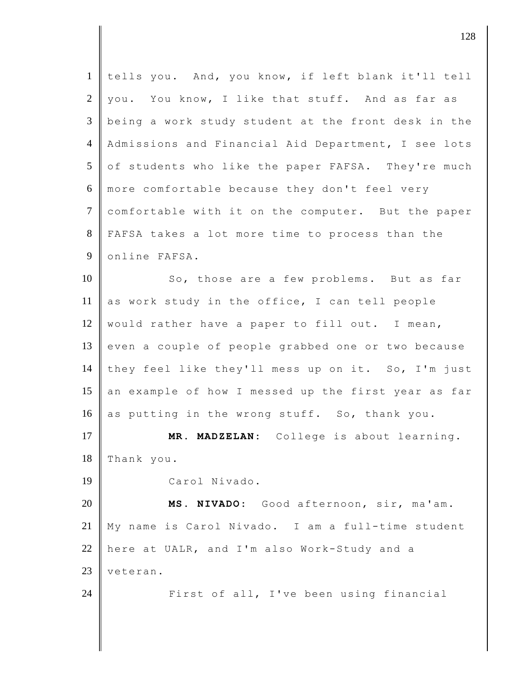| tells you. And, you know, if left blank it'll tell  |
|-----------------------------------------------------|
| you. You know, I like that stuff. And as far as     |
| being a work study student at the front desk in the |
| Admissions and Financial Aid Department, I see lots |
| of students who like the paper FAFSA. They're much  |
| more comfortable because they don't feel very       |
| comfortable with it on the computer. But the paper  |
| FAFSA takes a lot more time to process than the     |
| online FAFSA.                                       |
| So, those are a few problems. But as far            |
| as work study in the office, I can tell people      |
| would rather have a paper to fill out. I mean,      |
| even a couple of people grabbed one or two because  |
| they feel like they'll mess up on it. So, I'm just  |
| an example of how I messed up the first year as far |
| as putting in the wrong stuff. So, thank you.       |
| MR. MADZELAN: College is about learning.            |
| Thank you.                                          |
| Carol Nivado.                                       |
| MS. NIVADO: Good afternoon, sir, ma'am.             |
| My name is Carol Nivado. I am a full-time student   |
| here at UALR, and I'm also Work-Study and a         |
| veteran.                                            |
| First of all, I've been using financial             |
|                                                     |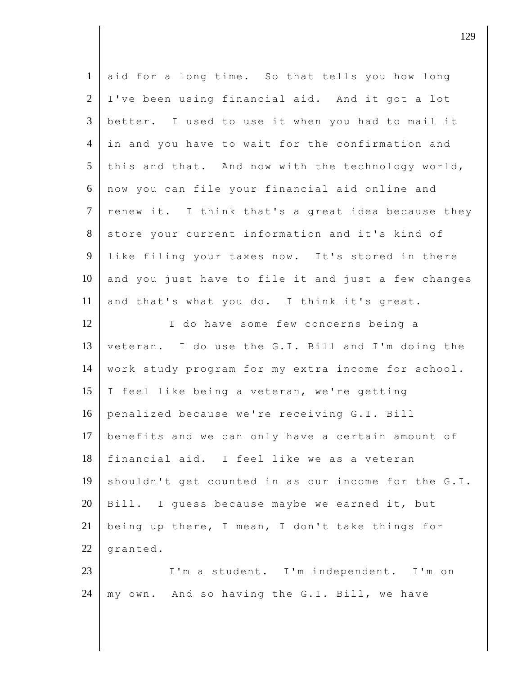| $\mathbf{1}$    | aid for a long time. So that tells you how long     |
|-----------------|-----------------------------------------------------|
| 2               | I've been using financial aid. And it got a lot     |
| $\overline{3}$  | better. I used to use it when you had to mail it    |
| $\overline{4}$  | in and you have to wait for the confirmation and    |
| $5\overline{)}$ | this and that. And now with the technology world,   |
| 6               | now you can file your financial aid online and      |
| $\overline{7}$  | renew it. I think that's a great idea because they  |
| 8               | store your current information and it's kind of     |
| 9               | like filing your taxes now. It's stored in there    |
| 10              | and you just have to file it and just a few changes |
| 11              | and that's what you do. I think it's great.         |
| 12              | I do have some few concerns being a                 |
| 13              | veteran. I do use the G.I. Bill and I'm doing the   |
| 14              | work study program for my extra income for school.  |
| 15              | I feel like being a veteran, we're getting          |
| 16              | penalized because we're receiving G.I. Bill         |
| 17              | benefits and we can only have a certain amount of   |
| 18              | financial aid. I feel like we as a veteran          |
| 19              | shouldn't get counted in as our income for the G.I. |
| 20              | Bill. I guess because maybe we earned it, but       |
| 21              | being up there, I mean, I don't take things for     |
| 22              | granted.                                            |
| 23              | I'm a student. I'm independent. I'm on              |
| 24              | my own. And so having the G.I. Bill, we have        |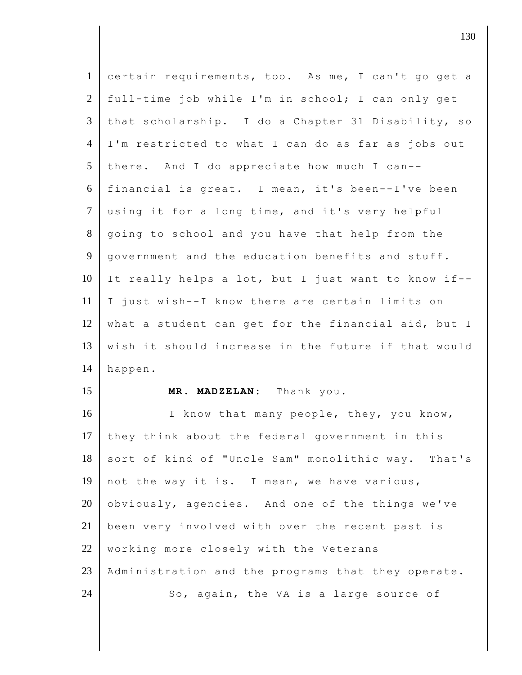| $\mathbf{1}$   | certain requirements, too. As me, I can't go get a  |
|----------------|-----------------------------------------------------|
| $\mathbf{2}$   | full-time job while I'm in school; I can only get   |
| 3              | that scholarship. I do a Chapter 31 Disability, so  |
| $\overline{4}$ | I'm restricted to what I can do as far as jobs out  |
| 5              | there. And I do appreciate how much I can--         |
| 6              | financial is great. I mean, it's been--I've been    |
| $\overline{7}$ | using it for a long time, and it's very helpful     |
| 8              | going to school and you have that help from the     |
| 9              | government and the education benefits and stuff.    |
| 10             | It really helps a lot, but I just want to know if-- |
| 11             | I just wish--I know there are certain limits on     |
| 12             | what a student can get for the financial aid, but I |
|                |                                                     |
| 13             | wish it should increase in the future if that would |
| 14             | happen.                                             |
| 15             | MR. MADZELAN: Thank you.                            |
| 16             | I know that many people, they, you know,            |
| 17             | they think about the federal government in this     |
| 18             | sort of kind of "Uncle Sam" monolithic way. That's  |
| 19             | not the way it is. I mean, we have various,         |
| 20             | obviously, agencies. And one of the things we've    |
| 21             | been very involved with over the recent past is     |
| 22             | working more closely with the Veterans              |
| 23             | Administration and the programs that they operate.  |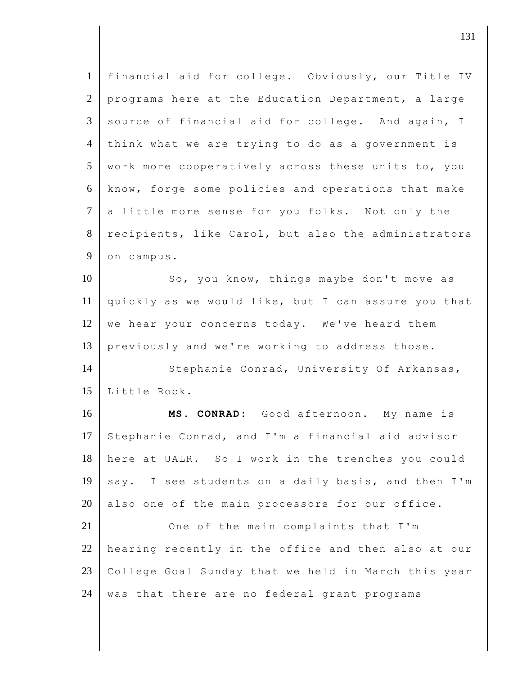| $\mathbf{1}$   | financial aid for college. Obviously, our Title IV  |
|----------------|-----------------------------------------------------|
| $\overline{2}$ | programs here at the Education Department, a large  |
| $\mathfrak{Z}$ | source of financial aid for college. And again, I   |
| $\overline{4}$ | think what we are trying to do as a government is   |
| 5              | work more cooperatively across these units to, you  |
| 6              | know, forge some policies and operations that make  |
| $\tau$         | a little more sense for you folks. Not only the     |
| 8              | recipients, like Carol, but also the administrators |
| 9              | on campus.                                          |
| 10             | So, you know, things maybe don't move as            |
| 11             | quickly as we would like, but I can assure you that |
| 12             | we hear your concerns today. We've heard them       |
| 13             | previously and we're working to address those.      |
| 14             | Stephanie Conrad, University Of Arkansas,           |
| 15             | Little Rock.                                        |
| 16             | MS. CONRAD: Good afternoon. My name is              |
| 17             | Stephanie Conrad, and I'm a financial aid advisor   |
|                |                                                     |
| 18             | here at UALR. So I work in the trenches you could   |
| 19             | say. I see students on a daily basis, and then I'm  |
| 20             | also one of the main processors for our office.     |
| 21             | One of the main complaints that I'm                 |
| 22             | hearing recently in the office and then also at our |
| 23             | College Goal Sunday that we held in March this year |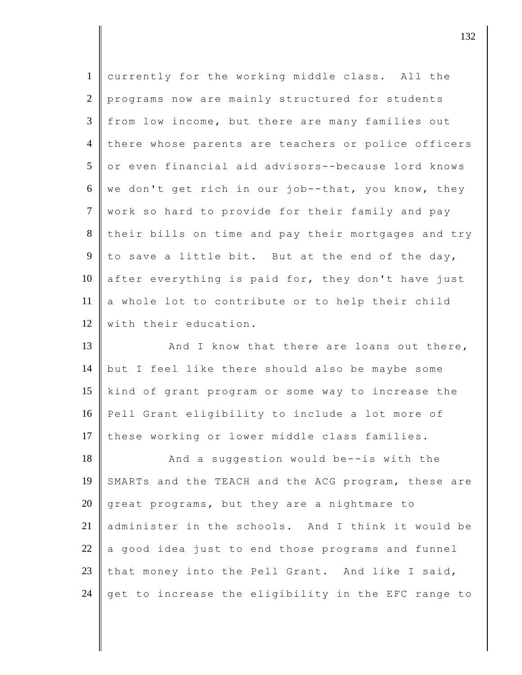| $\mathbf{1}$   | currently for the working middle class. All the     |
|----------------|-----------------------------------------------------|
| $\overline{2}$ | programs now are mainly structured for students     |
| $\mathfrak{Z}$ | from low income, but there are many families out    |
| $\overline{4}$ | there whose parents are teachers or police officers |
| 5              | or even financial aid advisors--because lord knows  |
| 6              | we don't get rich in our job--that, you know, they  |
| $\tau$         | work so hard to provide for their family and pay    |
| 8              | their bills on time and pay their mortgages and try |
| 9              | to save a little bit. But at the end of the day,    |
| 10             | after everything is paid for, they don't have just  |
| 11             | a whole lot to contribute or to help their child    |
| 12             | with their education.                               |
| 13             | And I know that there are loans out there,          |
| 14             | but I feel like there should also be maybe some     |
| 15             | kind of grant program or some way to increase the   |
| 16             |                                                     |
|                | Pell Grant eligibility to include a lot more of     |
| 17             | these working or lower middle class families.       |
| 18             | And a suggestion would be--is with the              |
| 19             | SMARTs and the TEACH and the ACG program, these are |
| 20             | great programs, but they are a nightmare to         |
| 21             | administer in the schools. And I think it would be  |
| 22             | a good idea just to end those programs and funnel   |
| 23             | that money into the Pell Grant. And like I said,    |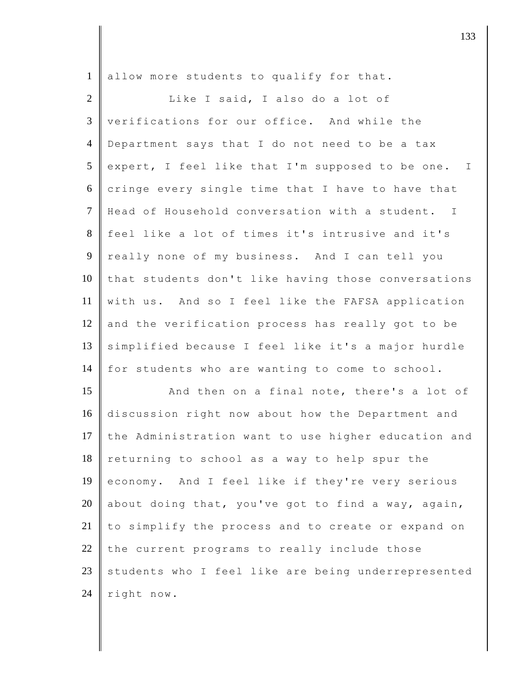| $\mathbf{1}$   | allow more students to qualify for that.            |
|----------------|-----------------------------------------------------|
| $\overline{2}$ | Like I said, I also do a lot of                     |
| 3              | verifications for our office. And while the         |
| $\overline{4}$ | Department says that I do not need to be a tax      |
| 5              | expert, I feel like that I'm supposed to be one. I  |
| 6              | cringe every single time that I have to have that   |
| $\tau$         | Head of Household conversation with a student. I    |
| 8              | feel like a lot of times it's intrusive and it's    |
| 9              | really none of my business. And I can tell you      |
| 10             | that students don't like having those conversations |
| 11             | with us. And so I feel like the FAFSA application   |
| 12             | and the verification process has really got to be   |
| 13             | simplified because I feel like it's a major hurdle  |
| 14             | for students who are wanting to come to school.     |
| 15             | And then on a final note, there's a lot of          |
| 16             | discussion right now about how the Department and   |
| 17             | the Administration want to use higher education and |
| 18             | returning to school as a way to help spur the       |
| 19             | economy. And I feel like if they're very serious    |
| 20             | about doing that, you've got to find a way, again,  |
| 21             | to simplify the process and to create or expand on  |
| 22             | the current programs to really include those        |
| 23             | students who I feel like are being underrepresented |
| 24             | right now.                                          |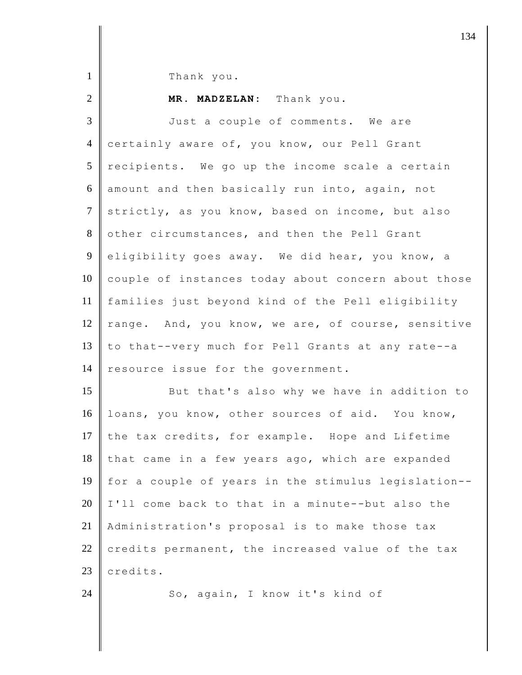1 Thank you.

## 2 **MR. MADZELAN:** Thank you.

3 Just a couple of comments. We are 4 certainly aware of, you know, our Pell Grant  $5$  recipients. We go up the income scale a certain 6 amount and then basically run into, again, not 7 strictly, as you know, based on income, but also 8 other circumstances, and then the Pell Grant 9 eligibility goes away. We did hear, you know, a  $10$  couple of instances today about concern about those 11 families just beyond kind of the Pell eligibility 12  $\parallel$  range. And, you know, we are, of course, sensitive 13 to that--very much for Pell Grants at any rate--a 14 resource issue for the government. 15 But that's also why we have in addition to

16 loans, you know, other sources of aid. You know, 17  $\parallel$  the tax credits, for example. Hope and Lifetime 18 that came in a few years ago, which are expanded 19 for a couple of years in the stimulus legislation--  $20$  I'll come back to that in a minute--but also the 21 Administration's proposal is to make those tax 22 credits permanent, the increased value of the tax 23 credits.

24 So, again, I know it's kind of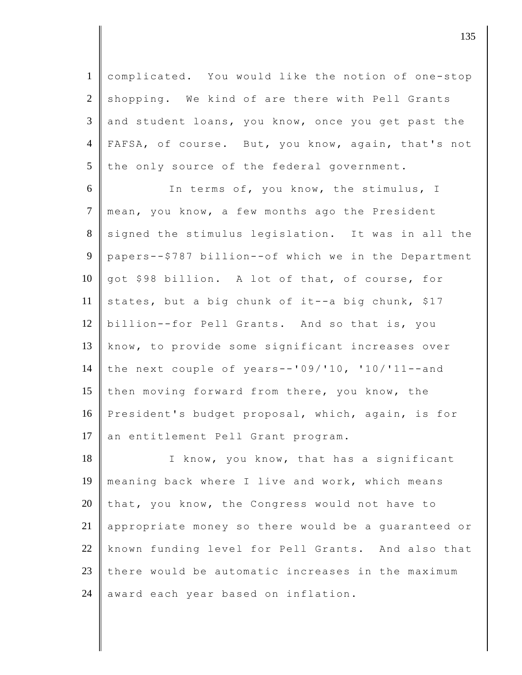1 complicated. You would like the notion of one-stop  $2 \parallel$  shopping. We kind of are there with Pell Grants  $3 \parallel$  and student loans, you know, once you get past the 4 FAFSA, of course. But, you know, again, that's not  $5$  the only source of the federal government.

6 In terms of, you know, the stimulus, I 7 mean, you know, a few months ago the President 8 signed the stimulus legislation. It was in all the 9 papers--\$787 billion--of which we in the Department 10 got \$98 billion. A lot of that, of course, for 11 states, but a big chunk of it--a big chunk, \$17 12 billion--for Pell Grants. And so that is, you 13 know, to provide some significant increases over 14 the next couple of years--'09/'10, '10/'11--and 15 then moving forward from there, you know, the 16 President's budget proposal, which, again, is for 17 an entitlement Pell Grant program.

18 I know, you know, that has a significant 19 meaning back where I live and work, which means 20 that, you know, the Congress would not have to 21 appropriate money so there would be a quaranteed or 22 known funding level for Pell Grants. And also that  $23$  there would be automatic increases in the maximum  $24$  award each year based on inflation.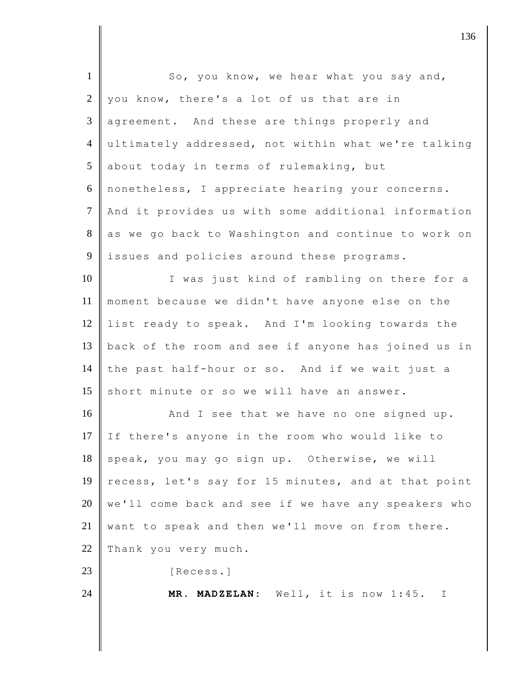| $\mathbf{1}$   | So, you know, we hear what you say and,             |
|----------------|-----------------------------------------------------|
| 2              | you know, there's a lot of us that are in           |
| $\mathfrak{Z}$ | agreement. And these are things properly and        |
| $\overline{4}$ | ultimately addressed, not within what we're talking |
| 5              | about today in terms of rulemaking, but             |
| 6              | nonetheless, I appreciate hearing your concerns.    |
| $\tau$         | And it provides us with some additional information |
| 8              | as we go back to Washington and continue to work on |
| 9              | issues and policies around these programs.          |
| 10             | I was just kind of rambling on there for a          |
| 11             | moment because we didn't have anyone else on the    |
| 12             | list ready to speak. And I'm looking towards the    |
| 13             | back of the room and see if anyone has joined us in |
| 14             | the past half-hour or so. And if we wait just a     |
| 15             | short minute or so we will have an answer.          |
| 16             | And I see that we have no one signed up.            |
| 17             | If there's anyone in the room who would like to     |
| 18             | speak, you may go sign up. Otherwise, we will       |
| 19             | recess, let's say for 15 minutes, and at that point |
| 20             | we'll come back and see if we have any speakers who |
| 21             | want to speak and then we'll move on from there.    |
| 22             | Thank you very much.                                |
| 23             | [Recess.]                                           |
| 24             | MR. MADZELAN: Well, it is now 1:45. I               |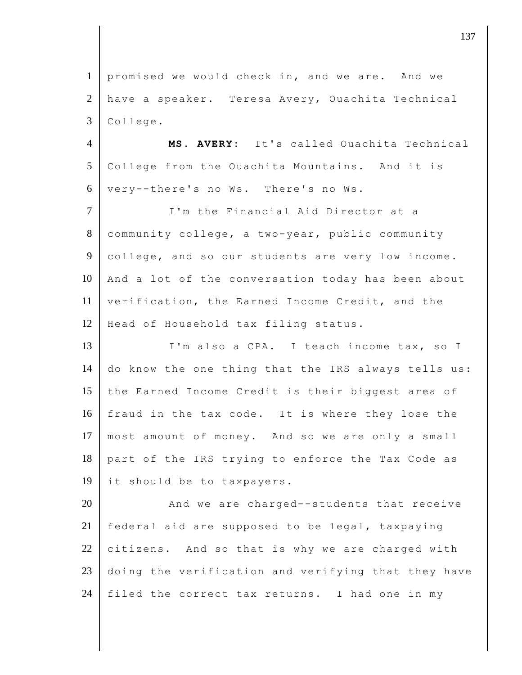1 promised we would check in, and we are. And we 2 have a speaker. Teresa Avery, Ouachita Technical 3 College.

4 **MS. AVERY:** It's called Ouachita Technical 5 College from the Ouachita Mountains. And it is 6 very--there's no Ws. There's no Ws.

7 I'm the Financial Aid Director at a 8 community college, a two-year, public community 9 college, and so our students are very low income. 10 And a lot of the conversation today has been about 11 verification, the Earned Income Credit, and the 12 Head of Household tax filing status.

13 I'm also a CPA. I teach income tax, so I 14 do know the one thing that the IRS always tells us: 15 the Earned Income Credit is their biggest area of 16 fraud in the tax code. It is where they lose the 17 most amount of money. And so we are only a small 18 part of the IRS trying to enforce the Tax Code as 19 it should be to taxpayers.

20 **And we are charged--students that receive** 21 | federal aid are supposed to be legal, taxpaying 22 citizens. And so that is why we are charged with 23 doing the verification and verifying that they have 24 filed the correct tax returns. I had one in my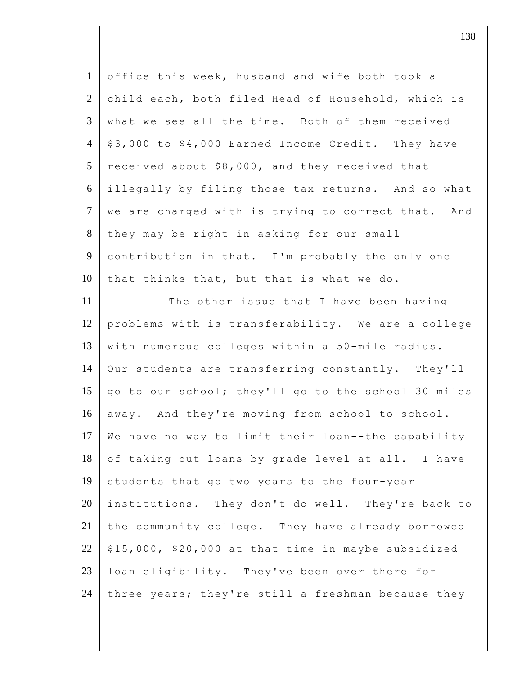| $\mathbf{1}$   | office this week, husband and wife both took a      |
|----------------|-----------------------------------------------------|
| $\overline{2}$ | child each, both filed Head of Household, which is  |
| 3              | what we see all the time. Both of them received     |
| $\overline{4}$ | \$3,000 to \$4,000 Earned Income Credit. They have  |
| 5              | received about \$8,000, and they received that      |
| 6              | illegally by filing those tax returns. And so what  |
| $\overline{7}$ | we are charged with is trying to correct that. And  |
| 8              | they may be right in asking for our small           |
| 9              | contribution in that. I'm probably the only one     |
| 10             | that thinks that, but that is what we do.           |
| 11             | The other issue that I have been having             |
| 12             | problems with is transferability. We are a college  |
| 13             | with numerous colleges within a 50-mile radius.     |
| 14             | Our students are transferring constantly. They'll   |
| 15             | go to our school; they'll go to the school 30 miles |
| 16             | away. And they're moving from school to school.     |
| 17             | We have no way to limit their loan--the capability  |
| 18             | of taking out loans by grade level at all. I have   |
| 19             | students that go two years to the four-year         |
| 20             | institutions. They don't do well. They're back to   |
| 21             | the community college. They have already borrowed   |
| 22             | \$15,000, \$20,000 at that time in maybe subsidized |
| 23             | loan eligibility. They've been over there for       |
| 24             | three years; they're still a freshman because they  |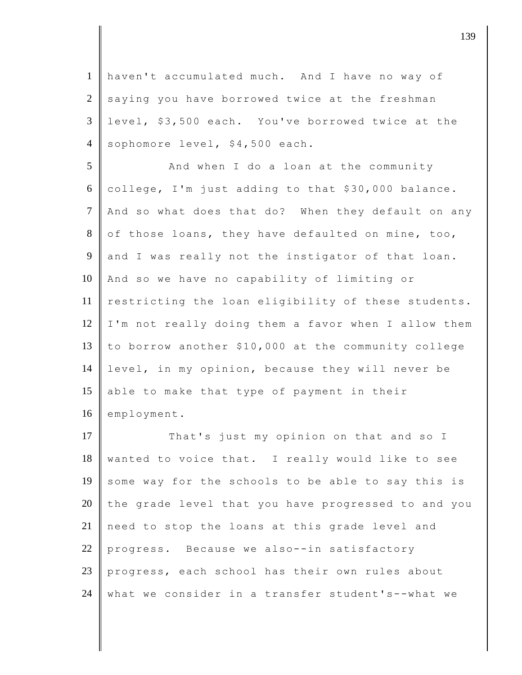1 haven't accumulated much. And I have no way of  $2 \parallel$  saying you have borrowed twice at the freshman 3 level, \$3,500 each. You've borrowed twice at the 4 sophomore level, \$4,500 each.

5 And when I do a loan at the community college, I'm just adding to that \$30,000 balance. 7 And so what does that do? When they default on any of those loans, they have defaulted on mine, too, and I was really not the instigator of that loan. And so we have no capability of limiting or restricting the loan eligibility of these students. I'm not really doing them a favor when I allow them to borrow another \$10,000 at the community college level, in my opinion, because they will never be 15 able to make that type of payment in their 16 employment.

17 That's just my opinion on that and so I  $18$  wanted to voice that. I really would like to see 19 some way for the schools to be able to say this is  $20$  the grade level that you have progressed to and you 21 need to stop the loans at this grade level and 22 progress. Because we also--in satisfactory 23 progress, each school has their own rules about 24 what we consider in a transfer student's--what we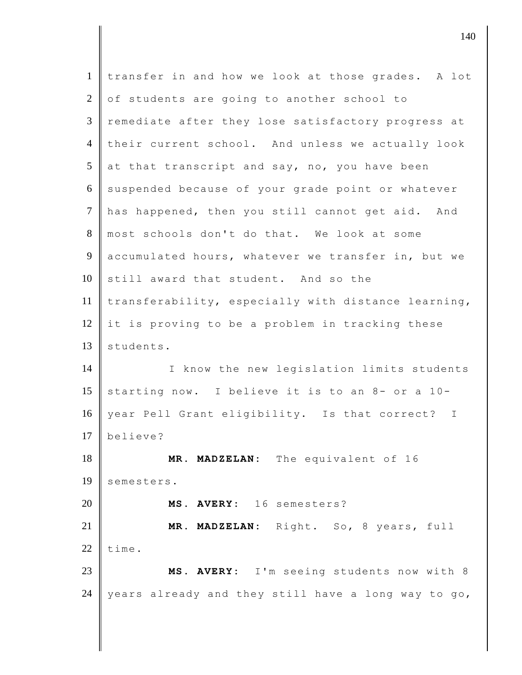| $\mathbf{1}$   | transfer in and how we look at those grades. A lot  |
|----------------|-----------------------------------------------------|
| $\overline{2}$ | of students are going to another school to          |
| $\mathfrak{Z}$ | remediate after they lose satisfactory progress at  |
| $\overline{4}$ | their current school. And unless we actually look   |
| 5              | at that transcript and say, no, you have been       |
| 6              | suspended because of your grade point or whatever   |
| $\overline{7}$ | has happened, then you still cannot get aid. And    |
| 8              | most schools don't do that. We look at some         |
| 9              | accumulated hours, whatever we transfer in, but we  |
| 10             | still award that student. And so the                |
| 11             | transferability, especially with distance learning, |
| 12             | it is proving to be a problem in tracking these     |
| 13             | students.                                           |
| 14             | I know the new legislation limits students          |
| 15             | starting now. I believe it is to an 8- or a 10-     |
| 16             | year Pell Grant eligibility. Is that correct? I     |
| 17             | believe?                                            |
| 18             | MR. MADZELAN: The equivalent of 16                  |
| 19             | semesters.                                          |
| 20             | MS.<br>AVERY: 16 semesters?                         |
| 21             | MADZELAN: Right. So, 8 years, full<br>MR.           |
| 22             | time.                                               |
| 23             | MS. AVERY: I'm seeing students now with 8           |
| 24             | years already and they still have a long way to go, |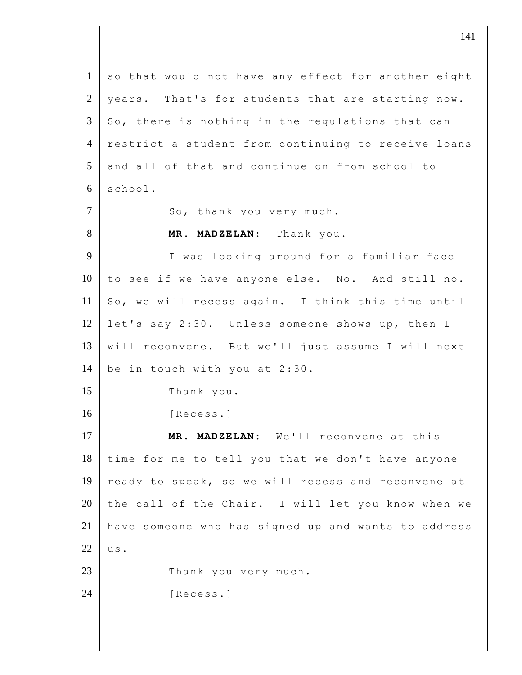| $\mathbf{1}$   | so that would not have any effect for another eight |
|----------------|-----------------------------------------------------|
| 2              | years. That's for students that are starting now.   |
| $\mathfrak{Z}$ | So, there is nothing in the regulations that can    |
| $\overline{4}$ | restrict a student from continuing to receive loans |
| 5              | and all of that and continue on from school to      |
| 6              | school.                                             |
| $\overline{7}$ | So, thank you very much.                            |
| 8              | MR. MADZELAN: Thank you.                            |
| 9              | I was looking around for a familiar face            |
| 10             | to see if we have anyone else. No. And still no.    |
| 11             | So, we will recess again. I think this time until   |
| 12             | let's say 2:30. Unless someone shows up, then I     |
| 13             | will reconvene. But we'll just assume I will next   |
| 14             | be in touch with you at 2:30.                       |
| 15             | Thank you.                                          |
| 16             | [Recess.]                                           |
| 17             | MR. MADZELAN: We'll reconvene at this               |
| 18             | time for me to tell you that we don't have anyone   |
| 19             | ready to speak, so we will recess and reconvene at  |
| 20             | the call of the Chair. I will let you know when we  |
| 21             | have someone who has signed up and wants to address |
| 22             | us.                                                 |
| 23             | Thank you very much.                                |
| 24             | [Recess.]                                           |
|                |                                                     |